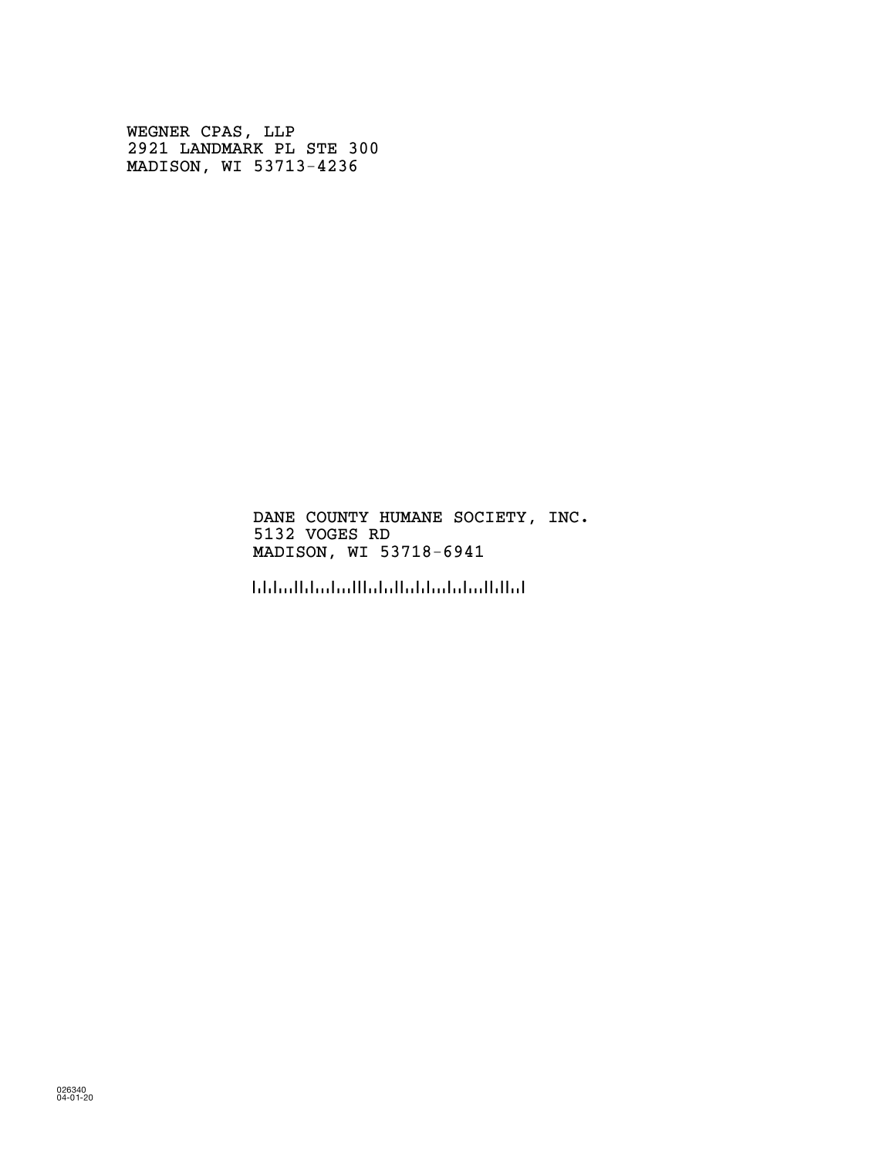WEGNER CPAS, LLP 2921 LANDMARK PL STE 300 MADISON, WI 53713-4236

> DANE COUNTY HUMANE SOCIETY, INC. 5132 VOGES RD MADISON, WI 53718-6941

!5371869416!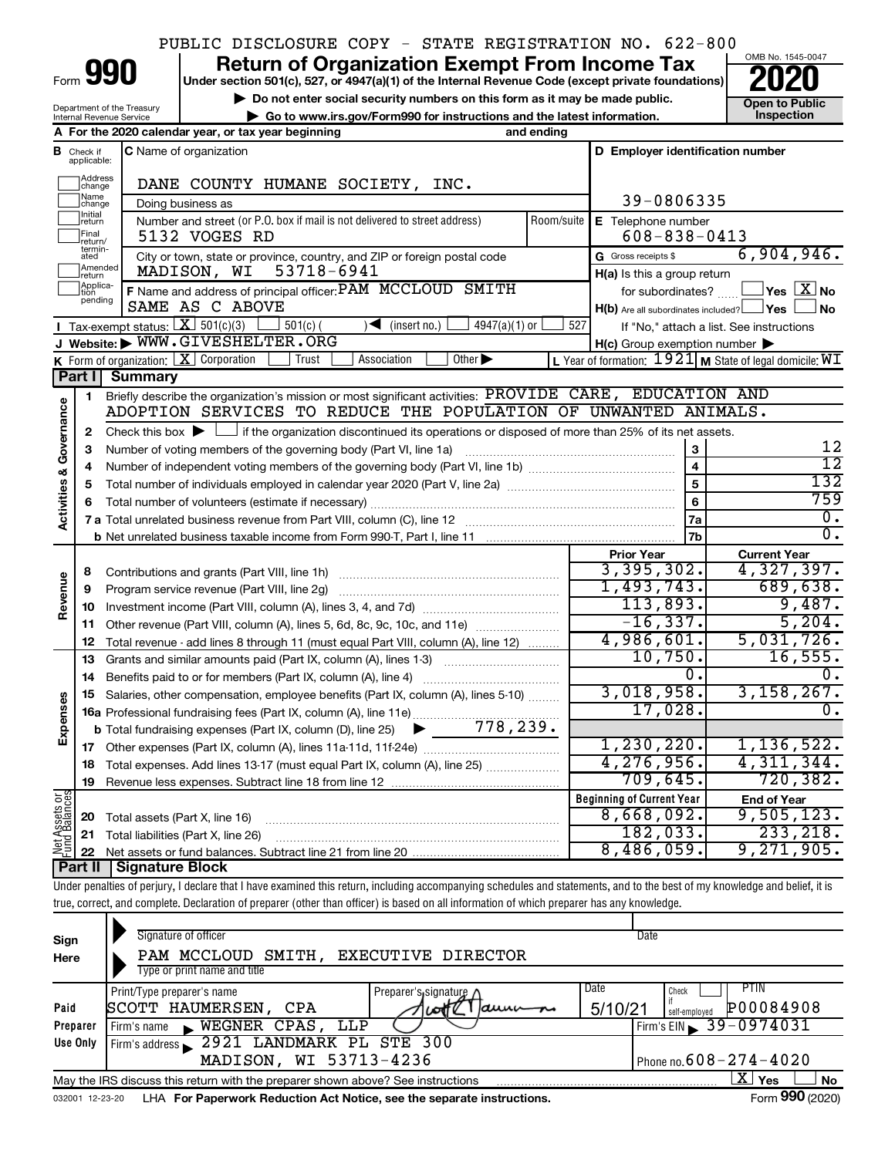### PUBLIC DISCLOSURE COPY - STATE REGISTRATION NO. 622-800

Form

Department of the Treasury Internal Revenue Service

# **990** Return of Organization Exempt From Income Tax <br>
Under section 501(c), 527, or 4947(a)(1) of the Internal Revenue Code (except private foundations)<br> **PO20**

**▶ Do not enter social security numbers on this form as it may be made public.**  $\overline{O}$  **Doen to Public ▶** Go to www.irs.gov/Form990 for instructions and the latest information. Inspection **| Go to www.irs.gov/Form990 for instructions and the latest information. Inspection**



|                         |                         | A For the 2020 calendar year, or tax year beginning                                                                                         | and ending     |                                                     |                                                             |  |  |  |  |
|-------------------------|-------------------------|---------------------------------------------------------------------------------------------------------------------------------------------|----------------|-----------------------------------------------------|-------------------------------------------------------------|--|--|--|--|
| в                       | Check if<br>applicable: | <b>C</b> Name of organization                                                                                                               |                | D Employer identification number                    |                                                             |  |  |  |  |
|                         | Address<br> change      | DANE COUNTY HUMANE SOCIETY, INC.                                                                                                            |                |                                                     |                                                             |  |  |  |  |
|                         | Name<br>change          | Doing business as                                                                                                                           | 39-0806335     |                                                     |                                                             |  |  |  |  |
|                         | Initial<br>return       | Number and street (or P.O. box if mail is not delivered to street address)                                                                  | Room/suite     | E Telephone number                                  |                                                             |  |  |  |  |
|                         | Final<br>return/        | 5132 VOGES RD                                                                                                                               |                | $608 - 838 - 0413$                                  |                                                             |  |  |  |  |
|                         | termin-<br>ated         | City or town, state or province, country, and ZIP or foreign postal code                                                                    |                | G Gross receipts \$                                 | 6,904,946.                                                  |  |  |  |  |
|                         | Amended<br>return       | MADISON, WI<br>53718-6941                                                                                                                   |                | $H(a)$ is this a group return                       |                                                             |  |  |  |  |
|                         | Applica-<br>pending     | F Name and address of principal officer: PAM MCCLOUD SMITH                                                                                  |                | for subordinates?                                   | $\sqrt{}$ Yes $\sqrt{ \times}$ No                           |  |  |  |  |
|                         |                         | SAME AS C ABOVE                                                                                                                             |                | $H(b)$ Are all subordinates included? $\Box$ Yes    | No                                                          |  |  |  |  |
|                         |                         | <b>I</b> Tax-exempt status: $\boxed{\mathbf{X}}$ 501(c)(3)<br>$501(c)$ (<br>$\sqrt{\frac{1}{1}}$ (insert no.)<br>$4947(a)(1)$ or            | 527            |                                                     | If "No," attach a list. See instructions                    |  |  |  |  |
|                         |                         | J Website: WWW.GIVESHELTER.ORG<br>Other $\blacktriangleright$<br>Association                                                                |                | $H(c)$ Group exemption number $\blacktriangleright$ |                                                             |  |  |  |  |
|                         |                         | <b>K</b> Form of organization: $X$ Corporation<br>Trust<br>Part I Summary                                                                   |                |                                                     | L Year of formation: $1921$ M State of legal domicile: $WI$ |  |  |  |  |
|                         | 1                       | Briefly describe the organization's mission or most significant activities: PROVIDE CARE, EDUCATION AND                                     |                |                                                     |                                                             |  |  |  |  |
| Governance              |                         | ADOPTION SERVICES TO REDUCE THE POPULATION OF UNWANTED ANIMALS.                                                                             |                |                                                     |                                                             |  |  |  |  |
|                         | $\mathbf{2}$            | Check this box $\blacktriangleright$ $\Box$ if the organization discontinued its operations or disposed of more than 25% of its net assets. |                |                                                     |                                                             |  |  |  |  |
|                         | 3                       | Number of voting members of the governing body (Part VI, line 1a)                                                                           |                | 3                                                   | 12                                                          |  |  |  |  |
|                         | 4                       |                                                                                                                                             |                |                                                     |                                                             |  |  |  |  |
|                         | 5                       |                                                                                                                                             |                |                                                     |                                                             |  |  |  |  |
|                         | 6                       |                                                                                                                                             | $\overline{6}$ | 759                                                 |                                                             |  |  |  |  |
| <b>Activities &amp;</b> |                         |                                                                                                                                             |                |                                                     |                                                             |  |  |  |  |
|                         |                         |                                                                                                                                             | 7 <sub>b</sub> | $\overline{0}$ .                                    |                                                             |  |  |  |  |
|                         |                         |                                                                                                                                             |                | <b>Prior Year</b>                                   | <b>Current Year</b>                                         |  |  |  |  |
|                         | 8                       |                                                                                                                                             |                | 3,395,302.                                          | 4,327,397.                                                  |  |  |  |  |
| Revenue                 | 9                       | Program service revenue (Part VIII, line 2g)                                                                                                |                | 1,493,743.                                          | 689,638.                                                    |  |  |  |  |
|                         | 10                      |                                                                                                                                             |                | 113,893.<br>$-16, 337.$                             | 9,487.<br>5,204.                                            |  |  |  |  |
|                         | 11                      | Other revenue (Part VIII, column (A), lines 5, 6d, 8c, 9c, 10c, and 11e)                                                                    |                | 4,986,601.                                          | 5,031,726.                                                  |  |  |  |  |
|                         | 12                      | Total revenue - add lines 8 through 11 (must equal Part VIII, column (A), line 12)                                                          |                | 10,750.                                             | 16,555.                                                     |  |  |  |  |
|                         | 13<br>14                | Grants and similar amounts paid (Part IX, column (A), lines 1-3)<br>Benefits paid to or for members (Part IX, column (A), line 4)           |                | 0.                                                  | $\overline{0}$ .                                            |  |  |  |  |
|                         | 15                      | Salaries, other compensation, employee benefits (Part IX, column (A), lines 5-10)                                                           |                | 3,018,958.                                          | 3,158,267.                                                  |  |  |  |  |
| Expenses                |                         | 16a Professional fundraising fees (Part IX, column (A), line 11e)                                                                           |                | 17,028.                                             | $\overline{0}$ .                                            |  |  |  |  |
|                         |                         | 778,239.<br><b>b</b> Total fundraising expenses (Part IX, column (D), line 25)<br>▶                                                         |                |                                                     |                                                             |  |  |  |  |
|                         |                         |                                                                                                                                             |                | 1, 230, 220.                                        | 1, 136, 522.                                                |  |  |  |  |
|                         | 18                      | Total expenses. Add lines 13-17 (must equal Part IX, column (A), line 25) <i></i>                                                           |                | 4, 276, 956.                                        | 4,311,344.                                                  |  |  |  |  |
|                         | 19                      |                                                                                                                                             |                | 709,645.                                            | 720, 382.                                                   |  |  |  |  |
| t Assets or             |                         |                                                                                                                                             |                | <b>Beginning of Current Year</b>                    | <b>End of Year</b>                                          |  |  |  |  |
|                         | 20                      | Total assets (Part X, line 16)                                                                                                              |                | 8,668,092.                                          | 9,505,123.                                                  |  |  |  |  |
|                         | 21                      | Total liabilities (Part X, line 26)                                                                                                         |                | 182,033.                                            | 233, 218.                                                   |  |  |  |  |
| Net                     |                         |                                                                                                                                             |                | 8,486,059.                                          | 9,271,905.                                                  |  |  |  |  |
|                         |                         | <b>Part II   Signature Block</b>                                                                                                            |                |                                                     |                                                             |  |  |  |  |

Under penalties of perjury, I declare that I have examined this return, including accompanying schedules and statements, and to the best of my knowledge and belief, it is true, correct, and complete. Declaration of preparer (other than officer) is based on all information of which preparer has any knowledge.

| Sign<br>Here    | Signature of officer<br>SMITH, EXECUTIVE DIRECTOR<br>PAM MCCLOUD<br>Type or print name and title                          | Date                                                                  |  |  |  |  |  |  |  |  |
|-----------------|---------------------------------------------------------------------------------------------------------------------------|-----------------------------------------------------------------------|--|--|--|--|--|--|--|--|
| Paid            | Print/Type preparer's name<br>Preparer's signature /<br>HAUMERSEN,<br><b>CPA</b><br><b>ISCOTT</b><br>$a$ uu<br><b>LOT</b> | Date<br>PTIN<br>Check<br><b>P00084908</b><br>5/10/21<br>self-emploved |  |  |  |  |  |  |  |  |
| Preparer        | WEGNER CPAS.<br>LLP<br>Firm's name<br>$\blacksquare$                                                                      | Firm's EIN $\geq 39 - 0974031$                                        |  |  |  |  |  |  |  |  |
| Use Only        | 2921 LANDMARK PL STE 300<br>Firm's address                                                                                |                                                                       |  |  |  |  |  |  |  |  |
|                 | MADISON, WI 53713-4236                                                                                                    | Phone no. $608 - 274 - 4020$                                          |  |  |  |  |  |  |  |  |
|                 | x.<br>Yes<br><b>No</b><br>May the IRS discuss this return with the preparer shown above? See instructions                 |                                                                       |  |  |  |  |  |  |  |  |
| 032001 12-23-20 | LHA For Paperwork Reduction Act Notice, see the separate instructions.                                                    | Form 990 (2020)                                                       |  |  |  |  |  |  |  |  |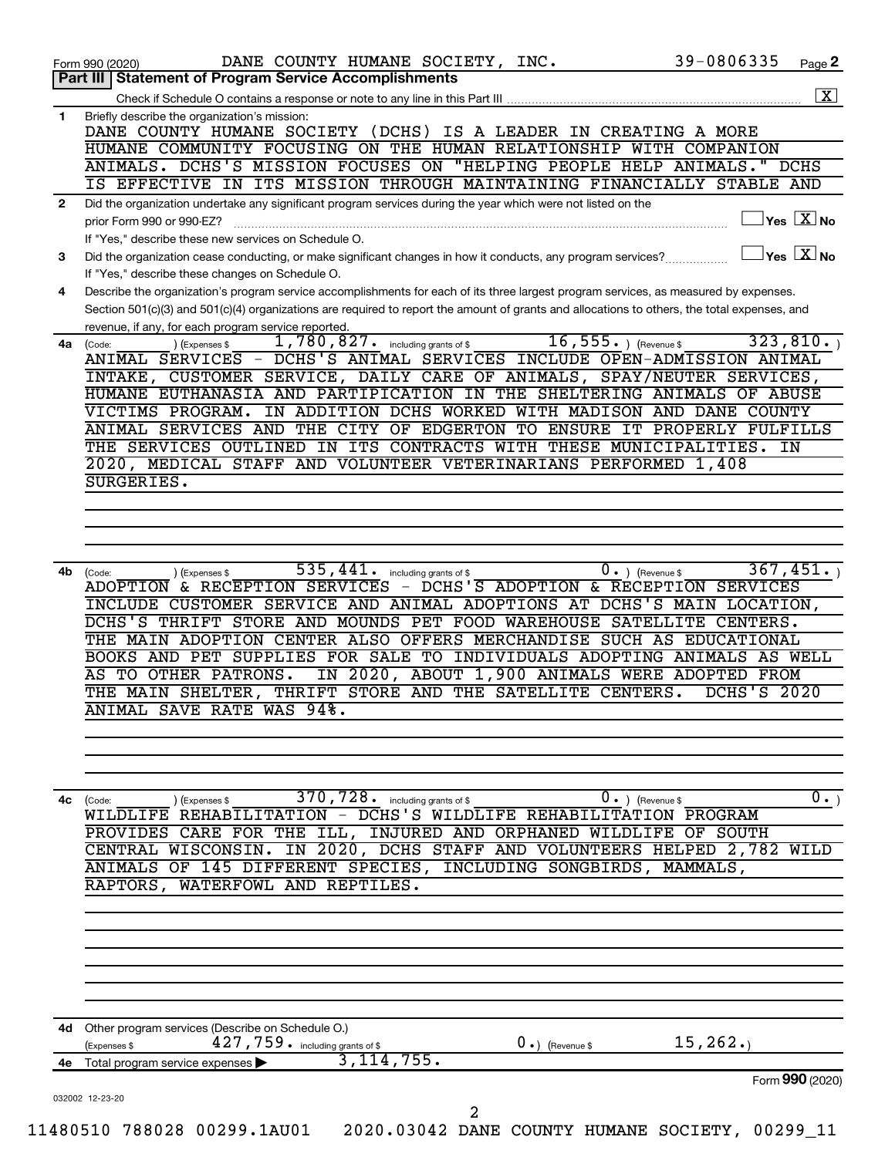|              | 39-0806335<br>DANE COUNTY HUMANE SOCIETY, INC.<br>Page 2<br>Form 990 (2020)<br>Part III   Statement of Program Service Accomplishments                                                                                                                                                                                                                                                                                                                                                                                                                                                                                                           |
|--------------|--------------------------------------------------------------------------------------------------------------------------------------------------------------------------------------------------------------------------------------------------------------------------------------------------------------------------------------------------------------------------------------------------------------------------------------------------------------------------------------------------------------------------------------------------------------------------------------------------------------------------------------------------|
|              |                                                                                                                                                                                                                                                                                                                                                                                                                                                                                                                                                                                                                                                  |
| $\mathbf{1}$ | Briefly describe the organization's mission:<br>DANE COUNTY HUMANE SOCIETY (DCHS) IS A LEADER IN CREATING A MORE<br>HUMANE COMMUNITY FOCUSING ON THE HUMAN RELATIONSHIP WITH COMPANION                                                                                                                                                                                                                                                                                                                                                                                                                                                           |
|              | ANIMALS. DCHS'S MISSION FOCUSES ON "HELPING PEOPLE HELP ANIMALS."<br>DCHS<br>IS EFFECTIVE IN ITS MISSION THROUGH MAINTAINING FINANCIALLY STABLE AND                                                                                                                                                                                                                                                                                                                                                                                                                                                                                              |
| $\mathbf{2}$ | Did the organization undertake any significant program services during the year which were not listed on the<br>$\sqrt{}$ Yes $\sqrt{}\frac{\text{X}}{\text{N}}$ No<br>prior Form 990 or 990-EZ?                                                                                                                                                                                                                                                                                                                                                                                                                                                 |
| 3            | If "Yes," describe these new services on Schedule O.<br>$ {\mathsf Y}{\mathsf e}{\mathsf s} \ \boxed{{\rm X}}$ No<br>Did the organization cease conducting, or make significant changes in how it conducts, any program services?                                                                                                                                                                                                                                                                                                                                                                                                                |
| 4            | If "Yes," describe these changes on Schedule O.<br>Describe the organization's program service accomplishments for each of its three largest program services, as measured by expenses.                                                                                                                                                                                                                                                                                                                                                                                                                                                          |
|              | Section 501(c)(3) and 501(c)(4) organizations are required to report the amount of grants and allocations to others, the total expenses, and<br>revenue, if any, for each program service reported.                                                                                                                                                                                                                                                                                                                                                                                                                                              |
| 4a           | 16, $555.$ ) (Revenue \$<br>323,810.<br>1,780,827.<br>including grants of \$<br>(Code:<br>(Expenses \$<br>ANI <del>MAL SERVICES - DCHS'S ANIMAL SERVICES INCLUDE OPEN-ADMISSION ANIMAL</del><br>INTAKE, CUSTOMER SERVICE, DAILY CARE OF ANIMALS, SPAY/NEUTER SERVICES,                                                                                                                                                                                                                                                                                                                                                                           |
|              | HUMANE EUTHANASIA AND PARTIPICATION IN THE SHELTERING ANIMALS OF ABUSE<br>VICTIMS PROGRAM. IN ADDITION DCHS WORKED WITH MADISON AND DANE COUNTY                                                                                                                                                                                                                                                                                                                                                                                                                                                                                                  |
|              | ANIMAL SERVICES AND THE CITY OF EDGERTON TO ENSURE IT PROPERLY FULFILLS<br>THE SERVICES OUTLINED IN ITS CONTRACTS WITH THESE MUNICIPALITIES.<br>IN<br>2020, MEDICAL STAFF AND VOLUNTEER VETERINARIANS PERFORMED 1,408                                                                                                                                                                                                                                                                                                                                                                                                                            |
|              | SURGERIES.                                                                                                                                                                                                                                                                                                                                                                                                                                                                                                                                                                                                                                       |
|              |                                                                                                                                                                                                                                                                                                                                                                                                                                                                                                                                                                                                                                                  |
|              |                                                                                                                                                                                                                                                                                                                                                                                                                                                                                                                                                                                                                                                  |
| 4b           | 367,451.<br>535,441.<br>$0 \cdot$ ) (Revenue \$<br>including grants of \$<br>(Code:<br>(Expenses \$<br>ADOPTION & RECEPTION SERVICES - DCHS'S ADOPTION & RECEPTION SERVICES<br>INCLUDE CUSTOMER SERVICE AND ANIMAL ADOPTIONS AT DCHS'S MAIN LOCATION,<br>DCHS'S THRIFT STORE AND MOUNDS PET FOOD WAREHOUSE SATELLITE CENTERS.<br>THE MAIN ADOPTION CENTER ALSO OFFERS MERCHANDISE SUCH AS EDUCATIONAL<br>BOOKS AND PET SUPPLIES FOR SALE TO INDIVIDUALS ADOPTING ANIMALS AS WELL<br>IN 2020, ABOUT 1,900 ANIMALS WERE ADOPTED FROM<br>AS TO OTHER PATRONS.<br>THRIFT STORE AND THE SATELLITE CENTERS.<br><b>DCHS'S 2020</b><br>THE MAIN SHELTER. |
|              | ANIMAL SAVE RATE WAS 94%.                                                                                                                                                                                                                                                                                                                                                                                                                                                                                                                                                                                                                        |
|              |                                                                                                                                                                                                                                                                                                                                                                                                                                                                                                                                                                                                                                                  |
| 4c           | $\overline{0}$ .)<br>370, 728. including grants of \$<br>$0.$ (Revenue \$<br>) (Expenses \$<br>(Code:<br>WILDLIFE REHABILITATION - DCHS'S WILDLIFE REHABILITATION PROGRAM<br>PROVIDES CARE FOR THE ILL, INJURED AND ORPHANED WILDLIFE OF SOUTH<br>CENTRAL WISCONSIN. IN 2020, DCHS STAFF AND VOLUNTEERS HELPED 2,782 WILD<br>ANIMALS OF 145 DIFFERENT SPECIES, INCLUDING SONGBIRDS, MAMMALS,<br>RAPTORS, WATERFOWL AND REPTILES.                                                                                                                                                                                                                 |
|              |                                                                                                                                                                                                                                                                                                                                                                                                                                                                                                                                                                                                                                                  |
|              |                                                                                                                                                                                                                                                                                                                                                                                                                                                                                                                                                                                                                                                  |
|              |                                                                                                                                                                                                                                                                                                                                                                                                                                                                                                                                                                                                                                                  |
| 4d -         | Other program services (Describe on Schedule O.)                                                                                                                                                                                                                                                                                                                                                                                                                                                                                                                                                                                                 |
|              | $427$ , $759$ $\cdot$ including grants of \$<br>15, 262.<br>(Expenses \$<br>$0 \cdot$ ) (Revenue \$<br>3,114,755.<br>4e Total program service expenses ><br>Form 990 (2020)                                                                                                                                                                                                                                                                                                                                                                                                                                                                      |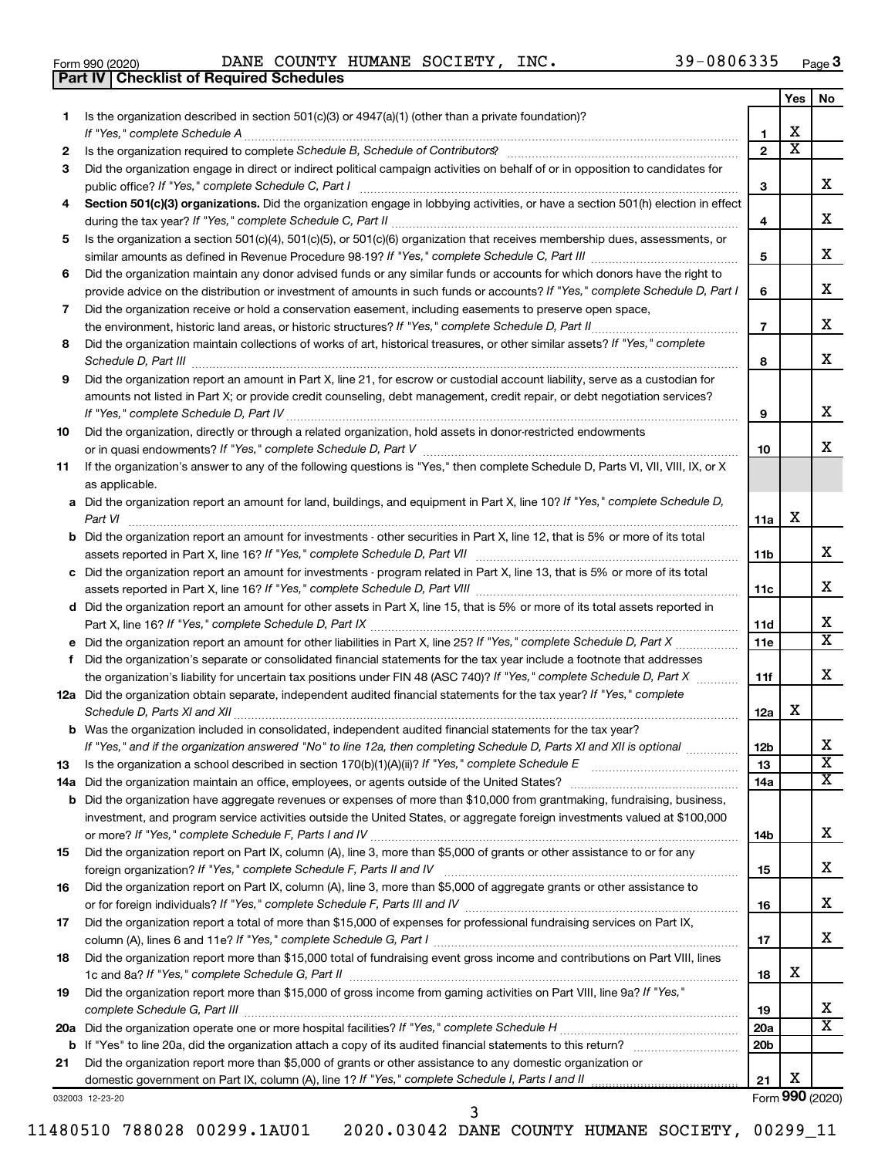|  | Form 990 (2020) |
|--|-----------------|

**Part IV Checklist of Required Schedules**

Form 990 (2020) Page DANE COUNTY HUMANE SOCIETY, INC. 39-0806335

|           |                                                                                                                                                                                                                                                   |                       | Yes                     | No                    |
|-----------|---------------------------------------------------------------------------------------------------------------------------------------------------------------------------------------------------------------------------------------------------|-----------------------|-------------------------|-----------------------|
| 1.        | Is the organization described in section $501(c)(3)$ or $4947(a)(1)$ (other than a private foundation)?                                                                                                                                           |                       |                         |                       |
|           | If "Yes," complete Schedule A                                                                                                                                                                                                                     | 1                     | x                       |                       |
| 2         |                                                                                                                                                                                                                                                   | $\overline{2}$        | $\overline{\textbf{X}}$ |                       |
| 3         | Did the organization engage in direct or indirect political campaign activities on behalf of or in opposition to candidates for                                                                                                                   |                       |                         | X.                    |
|           | public office? If "Yes," complete Schedule C, Part I<br>Section 501(c)(3) organizations. Did the organization engage in lobbying activities, or have a section 501(h) election in effect                                                          | З                     |                         |                       |
| 4         |                                                                                                                                                                                                                                                   | 4                     |                         | x.                    |
| 5         | Is the organization a section 501(c)(4), 501(c)(5), or 501(c)(6) organization that receives membership dues, assessments, or                                                                                                                      |                       |                         |                       |
|           |                                                                                                                                                                                                                                                   | 5                     |                         | x                     |
| 6         | Did the organization maintain any donor advised funds or any similar funds or accounts for which donors have the right to                                                                                                                         |                       |                         |                       |
|           | provide advice on the distribution or investment of amounts in such funds or accounts? If "Yes," complete Schedule D, Part I                                                                                                                      | 6                     |                         | x.                    |
| 7         | Did the organization receive or hold a conservation easement, including easements to preserve open space,                                                                                                                                         |                       |                         | x                     |
|           |                                                                                                                                                                                                                                                   | $\overline{7}$        |                         |                       |
| 8         | Did the organization maintain collections of works of art, historical treasures, or other similar assets? If "Yes," complete                                                                                                                      | 8                     |                         | x.                    |
| 9         | Schedule D, Part III <b>www.community.community.community.community.community.community.com</b><br>Did the organization report an amount in Part X, line 21, for escrow or custodial account liability, serve as a custodian for                  |                       |                         |                       |
|           | amounts not listed in Part X; or provide credit counseling, debt management, credit repair, or debt negotiation services?                                                                                                                         |                       |                         |                       |
|           |                                                                                                                                                                                                                                                   | 9                     |                         | x                     |
| 10        | Did the organization, directly or through a related organization, hold assets in donor-restricted endowments                                                                                                                                      |                       |                         |                       |
|           |                                                                                                                                                                                                                                                   | 10                    |                         | x.                    |
| 11        | If the organization's answer to any of the following questions is "Yes," then complete Schedule D, Parts VI, VII, VIII, IX, or X                                                                                                                  |                       |                         |                       |
|           | as applicable.                                                                                                                                                                                                                                    |                       |                         |                       |
|           | a Did the organization report an amount for land, buildings, and equipment in Part X, line 10? If "Yes," complete Schedule D,                                                                                                                     |                       |                         |                       |
|           | Part VI                                                                                                                                                                                                                                           | 11a                   | х                       |                       |
|           | <b>b</b> Did the organization report an amount for investments - other securities in Part X, line 12, that is 5% or more of its total                                                                                                             |                       |                         | x.                    |
|           | assets reported in Part X, line 16? If "Yes," complete Schedule D, Part VII [11] [11] [12] [12] [12] [12] [12] [<br>c Did the organization report an amount for investments - program related in Part X, line 13, that is 5% or more of its total | 11b                   |                         |                       |
|           |                                                                                                                                                                                                                                                   | 11c                   |                         | x.                    |
|           | d Did the organization report an amount for other assets in Part X, line 15, that is 5% or more of its total assets reported in                                                                                                                   |                       |                         |                       |
|           |                                                                                                                                                                                                                                                   | 11d                   |                         | x                     |
|           |                                                                                                                                                                                                                                                   | 11e                   |                         | X                     |
| f         | Did the organization's separate or consolidated financial statements for the tax year include a footnote that addresses                                                                                                                           |                       |                         |                       |
|           | the organization's liability for uncertain tax positions under FIN 48 (ASC 740)? If "Yes," complete Schedule D, Part X                                                                                                                            | 11f                   |                         | x.                    |
|           | 12a Did the organization obtain separate, independent audited financial statements for the tax year? If "Yes," complete                                                                                                                           |                       |                         |                       |
|           | Schedule D, Parts XI and XII                                                                                                                                                                                                                      | 12a                   | х                       |                       |
|           | <b>b</b> Was the organization included in consolidated, independent audited financial statements for the tax year?                                                                                                                                |                       |                         | х                     |
|           | If "Yes," and if the organization answered "No" to line 12a, then completing Schedule D, Parts XI and XII is optional                                                                                                                             | 12 <sub>b</sub><br>13 |                         | $\overline{\text{x}}$ |
| 13<br>14a | Is the organization a school described in section $170(b)(1)(A)(ii)?$ If "Yes," complete Schedule E                                                                                                                                               | 14a                   |                         | x                     |
| b         | Did the organization have aggregate revenues or expenses of more than \$10,000 from grantmaking, fundraising, business,                                                                                                                           |                       |                         |                       |
|           | investment, and program service activities outside the United States, or aggregate foreign investments valued at \$100,000                                                                                                                        |                       |                         |                       |
|           |                                                                                                                                                                                                                                                   | 14b                   |                         | x                     |
| 15        | Did the organization report on Part IX, column (A), line 3, more than \$5,000 of grants or other assistance to or for any                                                                                                                         |                       |                         |                       |
|           |                                                                                                                                                                                                                                                   | 15                    |                         | х                     |
| 16        | Did the organization report on Part IX, column (A), line 3, more than \$5,000 of aggregate grants or other assistance to                                                                                                                          |                       |                         |                       |
|           |                                                                                                                                                                                                                                                   | 16                    |                         | х                     |
| 17        | Did the organization report a total of more than \$15,000 of expenses for professional fundraising services on Part IX,                                                                                                                           |                       |                         | x.                    |
| 18        | Did the organization report more than \$15,000 total of fundraising event gross income and contributions on Part VIII, lines                                                                                                                      | 17                    |                         |                       |
|           |                                                                                                                                                                                                                                                   | 18                    | x                       |                       |
| 19        | Did the organization report more than \$15,000 of gross income from gaming activities on Part VIII, line 9a? If "Yes,"                                                                                                                            |                       |                         |                       |
|           |                                                                                                                                                                                                                                                   | 19                    |                         | х                     |
|           |                                                                                                                                                                                                                                                   | <b>20a</b>            |                         | х                     |
| b         |                                                                                                                                                                                                                                                   | 20 <sub>b</sub>       |                         |                       |
| 21        | Did the organization report more than \$5,000 of grants or other assistance to any domestic organization or                                                                                                                                       |                       |                         |                       |
|           | domestic government on Part IX, column (A), line 1? If "Yes," complete Schedule I, Parts I and II                                                                                                                                                 | 21                    | X                       |                       |

032003 12-23-20

Form (2020) **990**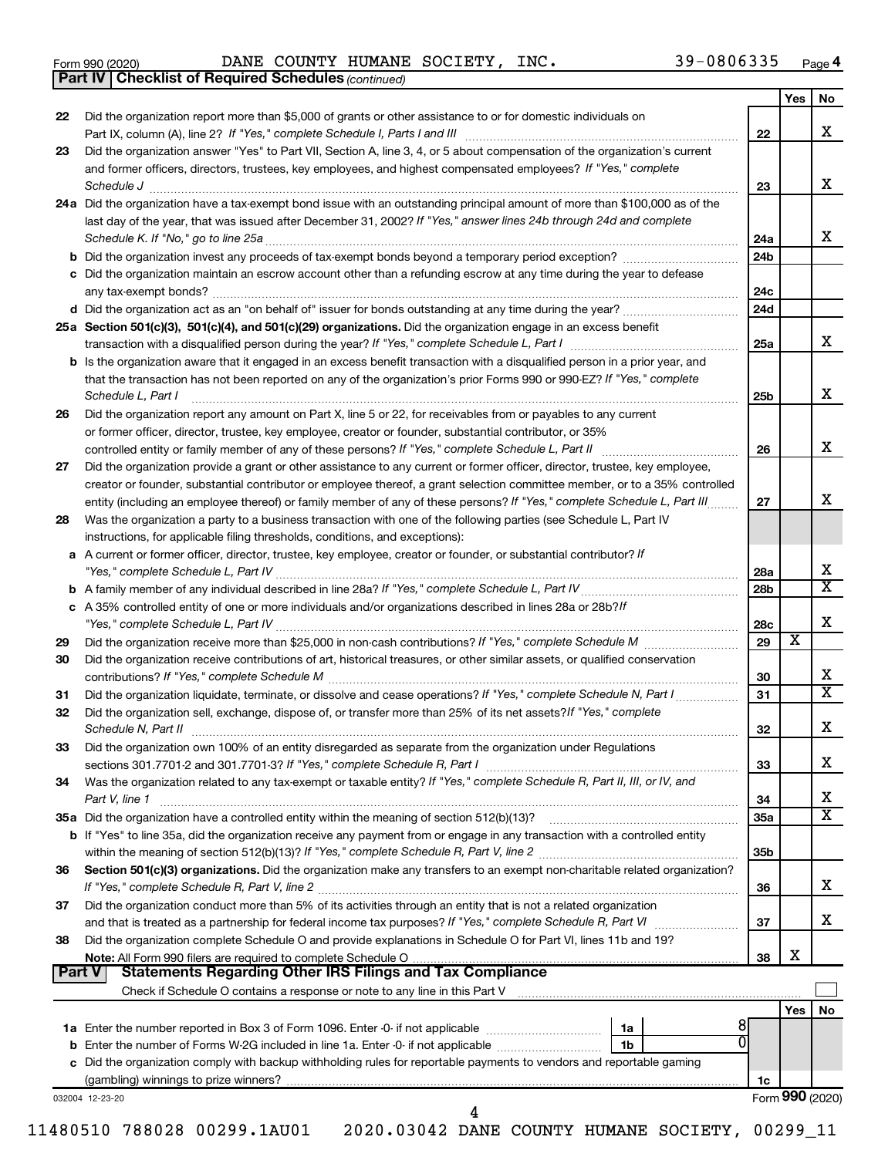|  | Form 990 (2020) |
|--|-----------------|
|  |                 |

*(continued)* **Part IV Checklist of Required Schedules**

Form 990 (2020) Page DANE COUNTY HUMANE SOCIETY, INC. 39-0806335

|        |                                                                                                                                                                                                                                                            |                 | Yes             | <b>No</b>               |  |  |
|--------|------------------------------------------------------------------------------------------------------------------------------------------------------------------------------------------------------------------------------------------------------------|-----------------|-----------------|-------------------------|--|--|
| 22     | Did the organization report more than \$5,000 of grants or other assistance to or for domestic individuals on                                                                                                                                              | 22              |                 | х                       |  |  |
| 23     | Did the organization answer "Yes" to Part VII, Section A, line 3, 4, or 5 about compensation of the organization's current                                                                                                                                 |                 |                 |                         |  |  |
|        | and former officers, directors, trustees, key employees, and highest compensated employees? If "Yes," complete                                                                                                                                             | 23              |                 | X                       |  |  |
|        | 24a Did the organization have a tax-exempt bond issue with an outstanding principal amount of more than \$100,000 as of the                                                                                                                                |                 |                 |                         |  |  |
|        | last day of the year, that was issued after December 31, 2002? If "Yes," answer lines 24b through 24d and complete                                                                                                                                         | 24a             |                 | х                       |  |  |
|        |                                                                                                                                                                                                                                                            | 24 <sub>b</sub> |                 |                         |  |  |
|        | c Did the organization maintain an escrow account other than a refunding escrow at any time during the year to defease                                                                                                                                     | 24c             |                 |                         |  |  |
|        |                                                                                                                                                                                                                                                            | 24d             |                 |                         |  |  |
|        | 25a Section 501(c)(3), 501(c)(4), and 501(c)(29) organizations. Did the organization engage in an excess benefit                                                                                                                                           | 25a             |                 | х                       |  |  |
|        | b Is the organization aware that it engaged in an excess benefit transaction with a disqualified person in a prior year, and                                                                                                                               |                 |                 |                         |  |  |
|        | that the transaction has not been reported on any of the organization's prior Forms 990 or 990-EZ? If "Yes," complete<br>Schedule L, Part I                                                                                                                | 25b             |                 | X                       |  |  |
| 26     | Did the organization report any amount on Part X, line 5 or 22, for receivables from or payables to any current                                                                                                                                            |                 |                 |                         |  |  |
|        | or former officer, director, trustee, key employee, creator or founder, substantial contributor, or 35%                                                                                                                                                    |                 |                 |                         |  |  |
|        |                                                                                                                                                                                                                                                            | 26              |                 | х                       |  |  |
| 27     | Did the organization provide a grant or other assistance to any current or former officer, director, trustee, key employee,<br>creator or founder, substantial contributor or employee thereof, a grant selection committee member, or to a 35% controlled |                 |                 |                         |  |  |
|        | entity (including an employee thereof) or family member of any of these persons? If "Yes," complete Schedule L, Part III                                                                                                                                   | 27              |                 | х                       |  |  |
| 28     | Was the organization a party to a business transaction with one of the following parties (see Schedule L, Part IV<br>instructions, for applicable filing thresholds, conditions, and exceptions):                                                          |                 |                 |                         |  |  |
|        | a A current or former officer, director, trustee, key employee, creator or founder, or substantial contributor? If                                                                                                                                         |                 |                 |                         |  |  |
|        |                                                                                                                                                                                                                                                            | 28a             |                 | X                       |  |  |
|        |                                                                                                                                                                                                                                                            | 28b             |                 | $\overline{\textbf{X}}$ |  |  |
|        | c A 35% controlled entity of one or more individuals and/or organizations described in lines 28a or 28b?If                                                                                                                                                 |                 |                 |                         |  |  |
|        |                                                                                                                                                                                                                                                            | 28c             |                 | х                       |  |  |
| 29     |                                                                                                                                                                                                                                                            | 29              | х               |                         |  |  |
| 30     | Did the organization receive contributions of art, historical treasures, or other similar assets, or qualified conservation                                                                                                                                | 30              |                 | х                       |  |  |
| 31     | Did the organization liquidate, terminate, or dissolve and cease operations? If "Yes," complete Schedule N, Part I                                                                                                                                         | 31              |                 | $\overline{\mathbf{X}}$ |  |  |
| 32     | Did the organization sell, exchange, dispose of, or transfer more than 25% of its net assets? If "Yes," complete<br>Schedule N, Part II                                                                                                                    | 32              |                 | Х                       |  |  |
| 33     | Did the organization own 100% of an entity disregarded as separate from the organization under Regulations                                                                                                                                                 | 33              |                 | х                       |  |  |
| 34     | Was the organization related to any tax-exempt or taxable entity? If "Yes," complete Schedule R, Part II, III, or IV, and                                                                                                                                  |                 |                 |                         |  |  |
|        | Part V, line 1                                                                                                                                                                                                                                             | 34              |                 | х                       |  |  |
|        |                                                                                                                                                                                                                                                            | 35a             |                 | X                       |  |  |
|        | <b>b</b> If "Yes" to line 35a, did the organization receive any payment from or engage in any transaction with a controlled entity                                                                                                                         |                 |                 |                         |  |  |
|        |                                                                                                                                                                                                                                                            | 35b             |                 |                         |  |  |
| 36     | Section 501(c)(3) organizations. Did the organization make any transfers to an exempt non-charitable related organization?                                                                                                                                 |                 |                 |                         |  |  |
|        |                                                                                                                                                                                                                                                            | 36              |                 | x                       |  |  |
| 37     | Did the organization conduct more than 5% of its activities through an entity that is not a related organization                                                                                                                                           | 37              |                 | х                       |  |  |
| 38     | Did the organization complete Schedule O and provide explanations in Schedule O for Part VI, lines 11b and 19?                                                                                                                                             |                 |                 |                         |  |  |
|        | Note: All Form 990 filers are required to complete Schedule O                                                                                                                                                                                              | 38              | х               |                         |  |  |
| Part V | <b>Statements Regarding Other IRS Filings and Tax Compliance</b>                                                                                                                                                                                           |                 |                 |                         |  |  |
|        | Check if Schedule O contains a response or note to any line in this Part V [11] [12] Check if Schedule O contains a response or note to any line in this Part V                                                                                            |                 |                 |                         |  |  |
|        |                                                                                                                                                                                                                                                            |                 | Yes             | No                      |  |  |
|        | 1a                                                                                                                                                                                                                                                         |                 |                 |                         |  |  |
|        | 1b<br>c Did the organization comply with backup withholding rules for reportable payments to vendors and reportable gaming                                                                                                                                 |                 |                 |                         |  |  |
|        |                                                                                                                                                                                                                                                            | 1c              |                 |                         |  |  |
|        | 032004 12-23-20                                                                                                                                                                                                                                            |                 | Form 990 (2020) |                         |  |  |
|        | 4                                                                                                                                                                                                                                                          |                 |                 |                         |  |  |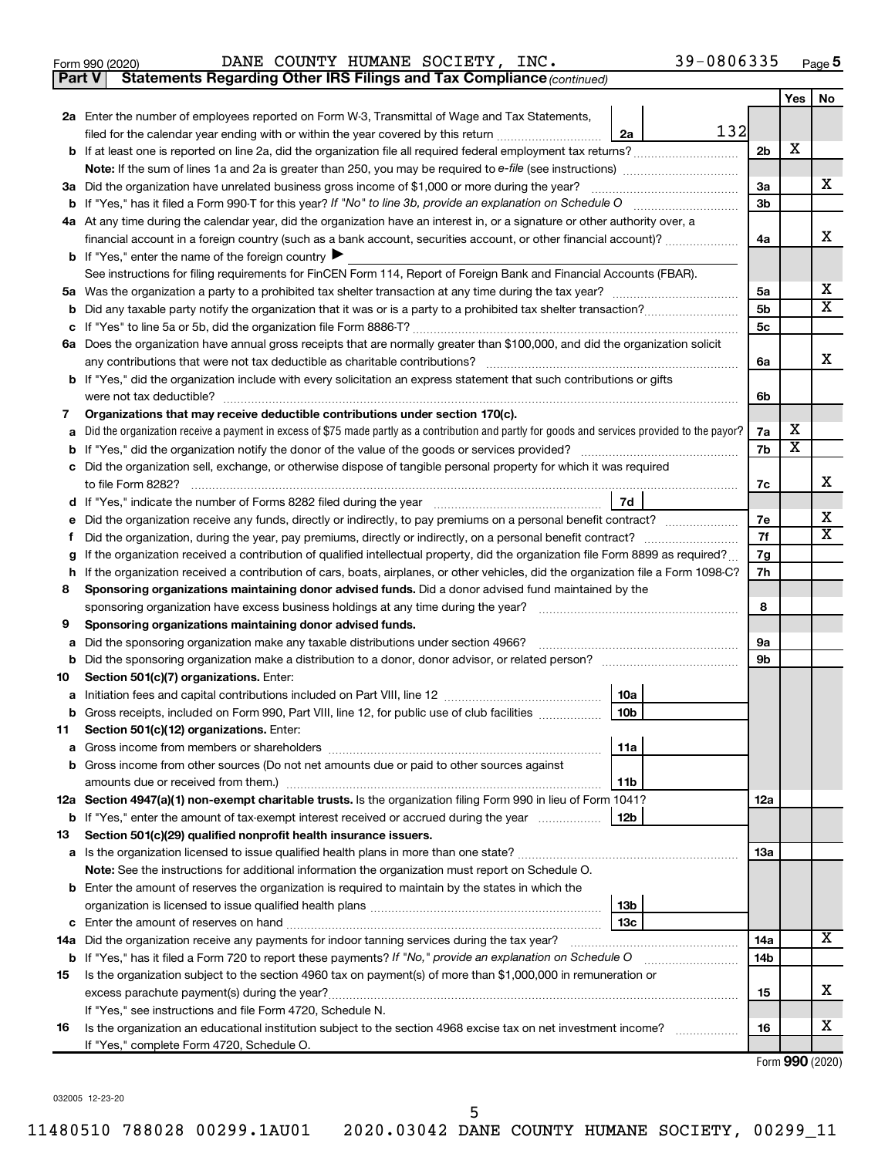Form 990 (2020) Page DANE COUNTY HUMANE SOCIETY, INC. 39-0806335

**Part V** Statements Regarding Other IRS Filings and Tax Compliance (continued)

|    |                                                                                                                                                                                            |                | Yes | No     |  |  |  |  |  |
|----|--------------------------------------------------------------------------------------------------------------------------------------------------------------------------------------------|----------------|-----|--------|--|--|--|--|--|
|    | 2a Enter the number of employees reported on Form W-3, Transmittal of Wage and Tax Statements,                                                                                             |                |     |        |  |  |  |  |  |
|    | 132<br>filed for the calendar year ending with or within the year covered by this return <i>[[[[[[[[[[[[[[[]]]]</i> ]]<br>2a                                                               |                |     |        |  |  |  |  |  |
|    |                                                                                                                                                                                            | 2 <sub>b</sub> | X   |        |  |  |  |  |  |
|    |                                                                                                                                                                                            |                |     |        |  |  |  |  |  |
|    | 3a Did the organization have unrelated business gross income of \$1,000 or more during the year?                                                                                           | За             |     | х      |  |  |  |  |  |
|    |                                                                                                                                                                                            | 3b             |     |        |  |  |  |  |  |
|    | 4a At any time during the calendar year, did the organization have an interest in, or a signature or other authority over, a                                                               |                |     |        |  |  |  |  |  |
|    | financial account in a foreign country (such as a bank account, securities account, or other financial account)?                                                                           | 4a             |     | х      |  |  |  |  |  |
|    | <b>b</b> If "Yes," enter the name of the foreign country $\blacktriangleright$                                                                                                             |                |     |        |  |  |  |  |  |
|    | See instructions for filing requirements for FinCEN Form 114, Report of Foreign Bank and Financial Accounts (FBAR).                                                                        |                |     |        |  |  |  |  |  |
|    |                                                                                                                                                                                            | 5a             |     | х      |  |  |  |  |  |
| b  |                                                                                                                                                                                            | 5b             |     | х      |  |  |  |  |  |
| с  |                                                                                                                                                                                            | 5c             |     |        |  |  |  |  |  |
|    | 6a Does the organization have annual gross receipts that are normally greater than \$100,000, and did the organization solicit                                                             |                |     |        |  |  |  |  |  |
|    | any contributions that were not tax deductible as charitable contributions?                                                                                                                | 6a             |     | х      |  |  |  |  |  |
|    | b If "Yes," did the organization include with every solicitation an express statement that such contributions or gifts                                                                     |                |     |        |  |  |  |  |  |
|    | were not tax deductible?                                                                                                                                                                   | 6b             |     |        |  |  |  |  |  |
| 7  | Organizations that may receive deductible contributions under section 170(c).                                                                                                              |                |     |        |  |  |  |  |  |
| а  | Did the organization receive a payment in excess of \$75 made partly as a contribution and partly for goods and services provided to the payor?                                            | 7a             | х   |        |  |  |  |  |  |
|    |                                                                                                                                                                                            | 7b             | х   |        |  |  |  |  |  |
| с  | Did the organization sell, exchange, or otherwise dispose of tangible personal property for which it was required                                                                          |                |     |        |  |  |  |  |  |
|    |                                                                                                                                                                                            | 7c             |     | х      |  |  |  |  |  |
| d  | 7d                                                                                                                                                                                         |                |     |        |  |  |  |  |  |
|    | Did the organization receive any funds, directly or indirectly, to pay premiums on a personal benefit contract?                                                                            | 7e<br>7f       |     | х<br>х |  |  |  |  |  |
| t  | Did the organization, during the year, pay premiums, directly or indirectly, on a personal benefit contract?                                                                               |                |     |        |  |  |  |  |  |
| g  | If the organization received a contribution of qualified intellectual property, did the organization file Form 8899 as required?                                                           |                |     |        |  |  |  |  |  |
|    | If the organization received a contribution of cars, boats, airplanes, or other vehicles, did the organization file a Form 1098-C?<br>h                                                    |                |     |        |  |  |  |  |  |
| 8  | Sponsoring organizations maintaining donor advised funds. Did a donor advised fund maintained by the<br>sponsoring organization have excess business holdings at any time during the year? | 8              |     |        |  |  |  |  |  |
| 9  | Sponsoring organizations maintaining donor advised funds.                                                                                                                                  |                |     |        |  |  |  |  |  |
| а  | Did the sponsoring organization make any taxable distributions under section 4966?                                                                                                         | 9а             |     |        |  |  |  |  |  |
| b  |                                                                                                                                                                                            | 9b             |     |        |  |  |  |  |  |
| 10 | Section 501(c)(7) organizations. Enter:                                                                                                                                                    |                |     |        |  |  |  |  |  |
| а  | 10a                                                                                                                                                                                        |                |     |        |  |  |  |  |  |
|    | 10 <sub>b</sub><br>b Gross receipts, included on Form 990, Part VIII, line 12, for public use of club facilities                                                                           |                |     |        |  |  |  |  |  |
| 11 | Section 501(c)(12) organizations. Enter:                                                                                                                                                   |                |     |        |  |  |  |  |  |
|    | 11a                                                                                                                                                                                        |                |     |        |  |  |  |  |  |
|    | <b>b</b> Gross income from other sources (Do not net amounts due or paid to other sources against                                                                                          |                |     |        |  |  |  |  |  |
|    | 11b                                                                                                                                                                                        |                |     |        |  |  |  |  |  |
|    | 12a Section 4947(a)(1) non-exempt charitable trusts. Is the organization filing Form 990 in lieu of Form 1041?                                                                             | 12a            |     |        |  |  |  |  |  |
|    | <b>b</b> If "Yes," enter the amount of tax-exempt interest received or accrued during the year<br>12b                                                                                      |                |     |        |  |  |  |  |  |
| 13 | Section 501(c)(29) qualified nonprofit health insurance issuers.                                                                                                                           |                |     |        |  |  |  |  |  |
|    |                                                                                                                                                                                            | 13a            |     |        |  |  |  |  |  |
|    | Note: See the instructions for additional information the organization must report on Schedule O.                                                                                          |                |     |        |  |  |  |  |  |
|    | <b>b</b> Enter the amount of reserves the organization is required to maintain by the states in which the                                                                                  |                |     |        |  |  |  |  |  |
|    | 13 <sub>b</sub>                                                                                                                                                                            |                |     |        |  |  |  |  |  |
|    | 13с                                                                                                                                                                                        |                |     |        |  |  |  |  |  |
|    | 14a Did the organization receive any payments for indoor tanning services during the tax year?                                                                                             | 14a            |     | х      |  |  |  |  |  |
|    | <b>b</b> If "Yes," has it filed a Form 720 to report these payments? If "No," provide an explanation on Schedule O<br><u> 1986 - John Bernstein, skriuwer oan</u>                          | 14b            |     |        |  |  |  |  |  |
| 15 | Is the organization subject to the section 4960 tax on payment(s) of more than \$1,000,000 in remuneration or                                                                              |                |     |        |  |  |  |  |  |
|    |                                                                                                                                                                                            | 15             |     | x      |  |  |  |  |  |
|    | If "Yes," see instructions and file Form 4720, Schedule N.                                                                                                                                 |                |     |        |  |  |  |  |  |
| 16 | Is the organization an educational institution subject to the section 4968 excise tax on net investment income?                                                                            | 16             |     | x      |  |  |  |  |  |
|    | If "Yes," complete Form 4720, Schedule O.                                                                                                                                                  |                |     |        |  |  |  |  |  |

Form (2020) **990**

032005 12-23-20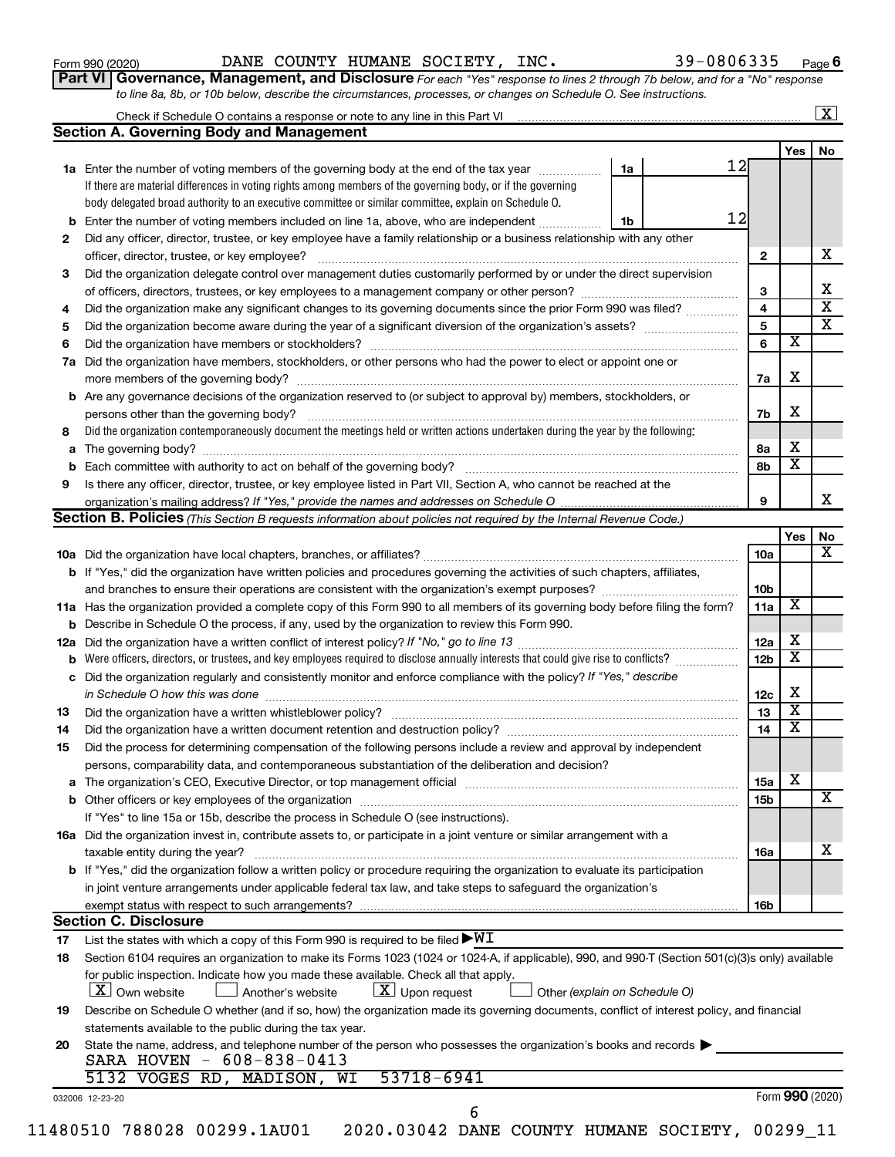Form 990 (2020) Page DANE COUNTY HUMANE SOCIETY, INC. 39-0806335

**Part VI** Governance, Management, and Disclosure For each "Yes" response to lines 2 through 7b below, and for a "No" response *to line 8a, 8b, or 10b below, describe the circumstances, processes, or changes on Schedule O. See instructions.*

|    |                                                                                                                                                                                                                                |    |    |                 |                         | $\mathbf{X}$            |
|----|--------------------------------------------------------------------------------------------------------------------------------------------------------------------------------------------------------------------------------|----|----|-----------------|-------------------------|-------------------------|
|    | <b>Section A. Governing Body and Management</b>                                                                                                                                                                                |    |    |                 |                         |                         |
|    |                                                                                                                                                                                                                                |    | 12 |                 | Yes                     | No                      |
|    | <b>1a</b> Enter the number of voting members of the governing body at the end of the tax year                                                                                                                                  | 1a |    |                 |                         |                         |
|    | If there are material differences in voting rights among members of the governing body, or if the governing                                                                                                                    |    |    |                 |                         |                         |
|    | body delegated broad authority to an executive committee or similar committee, explain on Schedule O.                                                                                                                          |    |    | 12              |                         |                         |
| b  | Enter the number of voting members included on line 1a, above, who are independent                                                                                                                                             | 1b |    |                 |                         |                         |
| 2  | Did any officer, director, trustee, or key employee have a family relationship or a business relationship with any other                                                                                                       |    |    |                 |                         |                         |
|    |                                                                                                                                                                                                                                |    |    | $\mathbf{2}$    |                         | х                       |
| 3  | Did the organization delegate control over management duties customarily performed by or under the direct supervision                                                                                                          |    |    |                 |                         |                         |
|    |                                                                                                                                                                                                                                |    |    | 3               |                         | х                       |
| 4  | Did the organization make any significant changes to its governing documents since the prior Form 990 was filed?                                                                                                               |    |    | 4               |                         | $\overline{\mathbf{x}}$ |
| 5  |                                                                                                                                                                                                                                |    |    | 5               |                         | $\overline{\textbf{x}}$ |
| 6  |                                                                                                                                                                                                                                |    |    | 6               | $\overline{\textbf{x}}$ |                         |
| 7a | Did the organization have members, stockholders, or other persons who had the power to elect or appoint one or                                                                                                                 |    |    |                 |                         |                         |
|    |                                                                                                                                                                                                                                |    |    | 7a              | X                       |                         |
| b  | Are any governance decisions of the organization reserved to (or subject to approval by) members, stockholders, or                                                                                                             |    |    |                 |                         |                         |
|    |                                                                                                                                                                                                                                |    |    | 7b              | X                       |                         |
| 8  | Did the organization contemporaneously document the meetings held or written actions undertaken during the year by the following:                                                                                              |    |    |                 |                         |                         |
| а  |                                                                                                                                                                                                                                |    |    | 8а              | X                       |                         |
| b  |                                                                                                                                                                                                                                |    |    | 8b              | $\overline{\textbf{x}}$ |                         |
| 9  | Is there any officer, director, trustee, or key employee listed in Part VII, Section A, who cannot be reached at the                                                                                                           |    |    |                 |                         |                         |
|    |                                                                                                                                                                                                                                |    |    | 9               |                         | x                       |
|    | <b>Section B. Policies</b> (This Section B requests information about policies not required by the Internal Revenue Code.)                                                                                                     |    |    |                 |                         |                         |
|    |                                                                                                                                                                                                                                |    |    |                 | Yes                     | No                      |
|    |                                                                                                                                                                                                                                |    |    | 10a             |                         | х                       |
|    | <b>b</b> If "Yes," did the organization have written policies and procedures governing the activities of such chapters, affiliates,                                                                                            |    |    |                 |                         |                         |
|    |                                                                                                                                                                                                                                |    |    | 10 <sub>b</sub> |                         |                         |
|    | 11a Has the organization provided a complete copy of this Form 990 to all members of its governing body before filing the form?                                                                                                |    |    | 11a             | X                       |                         |
|    | <b>b</b> Describe in Schedule O the process, if any, used by the organization to review this Form 990.                                                                                                                         |    |    |                 |                         |                         |
|    |                                                                                                                                                                                                                                |    |    | 12a             | Х                       |                         |
| b  | Were officers, directors, or trustees, and key employees required to disclose annually interests that could give rise to conflicts?                                                                                            |    |    | 12 <sub>b</sub> | $\overline{\mathbf{X}}$ |                         |
| с  | Did the organization regularly and consistently monitor and enforce compliance with the policy? If "Yes," describe                                                                                                             |    |    |                 |                         |                         |
|    | in Schedule O how this was done encourance and an according to the state of the state of the state of the state of the state of the state of the state of the state of the state of the state of the state of the state of the |    |    | 12c             | Х                       |                         |
| 13 |                                                                                                                                                                                                                                |    |    | 13              | $\overline{\textbf{x}}$ |                         |
| 14 |                                                                                                                                                                                                                                |    |    | 14              | $\overline{\mathbf{X}}$ |                         |
| 15 | Did the process for determining compensation of the following persons include a review and approval by independent                                                                                                             |    |    |                 |                         |                         |
|    | persons, comparability data, and contemporaneous substantiation of the deliberation and decision?                                                                                                                              |    |    |                 |                         |                         |
|    |                                                                                                                                                                                                                                |    |    |                 | X                       |                         |
| а  |                                                                                                                                                                                                                                |    |    | 15a             |                         | х                       |
|    |                                                                                                                                                                                                                                |    |    | <b>15b</b>      |                         |                         |
|    | If "Yes" to line 15a or 15b, describe the process in Schedule O (see instructions).                                                                                                                                            |    |    |                 |                         |                         |
|    | 16a Did the organization invest in, contribute assets to, or participate in a joint venture or similar arrangement with a                                                                                                      |    |    |                 |                         | x                       |
|    | taxable entity during the year?                                                                                                                                                                                                |    |    | 16a             |                         |                         |
|    | b If "Yes," did the organization follow a written policy or procedure requiring the organization to evaluate its participation                                                                                                 |    |    |                 |                         |                         |
|    | in joint venture arrangements under applicable federal tax law, and take steps to safeguard the organization's                                                                                                                 |    |    |                 |                         |                         |
|    | exempt status with respect to such arrangements?                                                                                                                                                                               |    |    | 16b             |                         |                         |
|    | <b>Section C. Disclosure</b>                                                                                                                                                                                                   |    |    |                 |                         |                         |
| 17 | List the states with which a copy of this Form 990 is required to be filed $\blacktriangleright\texttt{WI}$                                                                                                                    |    |    |                 |                         |                         |
| 18 | Section 6104 requires an organization to make its Forms 1023 (1024 or 1024-A, if applicable), 990, and 990-T (Section 501(c)(3)s only) available                                                                               |    |    |                 |                         |                         |
|    | for public inspection. Indicate how you made these available. Check all that apply.                                                                                                                                            |    |    |                 |                         |                         |
|    | $\lfloor x \rfloor$ Upon request<br>  X   Own website<br>Another's website<br>Other (explain on Schedule O)                                                                                                                    |    |    |                 |                         |                         |
| 19 | Describe on Schedule O whether (and if so, how) the organization made its governing documents, conflict of interest policy, and financial                                                                                      |    |    |                 |                         |                         |
|    | statements available to the public during the tax year.                                                                                                                                                                        |    |    |                 |                         |                         |
| 20 | State the name, address, and telephone number of the person who possesses the organization's books and records                                                                                                                 |    |    |                 |                         |                         |
|    | SARA HOVEN - 608-838-0413                                                                                                                                                                                                      |    |    |                 |                         |                         |
|    | 53718-6941<br>5132 VOGES RD, MADISON, WI                                                                                                                                                                                       |    |    |                 |                         |                         |
|    | 032006 12-23-20                                                                                                                                                                                                                |    |    |                 | Form 990 (2020)         |                         |
|    | 6                                                                                                                                                                                                                              |    |    |                 |                         |                         |
|    | 11480510 788028 00299.1AU01<br>2020.03042 DANE COUNTY HUMANE SOCIETY, 00299_11                                                                                                                                                 |    |    |                 |                         |                         |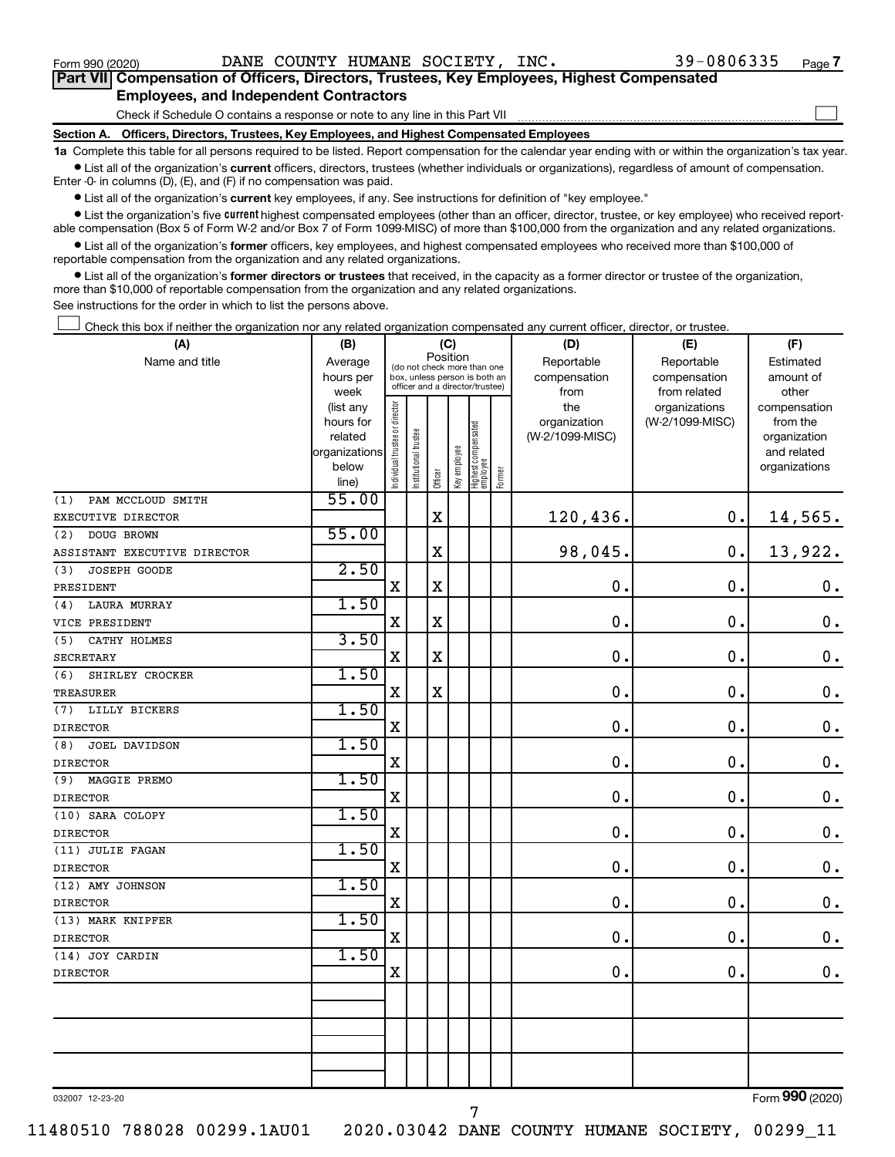$\Box$ 

| Part VII Compensation of Officers, Directors, Trustees, Key Employees, Highest Compensated |  |  |
|--------------------------------------------------------------------------------------------|--|--|
| <b>Employees, and Independent Contractors</b>                                              |  |  |

Check if Schedule O contains a response or note to any line in this Part VII

**Section A. Officers, Directors, Trustees, Key Employees, and Highest Compensated Employees**

**1a**  Complete this table for all persons required to be listed. Report compensation for the calendar year ending with or within the organization's tax year.  $\bullet$  List all of the organization's current officers, directors, trustees (whether individuals or organizations), regardless of amount of compensation.

Enter -0- in columns (D), (E), and (F) if no compensation was paid.

**•** List all of the organization's current key employees, if any. See instructions for definition of "key employee."

• List the organization's five *current* highest compensated employees (other than an officer, director, trustee, or key employee) who received reportable compensation (Box 5 of Form W-2 and/or Box 7 of Form 1099-MISC) of more than \$100,000 from the organization and any related organizations.

 $\bullet$  List all of the organization's former officers, key employees, and highest compensated employees who received more than \$100,000 of reportable compensation from the organization and any related organizations.

**•** List all of the organization's former directors or trustees that received, in the capacity as a former director or trustee of the organization, more than \$10,000 of reportable compensation from the organization and any related organizations.

See instructions for the order in which to list the persons above.

Check this box if neither the organization nor any related organization compensated any current officer, director, or trustee.  $\Box$ 

| (A)                          | (C)<br>(B)             |                                         |                                                                  |             |              |                                   |        | (D)                 | (E)                              | (F)                      |  |  |  |
|------------------------------|------------------------|-----------------------------------------|------------------------------------------------------------------|-------------|--------------|-----------------------------------|--------|---------------------|----------------------------------|--------------------------|--|--|--|
| Name and title               | Average                | Position<br>(do not check more than one |                                                                  |             |              |                                   |        | Reportable          | Reportable                       | Estimated                |  |  |  |
|                              | hours per              |                                         | box, unless person is both an<br>officer and a director/trustee) |             |              |                                   |        | compensation        | compensation                     | amount of                |  |  |  |
|                              | week                   |                                         |                                                                  |             |              |                                   |        | from                | from related                     | other                    |  |  |  |
|                              | (list any<br>hours for |                                         |                                                                  |             |              |                                   |        | the<br>organization | organizations<br>(W-2/1099-MISC) | compensation<br>from the |  |  |  |
|                              | related                |                                         |                                                                  |             |              |                                   |        | (W-2/1099-MISC)     |                                  | organization             |  |  |  |
|                              | organizations          |                                         |                                                                  |             |              |                                   |        |                     |                                  | and related              |  |  |  |
|                              | below                  | Individual trustee or director          |                                                                  |             |              |                                   |        |                     |                                  | organizations            |  |  |  |
|                              | line)                  |                                         | Institutional trustee                                            | Officer     | Key employee | Highest compensated<br>  employee | Former |                     |                                  |                          |  |  |  |
| PAM MCCLOUD SMITH<br>(1)     | 55.00                  |                                         |                                                                  |             |              |                                   |        |                     |                                  |                          |  |  |  |
| EXECUTIVE DIRECTOR           |                        |                                         |                                                                  | $\mathbf X$ |              |                                   |        | 120,436.            | 0.                               | 14,565.                  |  |  |  |
| DOUG BROWN<br>(2)            | 55.00                  |                                         |                                                                  |             |              |                                   |        |                     |                                  |                          |  |  |  |
| ASSISTANT EXECUTIVE DIRECTOR |                        |                                         |                                                                  | $\mathbf X$ |              |                                   |        | 98,045.             | $\mathbf 0$ .                    | 13,922.                  |  |  |  |
| (3)<br><b>JOSEPH GOODE</b>   | 2.50                   |                                         |                                                                  |             |              |                                   |        |                     |                                  |                          |  |  |  |
| PRESIDENT                    |                        | X                                       |                                                                  | $\mathbf X$ |              |                                   |        | $\mathbf 0$ .       | $\mathbf 0$ .                    | $\boldsymbol{0}$ .       |  |  |  |
| <b>LAURA MURRAY</b><br>(4)   | 1.50                   |                                         |                                                                  |             |              |                                   |        |                     |                                  |                          |  |  |  |
| VICE PRESIDENT               |                        | X                                       |                                                                  | $\mathbf X$ |              |                                   |        | $\mathbf 0$ .       | $\mathbf 0$ .                    | $\mathbf 0$ .            |  |  |  |
| CATHY HOLMES<br>(5)          | 3.50                   |                                         |                                                                  |             |              |                                   |        |                     |                                  |                          |  |  |  |
| <b>SECRETARY</b>             |                        | $\mathbf X$                             |                                                                  | $\mathbf X$ |              |                                   |        | $\mathbf 0$ .       | $\mathbf 0$ .                    | $\mathbf 0$ .            |  |  |  |
| (6)<br>SHIRLEY CROCKER       | 1.50                   |                                         |                                                                  |             |              |                                   |        |                     |                                  |                          |  |  |  |
| <b>TREASURER</b>             |                        | $\mathbf X$                             |                                                                  | $\mathbf X$ |              |                                   |        | $\mathbf 0$         | $\mathbf 0$ .                    | $\mathbf 0$ .            |  |  |  |
| (7)<br>LILLY BICKERS         | 1.50                   |                                         |                                                                  |             |              |                                   |        |                     |                                  |                          |  |  |  |
| <b>DIRECTOR</b>              |                        | $\mathbf X$                             |                                                                  |             |              |                                   |        | $\mathbf 0$         | $\mathbf 0$ .                    | $\mathbf 0$ .            |  |  |  |
| (8)<br>JOEL DAVIDSON         | 1.50                   |                                         |                                                                  |             |              |                                   |        |                     |                                  |                          |  |  |  |
| <b>DIRECTOR</b>              |                        | $\mathbf X$                             |                                                                  |             |              |                                   |        | $\mathbf 0$ .       | $\mathbf 0$ .                    | $\mathbf 0$ .            |  |  |  |
| (9)<br>MAGGIE PREMO          | 1.50                   |                                         |                                                                  |             |              |                                   |        |                     |                                  |                          |  |  |  |
| <b>DIRECTOR</b>              |                        | $\mathbf X$                             |                                                                  |             |              |                                   |        | $\mathbf 0$         | $\mathbf 0$ .                    | $\mathbf 0$ .            |  |  |  |
| (10) SARA COLOPY             | 1.50                   |                                         |                                                                  |             |              |                                   |        |                     |                                  |                          |  |  |  |
| <b>DIRECTOR</b>              |                        | $\rm X$                                 |                                                                  |             |              |                                   |        | 0                   | $\mathbf 0$ .                    | $\mathbf 0$ .            |  |  |  |
| (11) JULIE FAGAN             | 1.50                   |                                         |                                                                  |             |              |                                   |        |                     |                                  |                          |  |  |  |
| <b>DIRECTOR</b>              |                        | X                                       |                                                                  |             |              |                                   |        | $\mathbf 0$         | $\mathbf 0$ .                    | $\mathbf 0$ .            |  |  |  |
| (12) AMY JOHNSON             | 1.50                   |                                         |                                                                  |             |              |                                   |        |                     |                                  |                          |  |  |  |
| <b>DIRECTOR</b>              |                        | $\mathbf X$                             |                                                                  |             |              |                                   |        | $\mathbf 0$ .       | $\mathbf 0$ .                    | $\mathbf 0$ .            |  |  |  |
| (13) MARK KNIPFER            | 1.50                   |                                         |                                                                  |             |              |                                   |        |                     |                                  |                          |  |  |  |
| <b>DIRECTOR</b>              |                        | $\mathbf X$                             |                                                                  |             |              |                                   |        | $\mathbf 0$         | $\mathbf 0$ .                    | $\mathbf 0$ .            |  |  |  |
| (14) JOY CARDIN              | 1.50                   |                                         |                                                                  |             |              |                                   |        |                     |                                  |                          |  |  |  |
| <b>DIRECTOR</b>              |                        | $\mathbf X$                             |                                                                  |             |              |                                   |        | $\mathbf 0$ .       | $\mathbf 0$ .                    | $\mathbf 0$ .            |  |  |  |
|                              |                        |                                         |                                                                  |             |              |                                   |        |                     |                                  |                          |  |  |  |
|                              |                        |                                         |                                                                  |             |              |                                   |        |                     |                                  |                          |  |  |  |
|                              |                        |                                         |                                                                  |             |              |                                   |        |                     |                                  |                          |  |  |  |
|                              |                        |                                         |                                                                  |             |              |                                   |        |                     |                                  |                          |  |  |  |
|                              |                        |                                         |                                                                  |             |              |                                   |        |                     |                                  |                          |  |  |  |
|                              |                        |                                         |                                                                  |             |              |                                   |        |                     |                                  |                          |  |  |  |

032007 12-23-20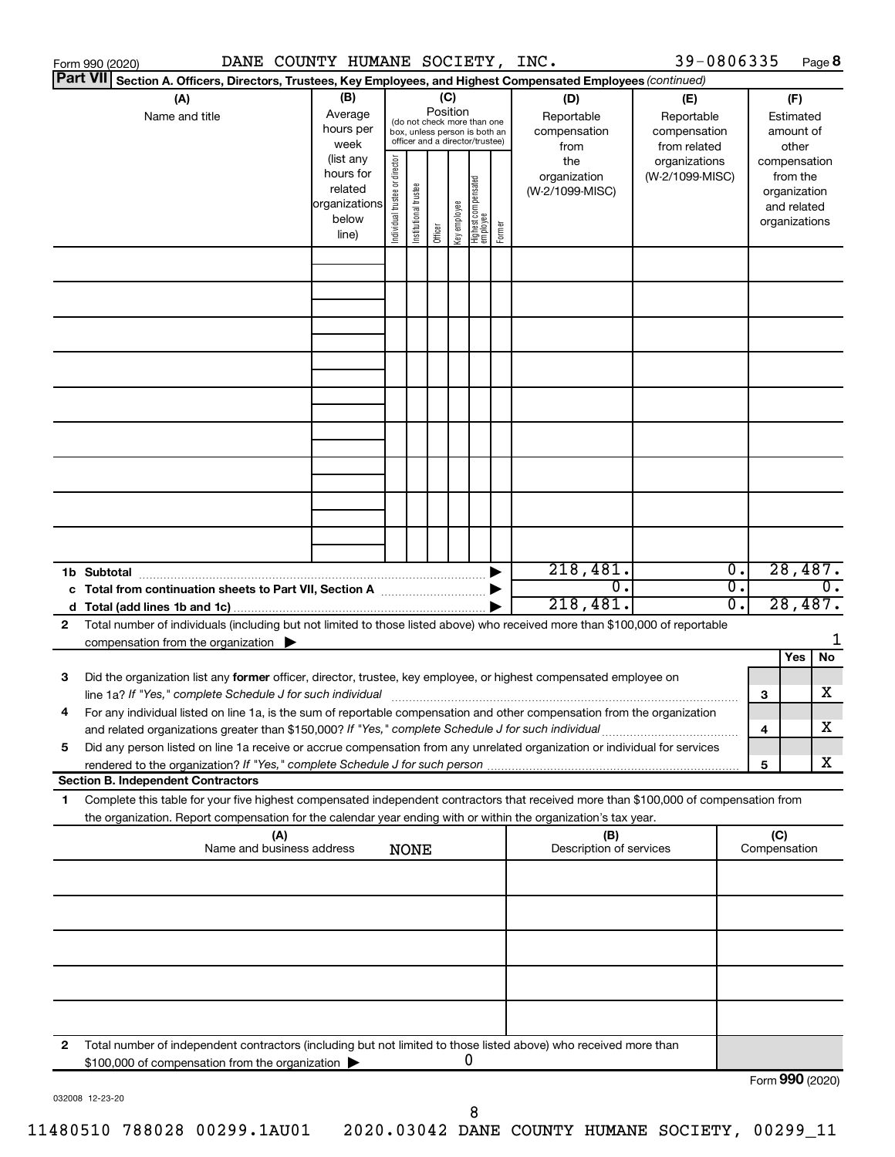|                 | DANE COUNTY HUMANE SOCIETY, INC.<br>Form 990 (2020)                                                                                  |                          |                                |                       |          |              |                                                              |        |                                | 39-0806335      |                  |                     | Page 8        |                  |
|-----------------|--------------------------------------------------------------------------------------------------------------------------------------|--------------------------|--------------------------------|-----------------------|----------|--------------|--------------------------------------------------------------|--------|--------------------------------|-----------------|------------------|---------------------|---------------|------------------|
| <b>Part VII</b> | Section A. Officers, Directors, Trustees, Key Employees, and Highest Compensated Employees (continued)                               |                          |                                |                       |          |              |                                                              |        |                                |                 |                  |                     |               |                  |
|                 | (A)                                                                                                                                  | (B)                      |                                |                       | (C)      |              |                                                              |        | (D)                            | (E)             |                  |                     | (F)           |                  |
|                 | Name and title                                                                                                                       | Average                  |                                |                       | Position |              |                                                              |        | Reportable                     | Reportable      |                  |                     | Estimated     |                  |
|                 |                                                                                                                                      | hours per                |                                |                       |          |              | (do not check more than one<br>box, unless person is both an |        | compensation                   | compensation    |                  |                     | amount of     |                  |
|                 |                                                                                                                                      | week                     |                                |                       |          |              | officer and a director/trustee)                              |        | from                           | from related    |                  |                     | other         |                  |
|                 |                                                                                                                                      | (list any                |                                |                       |          |              |                                                              |        | the                            | organizations   |                  |                     | compensation  |                  |
|                 |                                                                                                                                      | hours for                |                                |                       |          |              |                                                              |        | organization                   | (W-2/1099-MISC) |                  |                     | from the      |                  |
|                 |                                                                                                                                      | related<br>organizations |                                |                       |          |              |                                                              |        | (W-2/1099-MISC)                |                 |                  |                     | organization  |                  |
|                 |                                                                                                                                      | below                    |                                |                       |          |              |                                                              |        |                                |                 |                  |                     | and related   |                  |
|                 |                                                                                                                                      | line)                    | Individual trustee or director | Institutional trustee | Officer  | Key employee | Highest compensated<br>  employee                            | Former |                                |                 |                  |                     | organizations |                  |
|                 |                                                                                                                                      |                          |                                |                       |          |              |                                                              |        |                                |                 |                  |                     |               |                  |
|                 |                                                                                                                                      |                          |                                |                       |          |              |                                                              |        |                                |                 |                  |                     |               |                  |
|                 |                                                                                                                                      |                          |                                |                       |          |              |                                                              |        |                                |                 |                  |                     |               |                  |
|                 |                                                                                                                                      |                          |                                |                       |          |              |                                                              |        |                                |                 |                  |                     |               |                  |
|                 |                                                                                                                                      |                          |                                |                       |          |              |                                                              |        |                                |                 |                  |                     |               |                  |
|                 |                                                                                                                                      |                          |                                |                       |          |              |                                                              |        |                                |                 |                  |                     |               |                  |
|                 |                                                                                                                                      |                          |                                |                       |          |              |                                                              |        |                                |                 |                  |                     |               |                  |
|                 |                                                                                                                                      |                          |                                |                       |          |              |                                                              |        |                                |                 |                  |                     |               |                  |
|                 |                                                                                                                                      |                          |                                |                       |          |              |                                                              |        |                                |                 |                  |                     |               |                  |
|                 |                                                                                                                                      |                          |                                |                       |          |              |                                                              |        |                                |                 |                  |                     |               |                  |
|                 |                                                                                                                                      |                          |                                |                       |          |              |                                                              |        |                                |                 |                  |                     |               |                  |
|                 |                                                                                                                                      |                          |                                |                       |          |              |                                                              |        |                                |                 |                  |                     |               |                  |
|                 |                                                                                                                                      |                          |                                |                       |          |              |                                                              |        |                                |                 |                  |                     |               |                  |
|                 |                                                                                                                                      |                          |                                |                       |          |              |                                                              |        |                                |                 |                  |                     |               |                  |
|                 |                                                                                                                                      |                          |                                |                       |          |              |                                                              |        |                                |                 |                  |                     |               |                  |
|                 |                                                                                                                                      |                          |                                |                       |          |              |                                                              |        |                                |                 |                  |                     |               |                  |
|                 |                                                                                                                                      |                          |                                |                       |          |              |                                                              |        |                                |                 |                  |                     |               |                  |
|                 |                                                                                                                                      |                          |                                |                       |          |              |                                                              |        |                                |                 |                  |                     |               |                  |
|                 |                                                                                                                                      |                          |                                |                       |          |              |                                                              |        | 218,481.                       |                 | $\overline{0}$ . |                     | 28,487.       |                  |
|                 | 1b Subtotal                                                                                                                          |                          |                                |                       |          |              |                                                              |        | $\overline{0}$ .               |                 | σ.               |                     |               | $\overline{0}$ . |
|                 |                                                                                                                                      |                          |                                |                       |          |              |                                                              |        | 218,481.                       |                 | 0.               |                     | 28,487.       |                  |
|                 |                                                                                                                                      |                          |                                |                       |          |              |                                                              |        |                                |                 |                  |                     |               |                  |
| 2               | Total number of individuals (including but not limited to those listed above) who received more than \$100,000 of reportable         |                          |                                |                       |          |              |                                                              |        |                                |                 |                  |                     |               | 1                |
|                 | compensation from the organization $\blacktriangleright$                                                                             |                          |                                |                       |          |              |                                                              |        |                                |                 |                  |                     | Yes           | No               |
|                 |                                                                                                                                      |                          |                                |                       |          |              |                                                              |        |                                |                 |                  |                     |               |                  |
| 3               | Did the organization list any former officer, director, trustee, key employee, or highest compensated employee on                    |                          |                                |                       |          |              |                                                              |        |                                |                 |                  |                     |               | х                |
|                 | line 1a? If "Yes," complete Schedule J for such individual manufactured content to the set of the set of the s                       |                          |                                |                       |          |              |                                                              |        |                                |                 |                  | 3                   |               |                  |
|                 | For any individual listed on line 1a, is the sum of reportable compensation and other compensation from the organization             |                          |                                |                       |          |              |                                                              |        |                                |                 |                  |                     |               | х                |
|                 | and related organizations greater than \$150,000? If "Yes," complete Schedule J for such individual                                  |                          |                                |                       |          |              |                                                              |        |                                |                 |                  | 4                   |               |                  |
| 5               | Did any person listed on line 1a receive or accrue compensation from any unrelated organization or individual for services           |                          |                                |                       |          |              |                                                              |        |                                |                 |                  |                     |               | х                |
|                 |                                                                                                                                      |                          |                                |                       |          |              |                                                              |        |                                |                 |                  | 5                   |               |                  |
|                 | <b>Section B. Independent Contractors</b>                                                                                            |                          |                                |                       |          |              |                                                              |        |                                |                 |                  |                     |               |                  |
| 1.              | Complete this table for your five highest compensated independent contractors that received more than \$100,000 of compensation from |                          |                                |                       |          |              |                                                              |        |                                |                 |                  |                     |               |                  |
|                 | the organization. Report compensation for the calendar year ending with or within the organization's tax year.                       |                          |                                |                       |          |              |                                                              |        |                                |                 |                  |                     |               |                  |
|                 | (A)<br>Name and business address                                                                                                     |                          |                                | <b>NONE</b>           |          |              |                                                              |        | (B)<br>Description of services |                 |                  | (C)<br>Compensation |               |                  |
|                 |                                                                                                                                      |                          |                                |                       |          |              |                                                              |        |                                |                 |                  |                     |               |                  |
|                 |                                                                                                                                      |                          |                                |                       |          |              |                                                              |        |                                |                 |                  |                     |               |                  |
|                 |                                                                                                                                      |                          |                                |                       |          |              |                                                              |        |                                |                 |                  |                     |               |                  |
|                 |                                                                                                                                      |                          |                                |                       |          |              |                                                              |        |                                |                 |                  |                     |               |                  |
|                 |                                                                                                                                      |                          |                                |                       |          |              |                                                              |        |                                |                 |                  |                     |               |                  |
|                 |                                                                                                                                      |                          |                                |                       |          |              |                                                              |        |                                |                 |                  |                     |               |                  |
|                 |                                                                                                                                      |                          |                                |                       |          |              |                                                              |        |                                |                 |                  |                     |               |                  |
|                 |                                                                                                                                      |                          |                                |                       |          |              |                                                              |        |                                |                 |                  |                     |               |                  |
|                 |                                                                                                                                      |                          |                                |                       |          |              |                                                              |        |                                |                 |                  |                     |               |                  |
|                 |                                                                                                                                      |                          |                                |                       |          |              |                                                              |        |                                |                 |                  |                     |               |                  |
| 2               | Total number of independent contractors (including but not limited to those listed above) who received more than                     |                          |                                |                       |          |              |                                                              |        |                                |                 |                  |                     |               |                  |
|                 | \$100,000 of compensation from the organization                                                                                      |                          |                                |                       |          |              | 0                                                            |        |                                |                 |                  |                     |               |                  |
|                 |                                                                                                                                      |                          |                                |                       |          |              |                                                              |        |                                |                 |                  | Form 990 (2020)     |               |                  |

032008 12-23-20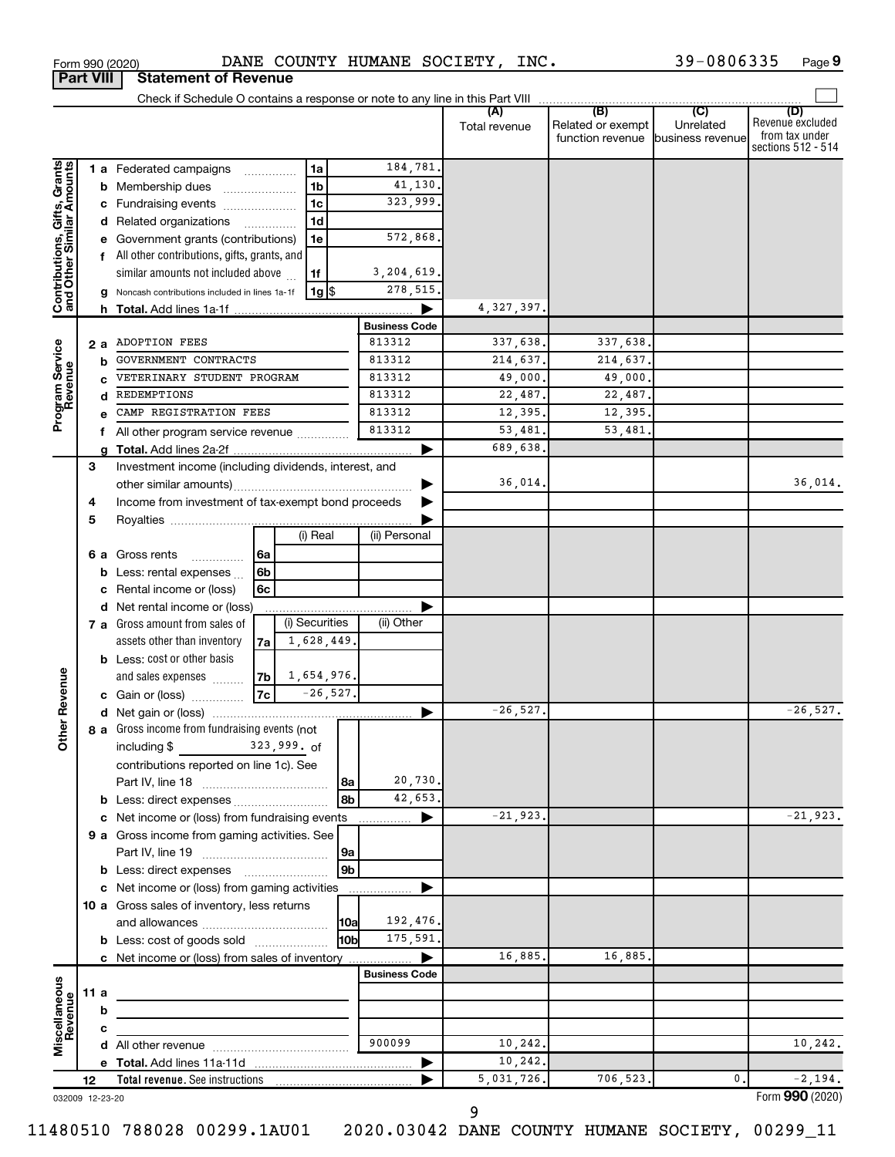|                                                           |                 |                                                           |    |                 |            |                      | (A)           | (B)               | (C)              | (D)                                  |
|-----------------------------------------------------------|-----------------|-----------------------------------------------------------|----|-----------------|------------|----------------------|---------------|-------------------|------------------|--------------------------------------|
|                                                           |                 |                                                           |    |                 |            |                      | Total revenue | Related or exempt | Unrelated        | Revenue excluded                     |
|                                                           |                 |                                                           |    |                 |            |                      |               | function revenue  | business revenue | from tax under<br>sections 512 - 514 |
|                                                           |                 |                                                           |    |                 |            | 184,781.             |               |                   |                  |                                      |
|                                                           |                 | <b>1 a</b> Federated campaigns                            |    | 1a              |            |                      |               |                   |                  |                                      |
|                                                           |                 | <b>b</b> Membership dues<br>$\ldots \ldots \ldots \ldots$ |    | 1 <sub>b</sub>  |            | 41,130.              |               |                   |                  |                                      |
| Contributions, Gifts, Grants<br>and Other Similar Amounts |                 | c Fundraising events                                      |    | 1c              |            | 323,999.             |               |                   |                  |                                      |
|                                                           |                 | d Related organizations                                   |    | 1d              |            |                      |               |                   |                  |                                      |
|                                                           |                 | e Government grants (contributions)                       |    | 1e              |            | 572,868.             |               |                   |                  |                                      |
|                                                           |                 | f All other contributions, gifts, grants, and             |    |                 |            |                      |               |                   |                  |                                      |
|                                                           |                 | similar amounts not included above                        |    | 1f              |            | 3,204,619.           |               |                   |                  |                                      |
|                                                           |                 | g Noncash contributions included in lines 1a-1f           |    | <u>  1g</u>  \$ |            | 278, 515.            |               |                   |                  |                                      |
|                                                           |                 | h Total. Add lines 1a-1f                                  |    |                 |            |                      | 4, 327, 397.  |                   |                  |                                      |
|                                                           |                 |                                                           |    |                 |            | <b>Business Code</b> |               |                   |                  |                                      |
|                                                           | 2 a             | ADOPTION FEES                                             |    |                 |            | 813312               | 337,638.      | 337,638.          |                  |                                      |
|                                                           | b               | GOVERNMENT CONTRACTS                                      |    |                 |            | 813312               | 214,637.      | 214,637.          |                  |                                      |
| Program Service<br>Revenue                                |                 | VETERINARY STUDENT PROGRAM                                |    |                 |            | 813312               | 49,000.       | 49,000.           |                  |                                      |
|                                                           |                 | REDEMPTIONS                                               |    |                 |            | 813312               | 22,487.       | 22,487.           |                  |                                      |
|                                                           |                 | CAMP REGISTRATION FEES                                    |    |                 |            | 813312               | 12,395.       | 12,395.           |                  |                                      |
|                                                           | f.              | All other program service revenue                         |    |                 |            | 813312               | 53,481.       | 53,481            |                  |                                      |
|                                                           |                 |                                                           |    |                 |            |                      | 689,638.      |                   |                  |                                      |
|                                                           | 3               | Investment income (including dividends, interest, and     |    |                 |            |                      |               |                   |                  |                                      |
|                                                           |                 |                                                           |    |                 |            |                      | 36,014.       |                   |                  | 36,014.                              |
|                                                           | 4               | Income from investment of tax-exempt bond proceeds        |    |                 |            |                      |               |                   |                  |                                      |
|                                                           | 5               |                                                           |    |                 |            |                      |               |                   |                  |                                      |
|                                                           |                 |                                                           |    | (i) Real        |            | (ii) Personal        |               |                   |                  |                                      |
|                                                           | 6а              | Gross rents                                               | 6a |                 |            |                      |               |                   |                  |                                      |
|                                                           |                 | <b>b</b> Less: rental expenses $\ldots$                   | 6b |                 |            |                      |               |                   |                  |                                      |
|                                                           | c               | Rental income or (loss)                                   | 6с |                 |            |                      |               |                   |                  |                                      |
|                                                           |                 | d Net rental income or (loss)                             |    |                 |            |                      |               |                   |                  |                                      |
|                                                           |                 | 7 a Gross amount from sales of                            |    | (i) Securities  |            | (ii) Other           |               |                   |                  |                                      |
|                                                           |                 | assets other than inventory                               | 7a | 1,628,449       |            |                      |               |                   |                  |                                      |
|                                                           |                 | <b>b</b> Less: cost or other basis                        |    |                 |            |                      |               |                   |                  |                                      |
|                                                           |                 | and sales expenses                                        | 7b | 1,654,976.      |            |                      |               |                   |                  |                                      |
| her Revenue                                               |                 | c Gain or (loss)                                          | 7c |                 | $-26,527.$ |                      |               |                   |                  |                                      |
|                                                           |                 |                                                           |    |                 |            |                      | $-26, 527.$   |                   |                  | $-26,527.$                           |
|                                                           |                 | 8 a Gross income from fundraising events (not             |    |                 |            |                      |               |                   |                  |                                      |
| ō                                                         |                 | including \$                                              |    | 323,999. of     |            |                      |               |                   |                  |                                      |
|                                                           |                 | contributions reported on line 1c). See                   |    |                 |            |                      |               |                   |                  |                                      |
|                                                           |                 |                                                           |    |                 | 8a         | 20,730.              |               |                   |                  |                                      |
|                                                           |                 | b Less: direct expenses                                   |    |                 | 8b         | 42,653.              |               |                   |                  |                                      |
|                                                           | с               | Net income or (loss) from fundraising events              |    |                 |            | .                    | $-21,923.$    |                   |                  | $-21,923.$                           |
|                                                           |                 | 9 a Gross income from gaming activities. See              |    |                 |            |                      |               |                   |                  |                                      |
|                                                           |                 |                                                           |    |                 | 9a         |                      |               |                   |                  |                                      |
|                                                           |                 |                                                           |    |                 | 9b         |                      |               |                   |                  |                                      |
|                                                           | с               | Net income or (loss) from gaming activities               |    |                 |            |                      |               |                   |                  |                                      |
|                                                           |                 | 10 a Gross sales of inventory, less returns               |    |                 |            |                      |               |                   |                  |                                      |
|                                                           |                 |                                                           |    |                 | 10a        | 192,476.             |               |                   |                  |                                      |
|                                                           |                 | <b>b</b> Less: cost of goods sold<br>10bl                 |    | 175,591.        |            |                      |               |                   |                  |                                      |
|                                                           |                 | c Net income or (loss) from sales of inventory            |    |                 |            |                      | 16,885.       | 16,885.           |                  |                                      |
|                                                           |                 |                                                           |    |                 |            | <b>Business Code</b> |               |                   |                  |                                      |
|                                                           | 11 a            |                                                           |    |                 |            |                      |               |                   |                  |                                      |
|                                                           | b               |                                                           |    |                 |            |                      |               |                   |                  |                                      |
|                                                           | c               |                                                           |    |                 |            |                      |               |                   |                  |                                      |
| Miscellaneous<br>Revenue                                  | d               |                                                           |    |                 |            | 900099               | 10,242.       |                   |                  | 10,242.                              |
|                                                           |                 |                                                           |    |                 |            |                      | 10,242.       |                   |                  |                                      |
|                                                           | 12              | Total revenue. See instructions                           |    |                 |            |                      | 5,031,726.    | 706,523.          | $\mathbf{0}$ .   | $-2,194.$                            |
|                                                           | 032009 12-23-20 |                                                           |    |                 |            |                      |               |                   |                  | Form 990 (2020)                      |

Form 990 (2020)  $\blacksquare$  DANE COUNTY HUMANE SOCIETY, INC.  $\blacksquare$  39-0806335 Page

032009 12-23-20

11480510 788028 00299.1AU01 2020.03042 DANE COUNTY HUMANE SOCIETY, 00299\_11

**Part VIII Statement of Revenue**

**9**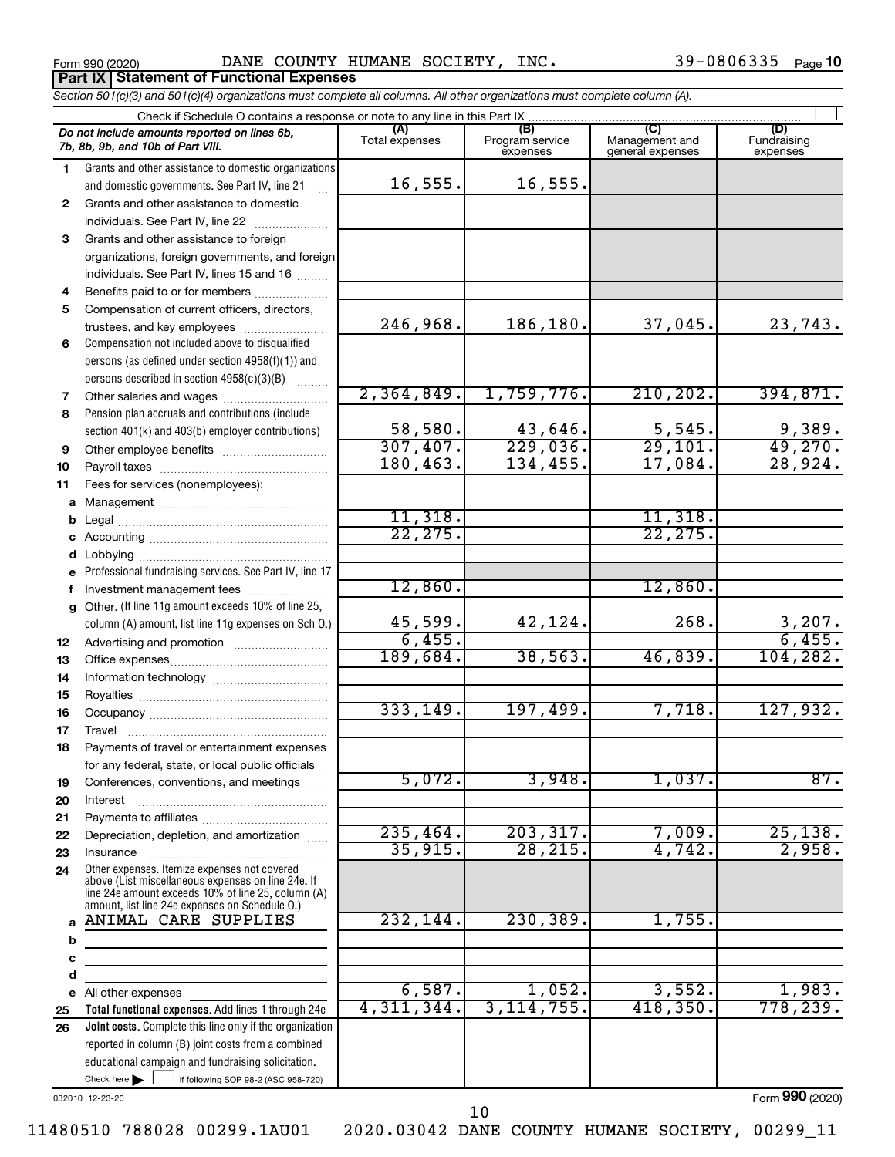**Part IX Statement of Functional Expenses**

Form 990 (2020) Page DANE COUNTY HUMANE SOCIETY, INC. 39-0806335

39-0806335 Page 10

*Section 501(c)(3) and 501(c)(4) organizations must complete all columns. All other organizations must complete column (A).*

|              | Check if Schedule O contains a response or note to any line in this Part IX.                                                                             |                       |                                    |                                           |                                |
|--------------|----------------------------------------------------------------------------------------------------------------------------------------------------------|-----------------------|------------------------------------|-------------------------------------------|--------------------------------|
|              | Do not include amounts reported on lines 6b,<br>7b, 8b, 9b, and 10b of Part VIII.                                                                        | (A)<br>Total expenses | (B)<br>Program service<br>expenses | (C)<br>Management and<br>general expenses | (D)<br>Fundraising<br>expenses |
| 1.           | Grants and other assistance to domestic organizations                                                                                                    |                       |                                    |                                           |                                |
|              | and domestic governments. See Part IV, line 21                                                                                                           | 16, 555.              | 16,555.                            |                                           |                                |
| $\mathbf{2}$ | Grants and other assistance to domestic                                                                                                                  |                       |                                    |                                           |                                |
|              | individuals. See Part IV, line 22                                                                                                                        |                       |                                    |                                           |                                |
| 3            | Grants and other assistance to foreign                                                                                                                   |                       |                                    |                                           |                                |
|              | organizations, foreign governments, and foreign                                                                                                          |                       |                                    |                                           |                                |
|              | individuals. See Part IV, lines 15 and 16                                                                                                                |                       |                                    |                                           |                                |
| 4            | Benefits paid to or for members                                                                                                                          |                       |                                    |                                           |                                |
| 5            | Compensation of current officers, directors,                                                                                                             |                       |                                    |                                           |                                |
|              | trustees, and key employees                                                                                                                              | 246,968.              | 186,180.                           | 37,045.                                   | 23,743.                        |
| 6            | Compensation not included above to disqualified                                                                                                          |                       |                                    |                                           |                                |
|              | persons (as defined under section 4958(f)(1)) and                                                                                                        |                       |                                    |                                           |                                |
|              | persons described in section 4958(c)(3)(B)                                                                                                               |                       |                                    |                                           |                                |
| 7            |                                                                                                                                                          | 2,364,849.            | 1,759,776.                         | 210, 202.                                 | 394,871.                       |
| 8            | Pension plan accruals and contributions (include                                                                                                         |                       |                                    |                                           |                                |
|              | section 401(k) and 403(b) employer contributions)                                                                                                        | 58,580.               | 43,646.                            | 5,545.                                    | 9,389.                         |
| 9            |                                                                                                                                                          | 307,407.              | 229,036.                           | 29,101.                                   | 49,270.                        |
| 10           |                                                                                                                                                          | 180, 463.             | 134,455.                           | 17,084.                                   | 28,924.                        |
| 11           | Fees for services (nonemployees):                                                                                                                        |                       |                                    |                                           |                                |
|              |                                                                                                                                                          |                       |                                    |                                           |                                |
| b            |                                                                                                                                                          | 11,318.               |                                    | 11,318.                                   |                                |
| с            |                                                                                                                                                          | 22, 275.              |                                    | 22, 275.                                  |                                |
| d            |                                                                                                                                                          |                       |                                    |                                           |                                |
| e            | Professional fundraising services. See Part IV, line 17                                                                                                  |                       |                                    |                                           |                                |
|              |                                                                                                                                                          | 12,860.               |                                    | 12,860.                                   |                                |
| a            | Other. (If line 11g amount exceeds 10% of line 25,                                                                                                       |                       |                                    | 268.                                      |                                |
|              | column (A) amount, list line 11g expenses on Sch O.)                                                                                                     | 45,599.<br>6,455.     | 42,124.                            |                                           | 3,207.<br>6,455.               |
| 12           |                                                                                                                                                          | 189,684.              | 38, 563.                           | 46,839.                                   | 104, 282.                      |
| 13           |                                                                                                                                                          |                       |                                    |                                           |                                |
| 14           |                                                                                                                                                          |                       |                                    |                                           |                                |
| 15           |                                                                                                                                                          | 333,149.              | 197,499.                           | 7,718.                                    | 127,932.                       |
| 16           |                                                                                                                                                          |                       |                                    |                                           |                                |
| 17           | Payments of travel or entertainment expenses                                                                                                             |                       |                                    |                                           |                                |
| 18           | for any federal, state, or local public officials                                                                                                        |                       |                                    |                                           |                                |
| 19           | Conferences, conventions, and meetings                                                                                                                   | 5,072.                | 3,948.                             | 1,037.                                    | 87.                            |
| 20           | Interest                                                                                                                                                 |                       |                                    |                                           |                                |
| 21           |                                                                                                                                                          |                       |                                    |                                           |                                |
| 22           | Depreciation, depletion, and amortization                                                                                                                | 235,464.              | 203, 317.                          | 7,009.                                    | 25,138.                        |
| 23           | Insurance                                                                                                                                                | 35,915.               | 28, 215.                           | 4,742.                                    | 2,958.                         |
| 24           | Other expenses. Itemize expenses not covered<br>above (List miscellaneous expenses on line 24e. If<br>line 24e amount exceeds 10% of line 25, column (A) |                       |                                    |                                           |                                |
|              | amount, list line 24e expenses on Schedule O.)<br>ANIMAL CARE SUPPLIES                                                                                   | 232,144.              | 230, 389.                          | 1,755.                                    |                                |
| a            |                                                                                                                                                          |                       |                                    |                                           |                                |
| b            |                                                                                                                                                          |                       |                                    |                                           |                                |
| c            |                                                                                                                                                          |                       |                                    |                                           |                                |
| d            |                                                                                                                                                          | 6,587.                | 1,052.                             | 3,552.                                    | 1,983.                         |
| е            | All other expenses<br>Total functional expenses. Add lines 1 through 24e                                                                                 | 4,311,344.            | 3, 114, 755.                       | 418,350.                                  | 778, 239.                      |
| 25           |                                                                                                                                                          |                       |                                    |                                           |                                |
| 26           | Joint costs. Complete this line only if the organization<br>reported in column (B) joint costs from a combined                                           |                       |                                    |                                           |                                |
|              | educational campaign and fundraising solicitation.                                                                                                       |                       |                                    |                                           |                                |
|              | Check here<br>if following SOP 98-2 (ASC 958-720)                                                                                                        |                       |                                    |                                           |                                |
|              |                                                                                                                                                          |                       |                                    |                                           | $000$ (2222)                   |

032010 12-23-20

Form (2020) **990**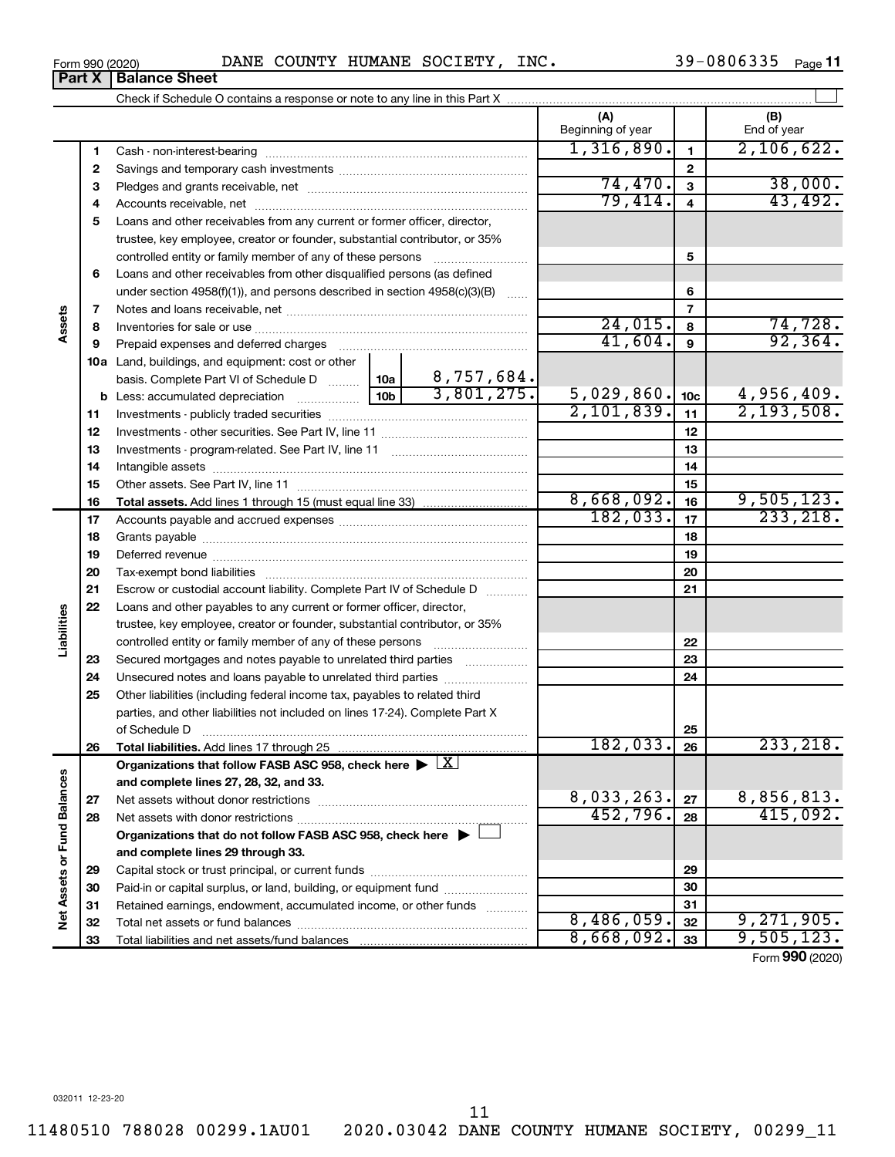11

11480510 788028 00299.1AU01 2020.03042 DANE COUNTY HUMANE SOCIETY, 00299\_11

**Part X** | Balance Sheet

|                             |          |                                                                                                        |                 |                          | (A)<br>Beginning of year |                         | (B)<br>End of year      |
|-----------------------------|----------|--------------------------------------------------------------------------------------------------------|-----------------|--------------------------|--------------------------|-------------------------|-------------------------|
|                             | 1        |                                                                                                        |                 |                          | 1,316,890.               | $\mathbf{1}$            | 2,106,622.              |
|                             | 2        |                                                                                                        |                 | $\mathbf{2}$             |                          |                         |                         |
|                             | З        |                                                                                                        |                 |                          | 74,470.                  | $\overline{\mathbf{3}}$ | 38,000.                 |
|                             | 4        |                                                                                                        |                 | 79,414.                  | $\overline{4}$           | 43,492.                 |                         |
|                             | 5        | Loans and other receivables from any current or former officer, director,                              |                 |                          |                          |                         |                         |
|                             |          | trustee, key employee, creator or founder, substantial contributor, or 35%                             |                 |                          |                          |                         |                         |
|                             |          | controlled entity or family member of any of these persons                                             |                 |                          |                          | 5                       |                         |
|                             | 6        | Loans and other receivables from other disqualified persons (as defined                                |                 |                          |                          |                         |                         |
|                             |          | under section 4958(f)(1)), and persons described in section $4958(c)(3)(B)$                            |                 | 6                        |                          |                         |                         |
|                             | 7        |                                                                                                        |                 |                          |                          | $\overline{7}$          |                         |
| Assets                      | 8        |                                                                                                        |                 |                          | 24,015.                  | 8                       | 74,728.                 |
|                             | 9        | Prepaid expenses and deferred charges                                                                  |                 |                          | 41,604.                  | 9                       | 92, 364.                |
|                             |          | 10a Land, buildings, and equipment: cost or other                                                      |                 |                          |                          |                         |                         |
|                             |          | basis. Complete Part VI of Schedule D  10a                                                             | 10 <sub>b</sub> | 8,757,684.<br>3,801,275. |                          |                         |                         |
|                             |          | <b>b</b> Less: accumulated depreciation                                                                | 5,029,860.      | 10 <sub>c</sub>          | 4,956,409.               |                         |                         |
|                             | 11       |                                                                                                        | 2,101,839.      | 11                       | 2, 193, 508.             |                         |                         |
|                             | 12       |                                                                                                        |                 | 12                       |                          |                         |                         |
|                             | 13       |                                                                                                        |                 | 13                       |                          |                         |                         |
|                             | 14       |                                                                                                        |                 | 14                       |                          |                         |                         |
|                             | 15       |                                                                                                        |                 |                          |                          | 15                      |                         |
|                             | 16       |                                                                                                        |                 |                          | 8,668,092.               | 16                      | 9,505,123.<br>233, 218. |
|                             | 17       |                                                                                                        |                 | 182,033.                 | 17                       |                         |                         |
|                             | 18       |                                                                                                        |                 | 18                       |                          |                         |                         |
|                             | 19       |                                                                                                        |                 |                          | 19                       |                         |                         |
|                             | 20       |                                                                                                        |                 |                          |                          | 20                      |                         |
|                             | 21       | Escrow or custodial account liability. Complete Part IV of Schedule D                                  |                 |                          |                          | 21                      |                         |
| Liabilities                 | 22       | Loans and other payables to any current or former officer, director,                                   |                 |                          |                          |                         |                         |
|                             |          | trustee, key employee, creator or founder, substantial contributor, or 35%                             |                 |                          |                          |                         |                         |
|                             |          |                                                                                                        |                 |                          |                          | 22                      |                         |
|                             | 23       | Secured mortgages and notes payable to unrelated third parties                                         |                 |                          |                          | 23<br>24                |                         |
|                             | 24<br>25 | Other liabilities (including federal income tax, payables to related third                             |                 |                          |                          |                         |                         |
|                             |          | parties, and other liabilities not included on lines 17-24). Complete Part X                           |                 |                          |                          |                         |                         |
|                             |          | of Schedule D                                                                                          |                 |                          |                          | 25                      |                         |
|                             | 26       | Total liabilities. Add lines 17 through 25                                                             |                 |                          | 182,033.                 | 26                      | 233, 218.               |
|                             |          | Organizations that follow FASB ASC 958, check here $\blacktriangleright \lfloor \underline{X} \rfloor$ |                 |                          |                          |                         |                         |
|                             |          | and complete lines 27, 28, 32, and 33.                                                                 |                 |                          |                          |                         |                         |
|                             | 27       |                                                                                                        |                 |                          | 8,033,263.               | 27                      | 8,856,813.              |
|                             | 28       |                                                                                                        |                 |                          | 452,796.                 | 28                      | 415,092.                |
|                             |          | Organizations that do not follow FASB ASC 958, check here ▶ L                                          |                 |                          |                          |                         |                         |
|                             |          | and complete lines 29 through 33.                                                                      |                 |                          |                          |                         |                         |
| Net Assets or Fund Balances | 29       |                                                                                                        |                 |                          |                          | 29                      |                         |
|                             | 30       | Paid-in or capital surplus, or land, building, or equipment fund                                       |                 |                          |                          | 30                      |                         |
|                             | 31       | Retained earnings, endowment, accumulated income, or other funds                                       |                 |                          |                          | 31                      |                         |
|                             | 32       |                                                                                                        |                 |                          | 8,486,059.               | 32                      | 9,271,905.              |
|                             | 33       |                                                                                                        | 8,668,092.      | 33                       | 9,505,123.               |                         |                         |

Form (2020) **990**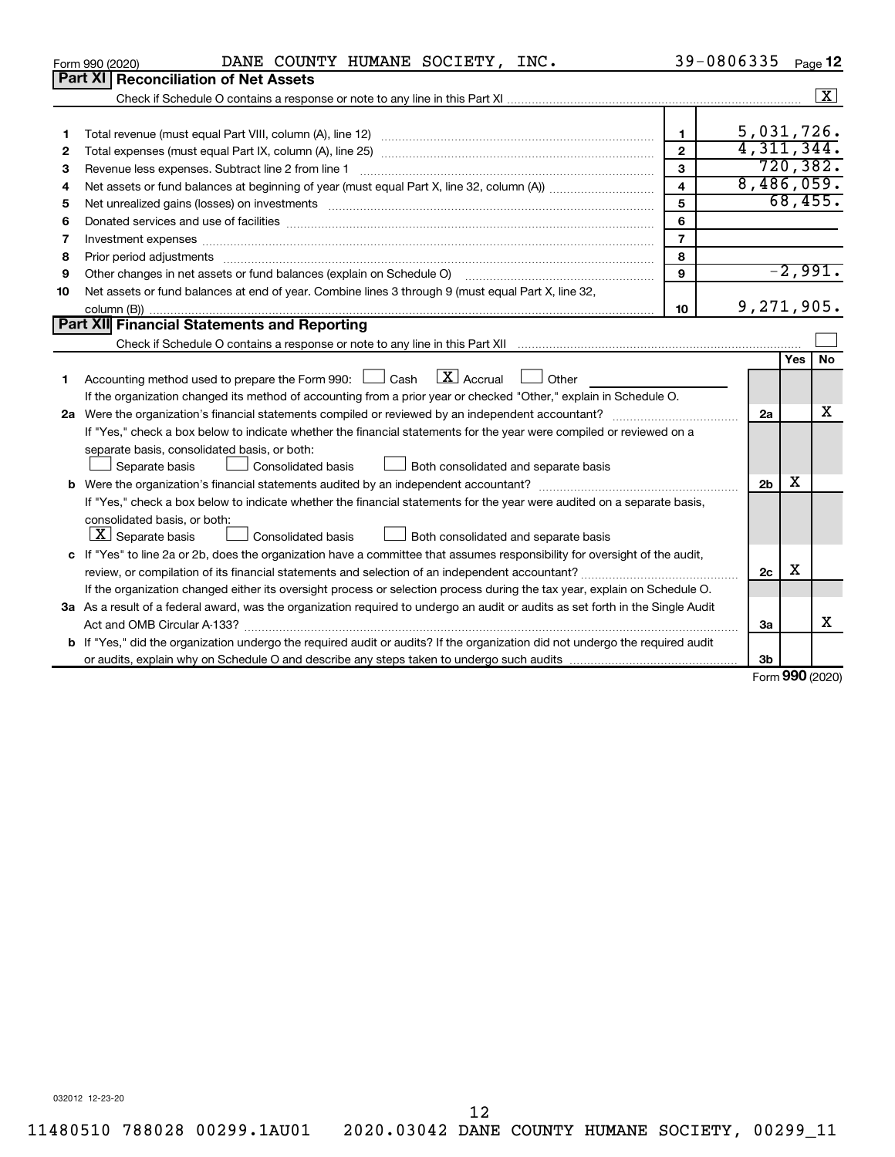|    | DANE COUNTY HUMANE SOCIETY, INC.<br>Form 990 (2020)                                                                                                                                                                            |                         | 39-0806335     |     | Page 12                     |
|----|--------------------------------------------------------------------------------------------------------------------------------------------------------------------------------------------------------------------------------|-------------------------|----------------|-----|-----------------------------|
|    | <b>Part XI Reconciliation of Net Assets</b>                                                                                                                                                                                    |                         |                |     |                             |
|    |                                                                                                                                                                                                                                |                         |                |     | $\boxed{\textbf{X}}$        |
|    |                                                                                                                                                                                                                                |                         |                |     |                             |
| 1  |                                                                                                                                                                                                                                | $\mathbf{1}$            | 5,031,726.     |     |                             |
| 2  |                                                                                                                                                                                                                                | $\mathbf{2}$            | 4,311,344.     |     |                             |
| 3  |                                                                                                                                                                                                                                | 3                       |                |     | 720, 382.                   |
| 4  |                                                                                                                                                                                                                                | $\overline{\mathbf{A}}$ | 8,486,059.     |     |                             |
| 5  | Net unrealized gains (losses) on investments [111] matter in the contract of the contract of the contract of the contract of the contract of the contract of the contract of the contract of the contract of the contract of t | 5                       |                |     | 68,455.                     |
| 6  |                                                                                                                                                                                                                                | 6                       |                |     |                             |
| 7  | Investment expenses www.communication.com/www.communication.com/www.communication.com/www.com                                                                                                                                  | $\overline{7}$          |                |     |                             |
| 8  | Prior period adjustments                                                                                                                                                                                                       | 8                       |                |     |                             |
| 9  | Other changes in net assets or fund balances (explain on Schedule O)                                                                                                                                                           | 9                       |                |     | $-2,991.$                   |
| 10 | Net assets or fund balances at end of year. Combine lines 3 through 9 (must equal Part X, line 32,                                                                                                                             |                         |                |     |                             |
|    |                                                                                                                                                                                                                                | 10                      | 9,271,905.     |     |                             |
|    | Part XII Financial Statements and Reporting                                                                                                                                                                                    |                         |                |     |                             |
|    |                                                                                                                                                                                                                                |                         |                |     |                             |
|    |                                                                                                                                                                                                                                |                         |                | Yes | <b>No</b>                   |
| 1  | $\mathbf{X}$ Accrual<br>Accounting method used to prepare the Form 990: [130] Cash<br>Other                                                                                                                                    |                         |                |     |                             |
|    | If the organization changed its method of accounting from a prior year or checked "Other," explain in Schedule O.                                                                                                              |                         |                |     |                             |
|    |                                                                                                                                                                                                                                |                         | 2a             |     | x                           |
|    | If "Yes," check a box below to indicate whether the financial statements for the year were compiled or reviewed on a                                                                                                           |                         |                |     |                             |
|    | separate basis, consolidated basis, or both:                                                                                                                                                                                   |                         |                |     |                             |
|    | Separate basis<br>Consolidated basis<br>Both consolidated and separate basis                                                                                                                                                   |                         |                |     |                             |
|    |                                                                                                                                                                                                                                |                         | 2 <sub>b</sub> | х   |                             |
|    | If "Yes," check a box below to indicate whether the financial statements for the year were audited on a separate basis,                                                                                                        |                         |                |     |                             |
|    | consolidated basis, or both:                                                                                                                                                                                                   |                         |                |     |                             |
|    | $ \mathbf{X} $ Separate basis<br>Consolidated basis<br>Both consolidated and separate basis                                                                                                                                    |                         |                |     |                             |
|    | c If "Yes" to line 2a or 2b, does the organization have a committee that assumes responsibility for oversight of the audit,                                                                                                    |                         |                |     |                             |
|    |                                                                                                                                                                                                                                |                         | 2c             | х   |                             |
|    | If the organization changed either its oversight process or selection process during the tax year, explain on Schedule O.                                                                                                      |                         |                |     |                             |
|    | 3a As a result of a federal award, was the organization required to undergo an audit or audits as set forth in the Single Audit                                                                                                |                         |                |     |                             |
|    |                                                                                                                                                                                                                                |                         | 3a             |     | x                           |
|    | <b>b</b> If "Yes," did the organization undergo the required audit or audits? If the organization did not undergo the required audit                                                                                           |                         |                |     |                             |
|    |                                                                                                                                                                                                                                |                         | 3 <sub>b</sub> |     |                             |
|    |                                                                                                                                                                                                                                |                         |                |     | $F_{\text{orm}}$ 990 (2020) |

Form (2020) **990**

032012 12-23-20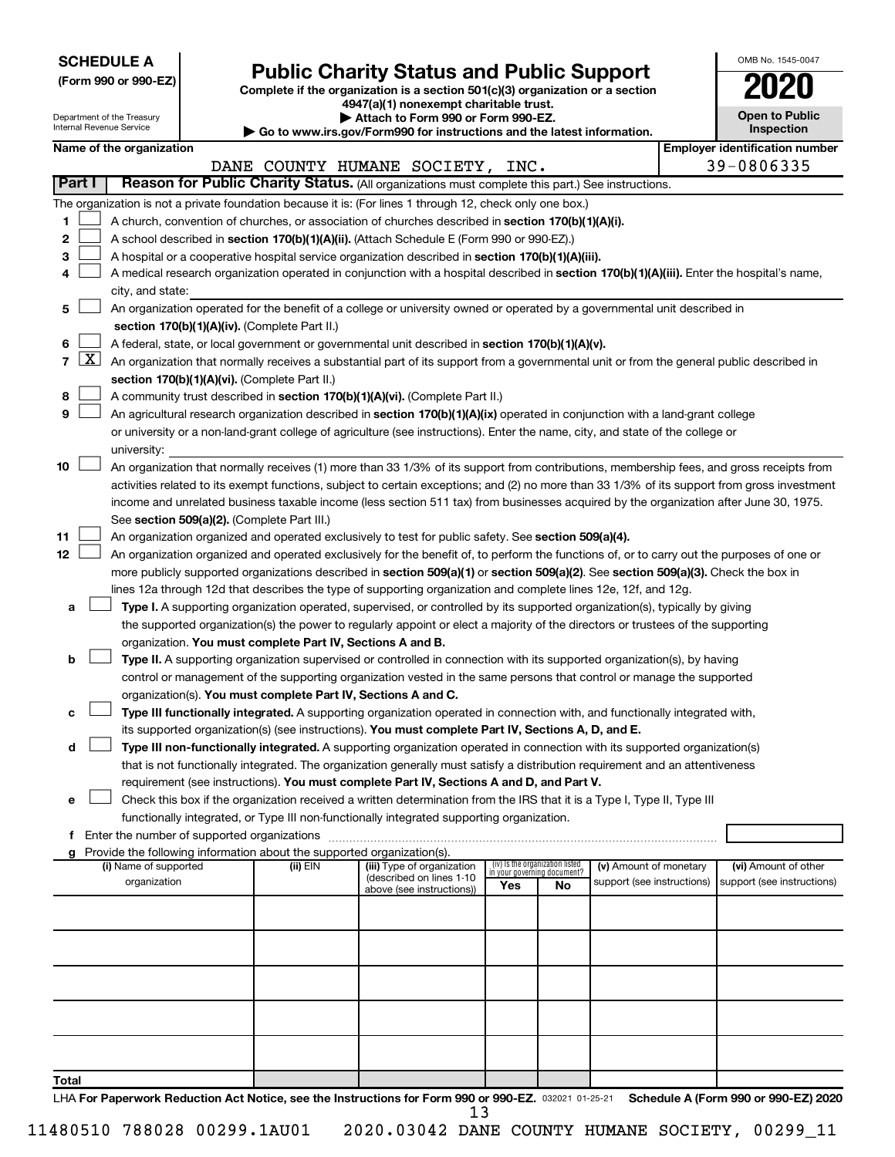| <b>SCHEDULE A</b> |  |
|-------------------|--|
|-------------------|--|

Department of the Treasury Internal Revenue Service

# Form 990 or 990-EZ) **Public Charity Status and Public Support**<br>
Complete if the organization is a section 501(c)(3) organization or a section<br> **2020**

**4947(a)(1) nonexempt charitable trust. | Attach to Form 990 or Form 990-EZ.** 

**| Go to www.irs.gov/Form990 for instructions and the latest information.**

| <b>Open to Public</b><br>Inspection |
|-------------------------------------|
|                                     |

OMB No. 1545-0047

|               | Name of the organization                                                                                                                          |            |                                                        |     |                                                                |                                                      |  | <b>Employer identification number</b>              |
|---------------|---------------------------------------------------------------------------------------------------------------------------------------------------|------------|--------------------------------------------------------|-----|----------------------------------------------------------------|------------------------------------------------------|--|----------------------------------------------------|
|               |                                                                                                                                                   |            | DANE COUNTY HUMANE SOCIETY, INC.                       |     |                                                                |                                                      |  | 39-0806335                                         |
| <b>Part I</b> | Reason for Public Charity Status. (All organizations must complete this part.) See instructions.                                                  |            |                                                        |     |                                                                |                                                      |  |                                                    |
|               | The organization is not a private foundation because it is: (For lines 1 through 12, check only one box.)                                         |            |                                                        |     |                                                                |                                                      |  |                                                    |
| 1.            | A church, convention of churches, or association of churches described in section 170(b)(1)(A)(i).                                                |            |                                                        |     |                                                                |                                                      |  |                                                    |
| 2             | A school described in section 170(b)(1)(A)(ii). (Attach Schedule E (Form 990 or 990-EZ).)                                                         |            |                                                        |     |                                                                |                                                      |  |                                                    |
| з             | A hospital or a cooperative hospital service organization described in section 170(b)(1)(A)(iii).                                                 |            |                                                        |     |                                                                |                                                      |  |                                                    |
| 4             | A medical research organization operated in conjunction with a hospital described in section 170(b)(1)(A)(iii). Enter the hospital's name,        |            |                                                        |     |                                                                |                                                      |  |                                                    |
|               | city, and state:                                                                                                                                  |            |                                                        |     |                                                                |                                                      |  |                                                    |
| 5             | An organization operated for the benefit of a college or university owned or operated by a governmental unit described in                         |            |                                                        |     |                                                                |                                                      |  |                                                    |
|               | section 170(b)(1)(A)(iv). (Complete Part II.)                                                                                                     |            |                                                        |     |                                                                |                                                      |  |                                                    |
| 6             | A federal, state, or local government or governmental unit described in section 170(b)(1)(A)(v).                                                  |            |                                                        |     |                                                                |                                                      |  |                                                    |
|               | 7 $ X $ An organization that normally receives a substantial part of its support from a governmental unit or from the general public described in |            |                                                        |     |                                                                |                                                      |  |                                                    |
|               | section 170(b)(1)(A)(vi). (Complete Part II.)                                                                                                     |            |                                                        |     |                                                                |                                                      |  |                                                    |
| 8             | A community trust described in section 170(b)(1)(A)(vi). (Complete Part II.)                                                                      |            |                                                        |     |                                                                |                                                      |  |                                                    |
| 9             | An agricultural research organization described in section 170(b)(1)(A)(ix) operated in conjunction with a land-grant college                     |            |                                                        |     |                                                                |                                                      |  |                                                    |
|               | or university or a non-land-grant college of agriculture (see instructions). Enter the name, city, and state of the college or                    |            |                                                        |     |                                                                |                                                      |  |                                                    |
|               | university:                                                                                                                                       |            |                                                        |     |                                                                |                                                      |  |                                                    |
| 10            | An organization that normally receives (1) more than 33 1/3% of its support from contributions, membership fees, and gross receipts from          |            |                                                        |     |                                                                |                                                      |  |                                                    |
|               | activities related to its exempt functions, subject to certain exceptions; and (2) no more than 33 1/3% of its support from gross investment      |            |                                                        |     |                                                                |                                                      |  |                                                    |
|               | income and unrelated business taxable income (less section 511 tax) from businesses acquired by the organization after June 30, 1975.             |            |                                                        |     |                                                                |                                                      |  |                                                    |
|               | See section 509(a)(2). (Complete Part III.)                                                                                                       |            |                                                        |     |                                                                |                                                      |  |                                                    |
| 11            | An organization organized and operated exclusively to test for public safety. See section 509(a)(4).                                              |            |                                                        |     |                                                                |                                                      |  |                                                    |
| 12            | An organization organized and operated exclusively for the benefit of, to perform the functions of, or to carry out the purposes of one or        |            |                                                        |     |                                                                |                                                      |  |                                                    |
|               | more publicly supported organizations described in section 509(a)(1) or section 509(a)(2). See section 509(a)(3). Check the box in                |            |                                                        |     |                                                                |                                                      |  |                                                    |
|               | lines 12a through 12d that describes the type of supporting organization and complete lines 12e, 12f, and 12g.                                    |            |                                                        |     |                                                                |                                                      |  |                                                    |
| a             | Type I. A supporting organization operated, supervised, or controlled by its supported organization(s), typically by giving                       |            |                                                        |     |                                                                |                                                      |  |                                                    |
|               | the supported organization(s) the power to regularly appoint or elect a majority of the directors or trustees of the supporting                   |            |                                                        |     |                                                                |                                                      |  |                                                    |
|               | organization. You must complete Part IV, Sections A and B.                                                                                        |            |                                                        |     |                                                                |                                                      |  |                                                    |
| b             | Type II. A supporting organization supervised or controlled in connection with its supported organization(s), by having                           |            |                                                        |     |                                                                |                                                      |  |                                                    |
|               | control or management of the supporting organization vested in the same persons that control or manage the supported                              |            |                                                        |     |                                                                |                                                      |  |                                                    |
|               | organization(s). You must complete Part IV, Sections A and C.                                                                                     |            |                                                        |     |                                                                |                                                      |  |                                                    |
| с             | Type III functionally integrated. A supporting organization operated in connection with, and functionally integrated with,                        |            |                                                        |     |                                                                |                                                      |  |                                                    |
|               | its supported organization(s) (see instructions). You must complete Part IV, Sections A, D, and E.                                                |            |                                                        |     |                                                                |                                                      |  |                                                    |
| d             | Type III non-functionally integrated. A supporting organization operated in connection with its supported organization(s)                         |            |                                                        |     |                                                                |                                                      |  |                                                    |
|               | that is not functionally integrated. The organization generally must satisfy a distribution requirement and an attentiveness                      |            |                                                        |     |                                                                |                                                      |  |                                                    |
|               | requirement (see instructions). You must complete Part IV, Sections A and D, and Part V.                                                          |            |                                                        |     |                                                                |                                                      |  |                                                    |
|               | Check this box if the organization received a written determination from the IRS that it is a Type I, Type II, Type III                           |            |                                                        |     |                                                                |                                                      |  |                                                    |
|               | functionally integrated, or Type III non-functionally integrated supporting organization.                                                         |            |                                                        |     |                                                                |                                                      |  |                                                    |
|               | f Enter the number of supported organizations                                                                                                     |            |                                                        |     |                                                                |                                                      |  |                                                    |
|               | g Provide the following information about the supported organization(s).                                                                          |            |                                                        |     |                                                                |                                                      |  |                                                    |
|               | (i) Name of supported                                                                                                                             | (ii) $EIN$ | (iii) Type of organization<br>(described on lines 1-10 |     | (iv) Is the organization listed<br>in your governing document? | (v) Amount of monetary<br>support (see instructions) |  | (vi) Amount of other<br>support (see instructions) |
|               | organization                                                                                                                                      |            | above (see instructions))                              | Yes | No                                                             |                                                      |  |                                                    |
|               |                                                                                                                                                   |            |                                                        |     |                                                                |                                                      |  |                                                    |
|               |                                                                                                                                                   |            |                                                        |     |                                                                |                                                      |  |                                                    |
|               |                                                                                                                                                   |            |                                                        |     |                                                                |                                                      |  |                                                    |
|               |                                                                                                                                                   |            |                                                        |     |                                                                |                                                      |  |                                                    |
|               |                                                                                                                                                   |            |                                                        |     |                                                                |                                                      |  |                                                    |
|               |                                                                                                                                                   |            |                                                        |     |                                                                |                                                      |  |                                                    |
|               |                                                                                                                                                   |            |                                                        |     |                                                                |                                                      |  |                                                    |
|               |                                                                                                                                                   |            |                                                        |     |                                                                |                                                      |  |                                                    |
|               |                                                                                                                                                   |            |                                                        |     |                                                                |                                                      |  |                                                    |
|               |                                                                                                                                                   |            |                                                        |     |                                                                |                                                      |  |                                                    |
| Total         |                                                                                                                                                   |            |                                                        |     |                                                                |                                                      |  |                                                    |
|               | LHA For Paperwork Reduction Act Notice, see the Instructions for Form 990 or 990-EZ. 032021 01-25-21                                              |            |                                                        |     |                                                                |                                                      |  | Schedule A (Form 990 or 990-EZ) 2020               |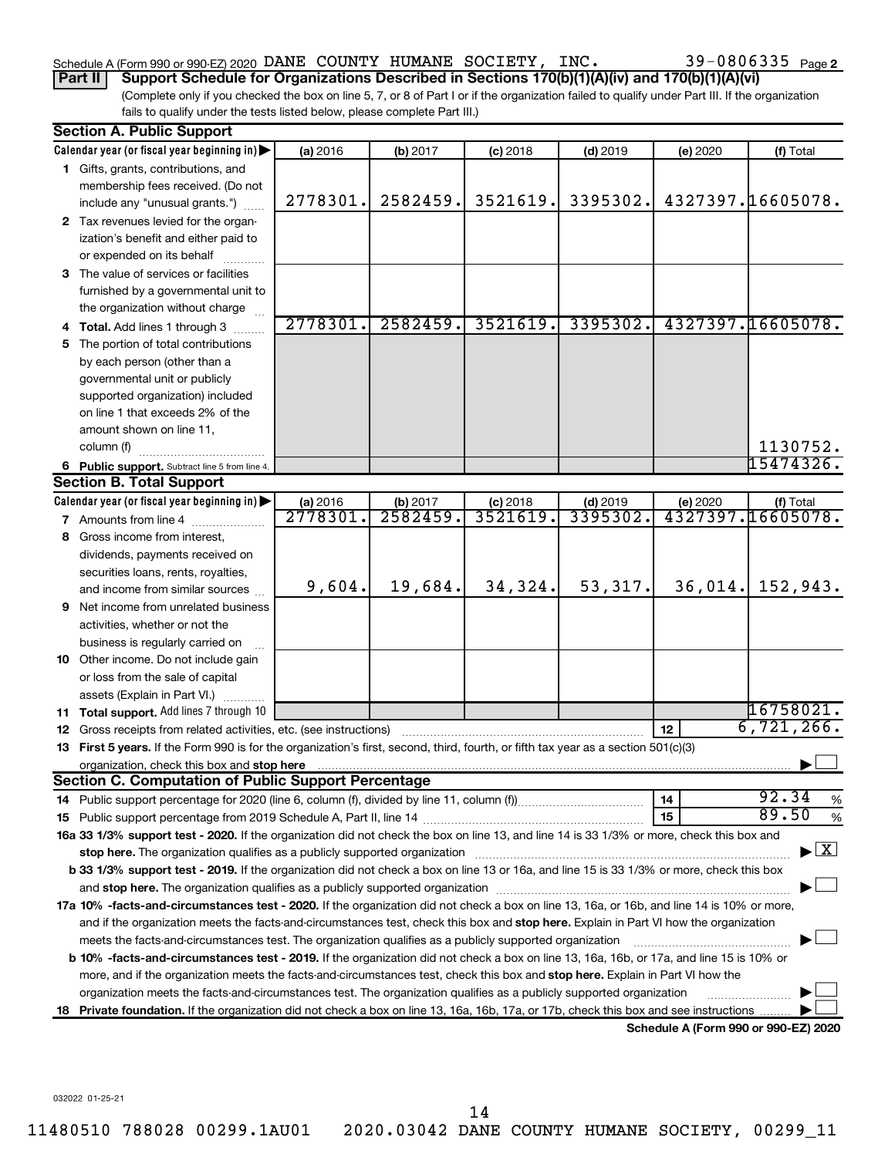### Schedule A (Form 990 or 990-EZ) 2020 DANE COUNTY HUMANE SOCIETY, INC.  $39-0806335$   $_{\rm Page}$

**Part II Support Schedule for Organizations Described in Sections 170(b)(1)(A)(iv) and 170(b)(1)(A)(vi)**

(Complete only if you checked the box on line 5, 7, or 8 of Part I or if the organization failed to qualify under Part III. If the organization fails to qualify under the tests listed below, please complete Part III.)

|    | <b>Section A. Public Support</b>                                                                                                                                                                                               |                     |                      |                        |                        |          |                                      |
|----|--------------------------------------------------------------------------------------------------------------------------------------------------------------------------------------------------------------------------------|---------------------|----------------------|------------------------|------------------------|----------|--------------------------------------|
|    | Calendar year (or fiscal year beginning in)                                                                                                                                                                                    | (a) 2016            | (b) 2017             | $(c)$ 2018             | $(d)$ 2019             | (e) 2020 | (f) Total                            |
|    | 1 Gifts, grants, contributions, and                                                                                                                                                                                            |                     |                      |                        |                        |          |                                      |
|    | membership fees received. (Do not                                                                                                                                                                                              |                     |                      |                        |                        |          |                                      |
|    | include any "unusual grants.")                                                                                                                                                                                                 | 2778301.            | 2582459.             | 3521619.               | 3395302.               |          | 4327397.16605078.                    |
|    | 2 Tax revenues levied for the organ-                                                                                                                                                                                           |                     |                      |                        |                        |          |                                      |
|    | ization's benefit and either paid to                                                                                                                                                                                           |                     |                      |                        |                        |          |                                      |
|    | or expended on its behalf                                                                                                                                                                                                      |                     |                      |                        |                        |          |                                      |
|    | 3 The value of services or facilities                                                                                                                                                                                          |                     |                      |                        |                        |          |                                      |
|    | furnished by a governmental unit to                                                                                                                                                                                            |                     |                      |                        |                        |          |                                      |
|    | the organization without charge                                                                                                                                                                                                |                     |                      |                        |                        |          |                                      |
|    | 4 Total. Add lines 1 through 3                                                                                                                                                                                                 | 2778301.            | 2582459.             | 3521619.               | 3395302.               |          | 4327397.16605078.                    |
|    | 5 The portion of total contributions                                                                                                                                                                                           |                     |                      |                        |                        |          |                                      |
|    | by each person (other than a                                                                                                                                                                                                   |                     |                      |                        |                        |          |                                      |
|    | governmental unit or publicly                                                                                                                                                                                                  |                     |                      |                        |                        |          |                                      |
|    | supported organization) included                                                                                                                                                                                               |                     |                      |                        |                        |          |                                      |
|    | on line 1 that exceeds 2% of the                                                                                                                                                                                               |                     |                      |                        |                        |          |                                      |
|    | amount shown on line 11,                                                                                                                                                                                                       |                     |                      |                        |                        |          | 1130752.                             |
|    | column (f)                                                                                                                                                                                                                     |                     |                      |                        |                        |          | 15474326.                            |
|    | 6 Public support. Subtract line 5 from line 4.<br><b>Section B. Total Support</b>                                                                                                                                              |                     |                      |                        |                        |          |                                      |
|    | Calendar year (or fiscal year beginning in)                                                                                                                                                                                    |                     |                      |                        |                        |          |                                      |
|    | <b>7</b> Amounts from line 4                                                                                                                                                                                                   | (a) 2016<br>2778301 | (b) 2017<br>2582459. | $(c)$ 2018<br>3521619. | $(d)$ 2019<br>3395302. | (e) 2020 | (f) Total<br>4327397.16605078.       |
|    | 8 Gross income from interest,                                                                                                                                                                                                  |                     |                      |                        |                        |          |                                      |
|    |                                                                                                                                                                                                                                |                     |                      |                        |                        |          |                                      |
|    | dividends, payments received on<br>securities loans, rents, royalties,                                                                                                                                                         |                     |                      |                        |                        |          |                                      |
|    | and income from similar sources                                                                                                                                                                                                | 9,604.              | 19,684.              | 34,324.                | 53,317.                | 36,014.  | 152,943.                             |
|    | <b>9</b> Net income from unrelated business                                                                                                                                                                                    |                     |                      |                        |                        |          |                                      |
|    | activities, whether or not the                                                                                                                                                                                                 |                     |                      |                        |                        |          |                                      |
|    | business is regularly carried on                                                                                                                                                                                               |                     |                      |                        |                        |          |                                      |
|    | 10 Other income. Do not include gain                                                                                                                                                                                           |                     |                      |                        |                        |          |                                      |
|    | or loss from the sale of capital                                                                                                                                                                                               |                     |                      |                        |                        |          |                                      |
|    | assets (Explain in Part VI.)                                                                                                                                                                                                   |                     |                      |                        |                        |          |                                      |
|    | 11 Total support. Add lines 7 through 10                                                                                                                                                                                       |                     |                      |                        |                        |          | 16758021.                            |
|    | <b>12</b> Gross receipts from related activities, etc. (see instructions)                                                                                                                                                      |                     |                      |                        |                        | 12       | 6,721,266.                           |
|    | 13 First 5 years. If the Form 990 is for the organization's first, second, third, fourth, or fifth tax year as a section 501(c)(3)                                                                                             |                     |                      |                        |                        |          |                                      |
|    |                                                                                                                                                                                                                                |                     |                      |                        |                        |          |                                      |
|    | <b>Section C. Computation of Public Support Percentage</b>                                                                                                                                                                     |                     |                      |                        |                        |          |                                      |
|    |                                                                                                                                                                                                                                |                     |                      |                        |                        | 14       | 92.34<br>%                           |
|    |                                                                                                                                                                                                                                |                     |                      |                        |                        | 15       | 89.50<br>%                           |
|    | 16a 33 1/3% support test - 2020. If the organization did not check the box on line 13, and line 14 is 33 1/3% or more, check this box and                                                                                      |                     |                      |                        |                        |          |                                      |
|    | stop here. The organization qualifies as a publicly supported organization manufaction manufacture or the organization manufacture or the organization manufacture or the organization manufacture or the state of the state o |                     |                      |                        |                        |          | $\blacktriangleright$ $\mathbf{X}$   |
|    | b 33 1/3% support test - 2019. If the organization did not check a box on line 13 or 16a, and line 15 is 33 1/3% or more, check this box                                                                                       |                     |                      |                        |                        |          |                                      |
|    |                                                                                                                                                                                                                                |                     |                      |                        |                        |          |                                      |
|    | 17a 10% -facts-and-circumstances test - 2020. If the organization did not check a box on line 13, 16a, or 16b, and line 14 is 10% or more,                                                                                     |                     |                      |                        |                        |          |                                      |
|    | and if the organization meets the facts-and-circumstances test, check this box and stop here. Explain in Part VI how the organization                                                                                          |                     |                      |                        |                        |          |                                      |
|    | meets the facts-and-circumstances test. The organization qualifies as a publicly supported organization                                                                                                                        |                     |                      |                        |                        |          |                                      |
|    | <b>b 10%</b> -facts-and-circumstances test - 2019. If the organization did not check a box on line 13, 16a, 16b, or 17a, and line 15 is 10% or                                                                                 |                     |                      |                        |                        |          |                                      |
|    | more, and if the organization meets the facts-and-circumstances test, check this box and <b>stop here.</b> Explain in Part VI how the                                                                                          |                     |                      |                        |                        |          |                                      |
|    | organization meets the facts-and-circumstances test. The organization qualifies as a publicly supported organization                                                                                                           |                     |                      |                        |                        |          |                                      |
| 18 | Private foundation. If the organization did not check a box on line 13, 16a, 16b, 17a, or 17b, check this box and see instructions.                                                                                            |                     |                      |                        |                        |          |                                      |
|    |                                                                                                                                                                                                                                |                     |                      |                        |                        |          | Schedule A (Form 990 or 990-EZ) 2020 |

032022 01-25-21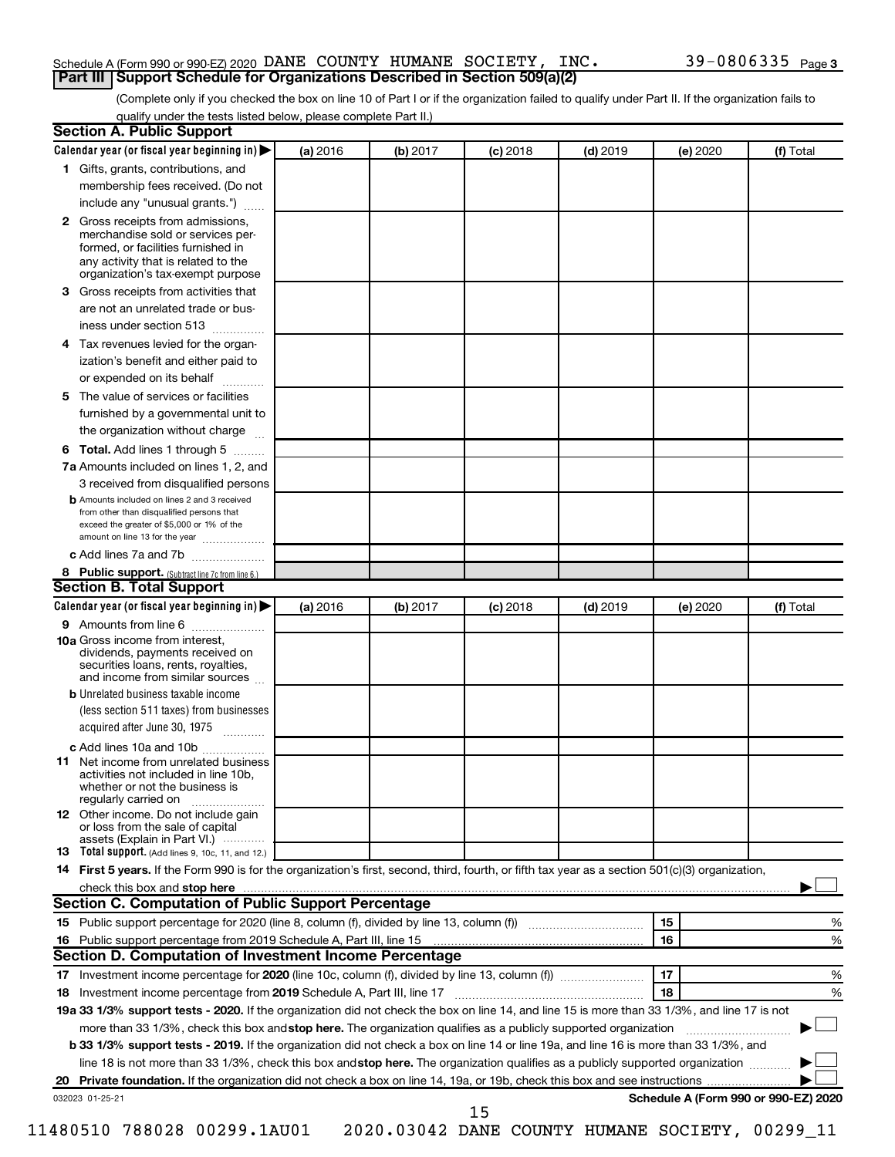#### Schedule A (Form 990 or 990-EZ) 2020 DANE COUNTY HUMANE SOCIETY, INC.  $39-0806335$   $_{\rm Page}$ **Part III Support Schedule for Organizations Described in Section 509(a)(2)**

(Complete only if you checked the box on line 10 of Part I or if the organization failed to qualify under Part II. If the organization fails to qualify under the tests listed below, please complete Part II.)

| <b>Section A. Public Support</b>                                                                                                                                                                |          |          |            |            |          |                                      |
|-------------------------------------------------------------------------------------------------------------------------------------------------------------------------------------------------|----------|----------|------------|------------|----------|--------------------------------------|
| Calendar year (or fiscal year beginning in)                                                                                                                                                     | (a) 2016 | (b) 2017 | $(c)$ 2018 | $(d)$ 2019 | (e) 2020 | (f) Total                            |
| 1 Gifts, grants, contributions, and                                                                                                                                                             |          |          |            |            |          |                                      |
| membership fees received. (Do not                                                                                                                                                               |          |          |            |            |          |                                      |
| include any "unusual grants.")                                                                                                                                                                  |          |          |            |            |          |                                      |
| <b>2</b> Gross receipts from admissions,<br>merchandise sold or services per-<br>formed, or facilities furnished in<br>any activity that is related to the<br>organization's tax-exempt purpose |          |          |            |            |          |                                      |
| 3 Gross receipts from activities that                                                                                                                                                           |          |          |            |            |          |                                      |
| are not an unrelated trade or bus-                                                                                                                                                              |          |          |            |            |          |                                      |
| iness under section 513                                                                                                                                                                         |          |          |            |            |          |                                      |
| 4 Tax revenues levied for the organ-                                                                                                                                                            |          |          |            |            |          |                                      |
| ization's benefit and either paid to                                                                                                                                                            |          |          |            |            |          |                                      |
| or expended on its behalf                                                                                                                                                                       |          |          |            |            |          |                                      |
| 5 The value of services or facilities                                                                                                                                                           |          |          |            |            |          |                                      |
| furnished by a governmental unit to                                                                                                                                                             |          |          |            |            |          |                                      |
| the organization without charge                                                                                                                                                                 |          |          |            |            |          |                                      |
| 6 Total. Add lines 1 through 5                                                                                                                                                                  |          |          |            |            |          |                                      |
| 7a Amounts included on lines 1, 2, and                                                                                                                                                          |          |          |            |            |          |                                      |
| 3 received from disqualified persons                                                                                                                                                            |          |          |            |            |          |                                      |
| <b>b</b> Amounts included on lines 2 and 3 received<br>from other than disqualified persons that<br>exceed the greater of \$5,000 or 1% of the<br>amount on line 13 for the year                |          |          |            |            |          |                                      |
| c Add lines 7a and 7b                                                                                                                                                                           |          |          |            |            |          |                                      |
| 8 Public support. (Subtract line 7c from line 6.)                                                                                                                                               |          |          |            |            |          |                                      |
| <b>Section B. Total Support</b>                                                                                                                                                                 |          |          |            |            |          |                                      |
| Calendar year (or fiscal year beginning in)                                                                                                                                                     | (a) 2016 | (b) 2017 | $(c)$ 2018 | $(d)$ 2019 | (e) 2020 | (f) Total                            |
| 9 Amounts from line 6                                                                                                                                                                           |          |          |            |            |          |                                      |
| <b>10a</b> Gross income from interest,<br>dividends, payments received on<br>securities loans, rents, royalties,<br>and income from similar sources                                             |          |          |            |            |          |                                      |
| <b>b</b> Unrelated business taxable income                                                                                                                                                      |          |          |            |            |          |                                      |
| (less section 511 taxes) from businesses                                                                                                                                                        |          |          |            |            |          |                                      |
| acquired after June 30, 1975                                                                                                                                                                    |          |          |            |            |          |                                      |
| c Add lines 10a and 10b                                                                                                                                                                         |          |          |            |            |          |                                      |
| <b>11</b> Net income from unrelated business<br>activities not included in line 10b.<br>whether or not the business is<br>regularly carried on                                                  |          |          |            |            |          |                                      |
| 12 Other income. Do not include gain<br>or loss from the sale of capital<br>assets (Explain in Part VI.)                                                                                        |          |          |            |            |          |                                      |
| <b>13</b> Total support. (Add lines 9, 10c, 11, and 12.)                                                                                                                                        |          |          |            |            |          |                                      |
| 14 First 5 years. If the Form 990 is for the organization's first, second, third, fourth, or fifth tax year as a section 501(c)(3) organization,                                                |          |          |            |            |          |                                      |
| check this box and stop here <b>contained and the contained and starting and stop here</b> check this box and stop here                                                                         |          |          |            |            |          |                                      |
| Section C. Computation of Public Support Percentage                                                                                                                                             |          |          |            |            |          |                                      |
| 15 Public support percentage for 2020 (line 8, column (f), divided by line 13, column (f) <i></i>                                                                                               |          |          |            |            | 15       | ℅                                    |
|                                                                                                                                                                                                 |          |          |            |            | 16       | %                                    |
| Section D. Computation of Investment Income Percentage                                                                                                                                          |          |          |            |            |          |                                      |
|                                                                                                                                                                                                 |          |          |            |            | 17       | %                                    |
| 18 Investment income percentage from 2019 Schedule A, Part III, line 17                                                                                                                         |          |          |            |            | 18       | %                                    |
| 19a 33 1/3% support tests - 2020. If the organization did not check the box on line 14, and line 15 is more than 33 1/3%, and line 17 is not                                                    |          |          |            |            |          |                                      |
| more than 33 1/3%, check this box and stop here. The organization qualifies as a publicly supported organization                                                                                |          |          |            |            |          |                                      |
| b 33 1/3% support tests - 2019. If the organization did not check a box on line 14 or line 19a, and line 16 is more than 33 1/3%, and                                                           |          |          |            |            |          |                                      |
| line 18 is not more than 33 1/3%, check this box and stop here. The organization qualifies as a publicly supported organization                                                                 |          |          |            |            |          |                                      |
|                                                                                                                                                                                                 |          |          |            |            |          |                                      |
| 032023 01-25-21                                                                                                                                                                                 |          |          |            |            |          | Schedule A (Form 990 or 990-EZ) 2020 |
|                                                                                                                                                                                                 |          |          | 15         |            |          |                                      |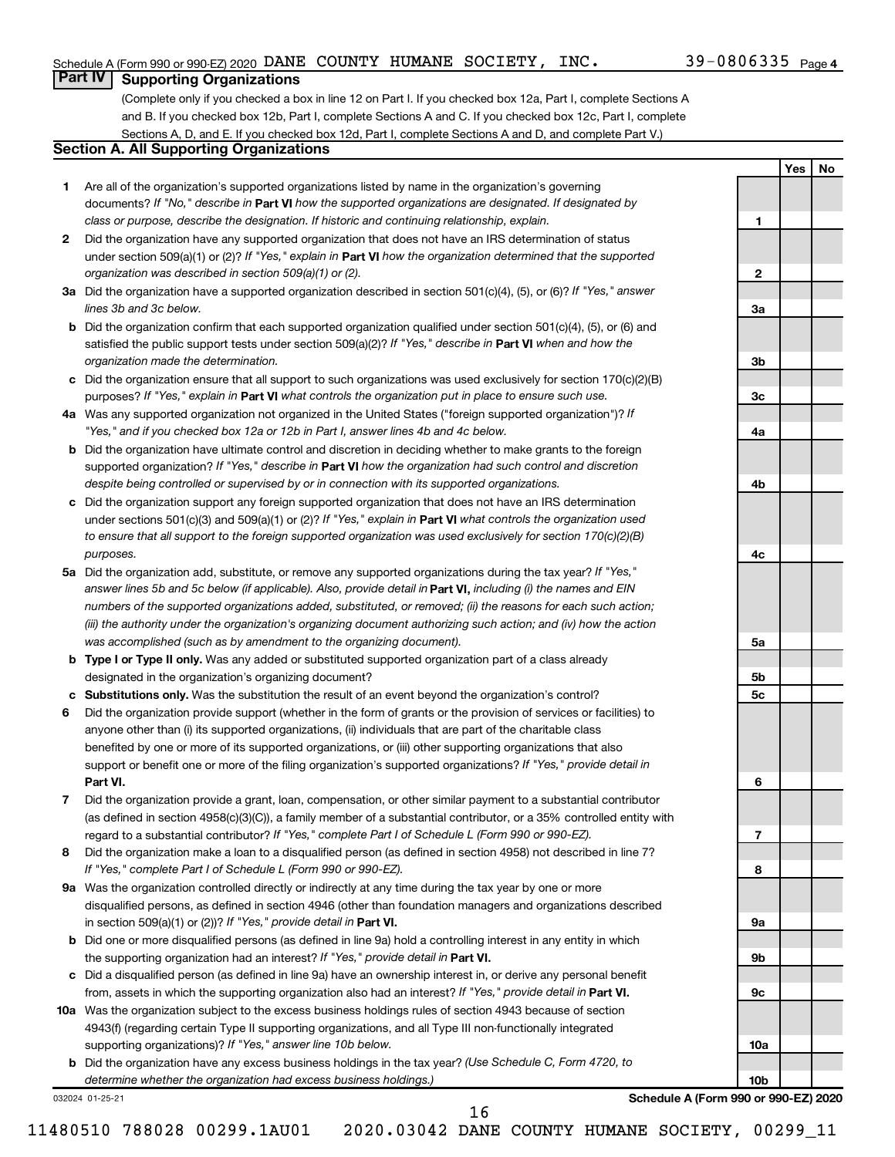**1**

**2**

**3a**

**3b**

**3c**

**4a**

**4b**

**4c**

**5a**

**5b 5c**

**6**

**7**

**8**

**9a**

**9b**

**9c**

**10a**

**10b**

**Yes No**

### **Part IV Supporting Organizations**

(Complete only if you checked a box in line 12 on Part I. If you checked box 12a, Part I, complete Sections A and B. If you checked box 12b, Part I, complete Sections A and C. If you checked box 12c, Part I, complete Sections A, D, and E. If you checked box 12d, Part I, complete Sections A and D, and complete Part V.)

#### **Section A. All Supporting Organizations**

- **1** Are all of the organization's supported organizations listed by name in the organization's governing documents? If "No," describe in Part VI how the supported organizations are designated. If designated by *class or purpose, describe the designation. If historic and continuing relationship, explain.*
- **2** Did the organization have any supported organization that does not have an IRS determination of status under section 509(a)(1) or (2)? If "Yes," explain in Part **VI** how the organization determined that the supported *organization was described in section 509(a)(1) or (2).*
- **3a** Did the organization have a supported organization described in section 501(c)(4), (5), or (6)? If "Yes," answer *lines 3b and 3c below.*
- **b** Did the organization confirm that each supported organization qualified under section 501(c)(4), (5), or (6) and satisfied the public support tests under section 509(a)(2)? If "Yes," describe in Part VI when and how the *organization made the determination.*
- **c** Did the organization ensure that all support to such organizations was used exclusively for section 170(c)(2)(B) purposes? If "Yes," explain in Part VI what controls the organization put in place to ensure such use.
- **4 a** *If* Was any supported organization not organized in the United States ("foreign supported organization")? *"Yes," and if you checked box 12a or 12b in Part I, answer lines 4b and 4c below.*
- **b** Did the organization have ultimate control and discretion in deciding whether to make grants to the foreign supported organization? If "Yes," describe in Part VI how the organization had such control and discretion *despite being controlled or supervised by or in connection with its supported organizations.*
- **c** Did the organization support any foreign supported organization that does not have an IRS determination under sections 501(c)(3) and 509(a)(1) or (2)? If "Yes," explain in Part VI what controls the organization used *to ensure that all support to the foreign supported organization was used exclusively for section 170(c)(2)(B) purposes.*
- **5a** Did the organization add, substitute, or remove any supported organizations during the tax year? If "Yes," answer lines 5b and 5c below (if applicable). Also, provide detail in **Part VI,** including (i) the names and EIN *numbers of the supported organizations added, substituted, or removed; (ii) the reasons for each such action; (iii) the authority under the organization's organizing document authorizing such action; and (iv) how the action was accomplished (such as by amendment to the organizing document).*
- **b** Type I or Type II only. Was any added or substituted supported organization part of a class already designated in the organization's organizing document?
- **c Substitutions only.**  Was the substitution the result of an event beyond the organization's control?
- **6** Did the organization provide support (whether in the form of grants or the provision of services or facilities) to **Part VI.** support or benefit one or more of the filing organization's supported organizations? If "Yes," provide detail in anyone other than (i) its supported organizations, (ii) individuals that are part of the charitable class benefited by one or more of its supported organizations, or (iii) other supporting organizations that also
- **7** Did the organization provide a grant, loan, compensation, or other similar payment to a substantial contributor regard to a substantial contributor? If "Yes," complete Part I of Schedule L (Form 990 or 990-EZ). (as defined in section 4958(c)(3)(C)), a family member of a substantial contributor, or a 35% controlled entity with
- **8** Did the organization make a loan to a disqualified person (as defined in section 4958) not described in line 7? *If "Yes," complete Part I of Schedule L (Form 990 or 990-EZ).*
- **9 a** Was the organization controlled directly or indirectly at any time during the tax year by one or more in section 509(a)(1) or (2))? If "Yes," provide detail in **Part VI.** disqualified persons, as defined in section 4946 (other than foundation managers and organizations described
- **b** Did one or more disqualified persons (as defined in line 9a) hold a controlling interest in any entity in which the supporting organization had an interest? If "Yes," provide detail in Part VI.
- **c** Did a disqualified person (as defined in line 9a) have an ownership interest in, or derive any personal benefit from, assets in which the supporting organization also had an interest? If "Yes," provide detail in Part VI.
- **10 a** Was the organization subject to the excess business holdings rules of section 4943 because of section supporting organizations)? If "Yes," answer line 10b below. 4943(f) (regarding certain Type II supporting organizations, and all Type III non-functionally integrated
	- **b** Did the organization have any excess business holdings in the tax year? (Use Schedule C, Form 4720, to *determine whether the organization had excess business holdings.)*

032024 01-25-21

**Schedule A (Form 990 or 990-EZ) 2020**

11480510 788028 00299.1AU01 2020.03042 DANE COUNTY HUMANE SOCIETY, 00299\_11

16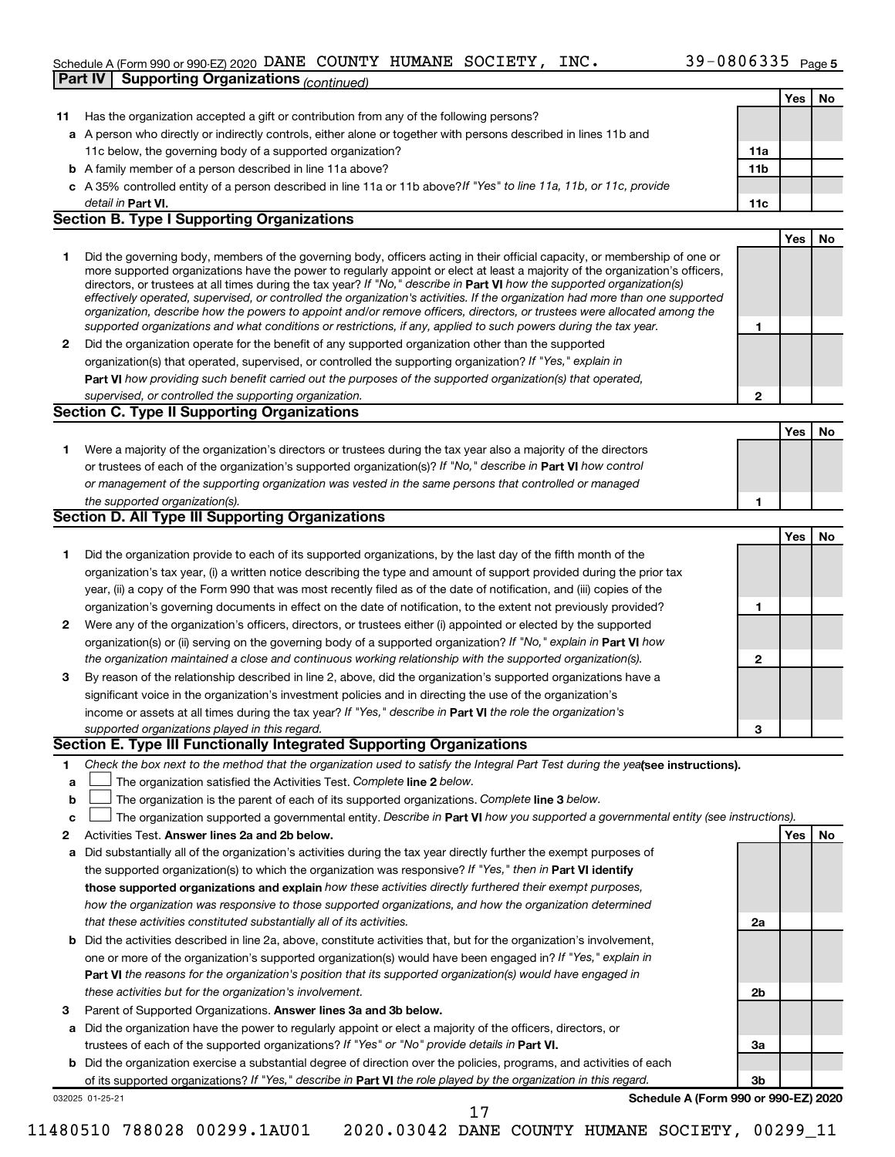#### Schedule A (Form 990 or 990-EZ) 2020 DANE COUNTY HUMANE SOCIETY, INC.  $39-0800335$  Page **Part IV Supporting Organizations** *(continued)* DANE COUNTY HUMANE SOCIETY, INC. 39-0806335

|              |                                                                                                                                                                                                                                              |              | Yes | No  |
|--------------|----------------------------------------------------------------------------------------------------------------------------------------------------------------------------------------------------------------------------------------------|--------------|-----|-----|
| 11           | Has the organization accepted a gift or contribution from any of the following persons?                                                                                                                                                      |              |     |     |
|              | a A person who directly or indirectly controls, either alone or together with persons described in lines 11b and                                                                                                                             |              |     |     |
|              | 11c below, the governing body of a supported organization?                                                                                                                                                                                   | 11a          |     |     |
|              | <b>b</b> A family member of a person described in line 11a above?                                                                                                                                                                            | 11b          |     |     |
|              | c A 35% controlled entity of a person described in line 11a or 11b above? If "Yes" to line 11a, 11b, or 11c, provide                                                                                                                         |              |     |     |
|              | detail in Part VI.                                                                                                                                                                                                                           | 11c          |     |     |
|              | <b>Section B. Type I Supporting Organizations</b>                                                                                                                                                                                            |              |     |     |
|              |                                                                                                                                                                                                                                              |              | Yes | No. |
| 1            | Did the governing body, members of the governing body, officers acting in their official capacity, or membership of one or                                                                                                                   |              |     |     |
|              | more supported organizations have the power to regularly appoint or elect at least a majority of the organization's officers,                                                                                                                |              |     |     |
|              | directors, or trustees at all times during the tax year? If "No," describe in Part VI how the supported organization(s)                                                                                                                      |              |     |     |
|              | effectively operated, supervised, or controlled the organization's activities. If the organization had more than one supported                                                                                                               |              |     |     |
|              | organization, describe how the powers to appoint and/or remove officers, directors, or trustees were allocated among the<br>supported organizations and what conditions or restrictions, if any, applied to such powers during the tax year. | 1            |     |     |
| $\mathbf{2}$ | Did the organization operate for the benefit of any supported organization other than the supported                                                                                                                                          |              |     |     |
|              | organization(s) that operated, supervised, or controlled the supporting organization? If "Yes," explain in                                                                                                                                   |              |     |     |
|              |                                                                                                                                                                                                                                              |              |     |     |
|              | Part VI how providing such benefit carried out the purposes of the supported organization(s) that operated,                                                                                                                                  |              |     |     |
|              | supervised, or controlled the supporting organization.<br><b>Section C. Type II Supporting Organizations</b>                                                                                                                                 | 2            |     |     |
|              |                                                                                                                                                                                                                                              |              |     |     |
|              |                                                                                                                                                                                                                                              |              | Yes | No  |
| 1            | Were a majority of the organization's directors or trustees during the tax year also a majority of the directors                                                                                                                             |              |     |     |
|              | or trustees of each of the organization's supported organization(s)? If "No," describe in Part VI how control                                                                                                                                |              |     |     |
|              | or management of the supporting organization was vested in the same persons that controlled or managed                                                                                                                                       |              |     |     |
|              | the supported organization(s).                                                                                                                                                                                                               | 1            |     |     |
|              | <b>Section D. All Type III Supporting Organizations</b>                                                                                                                                                                                      |              |     |     |
|              |                                                                                                                                                                                                                                              |              | Yes | No  |
| 1            | Did the organization provide to each of its supported organizations, by the last day of the fifth month of the                                                                                                                               |              |     |     |
|              | organization's tax year, (i) a written notice describing the type and amount of support provided during the prior tax                                                                                                                        |              |     |     |
|              | year, (ii) a copy of the Form 990 that was most recently filed as of the date of notification, and (iii) copies of the                                                                                                                       |              |     |     |
|              | organization's governing documents in effect on the date of notification, to the extent not previously provided?                                                                                                                             | 1            |     |     |
| $\mathbf{2}$ | Were any of the organization's officers, directors, or trustees either (i) appointed or elected by the supported                                                                                                                             |              |     |     |
|              | organization(s) or (ii) serving on the governing body of a supported organization? If "No," explain in Part VI how                                                                                                                           |              |     |     |
|              | the organization maintained a close and continuous working relationship with the supported organization(s).                                                                                                                                  | $\mathbf{2}$ |     |     |
| 3            | By reason of the relationship described in line 2, above, did the organization's supported organizations have a                                                                                                                              |              |     |     |
|              | significant voice in the organization's investment policies and in directing the use of the organization's                                                                                                                                   |              |     |     |
|              | income or assets at all times during the tax year? If "Yes," describe in Part VI the role the organization's                                                                                                                                 |              |     |     |
|              | supported organizations played in this regard.                                                                                                                                                                                               | З            |     |     |
|              | Section E. Type III Functionally Integrated Supporting Organizations                                                                                                                                                                         |              |     |     |
| 1            | Check the box next to the method that the organization used to satisfy the Integral Part Test during the yealsee instructions).                                                                                                              |              |     |     |
| а            | The organization satisfied the Activities Test. Complete line 2 below.                                                                                                                                                                       |              |     |     |
| b            | The organization is the parent of each of its supported organizations. Complete line 3 below.                                                                                                                                                |              |     |     |
| с            | The organization supported a governmental entity. Describe in Part VI how you supported a governmental entity (see instructions).                                                                                                            |              |     |     |
| 2            | Activities Test. Answer lines 2a and 2b below.                                                                                                                                                                                               |              | Yes | No. |
| а            | Did substantially all of the organization's activities during the tax year directly further the exempt purposes of                                                                                                                           |              |     |     |
|              | the supported organization(s) to which the organization was responsive? If "Yes," then in Part VI identify                                                                                                                                   |              |     |     |
|              | those supported organizations and explain how these activities directly furthered their exempt purposes,                                                                                                                                     |              |     |     |
|              | how the organization was responsive to those supported organizations, and how the organization determined                                                                                                                                    |              |     |     |
|              | that these activities constituted substantially all of its activities.                                                                                                                                                                       | 2a           |     |     |
| b            | Did the activities described in line 2a, above, constitute activities that, but for the organization's involvement,                                                                                                                          |              |     |     |
|              | one or more of the organization's supported organization(s) would have been engaged in? If "Yes," explain in                                                                                                                                 |              |     |     |
|              | Part VI the reasons for the organization's position that its supported organization(s) would have engaged in                                                                                                                                 |              |     |     |
|              | these activities but for the organization's involvement.                                                                                                                                                                                     | 2b           |     |     |
|              |                                                                                                                                                                                                                                              |              |     |     |
| з            | Parent of Supported Organizations. Answer lines 3a and 3b below.                                                                                                                                                                             |              |     |     |
| а            | Did the organization have the power to regularly appoint or elect a majority of the officers, directors, or                                                                                                                                  |              |     |     |
|              | trustees of each of the supported organizations? If "Yes" or "No" provide details in Part VI.                                                                                                                                                | За           |     |     |
| b            | Did the organization exercise a substantial degree of direction over the policies, programs, and activities of each                                                                                                                          |              |     |     |
|              | of its supported organizations? If "Yes," describe in Part VI the role played by the organization in this regard.                                                                                                                            | 3b           |     |     |
|              | Schedule A (Form 990 or 990-EZ) 2020<br>032025 01-25-21<br>17                                                                                                                                                                                |              |     |     |
|              |                                                                                                                                                                                                                                              |              |     |     |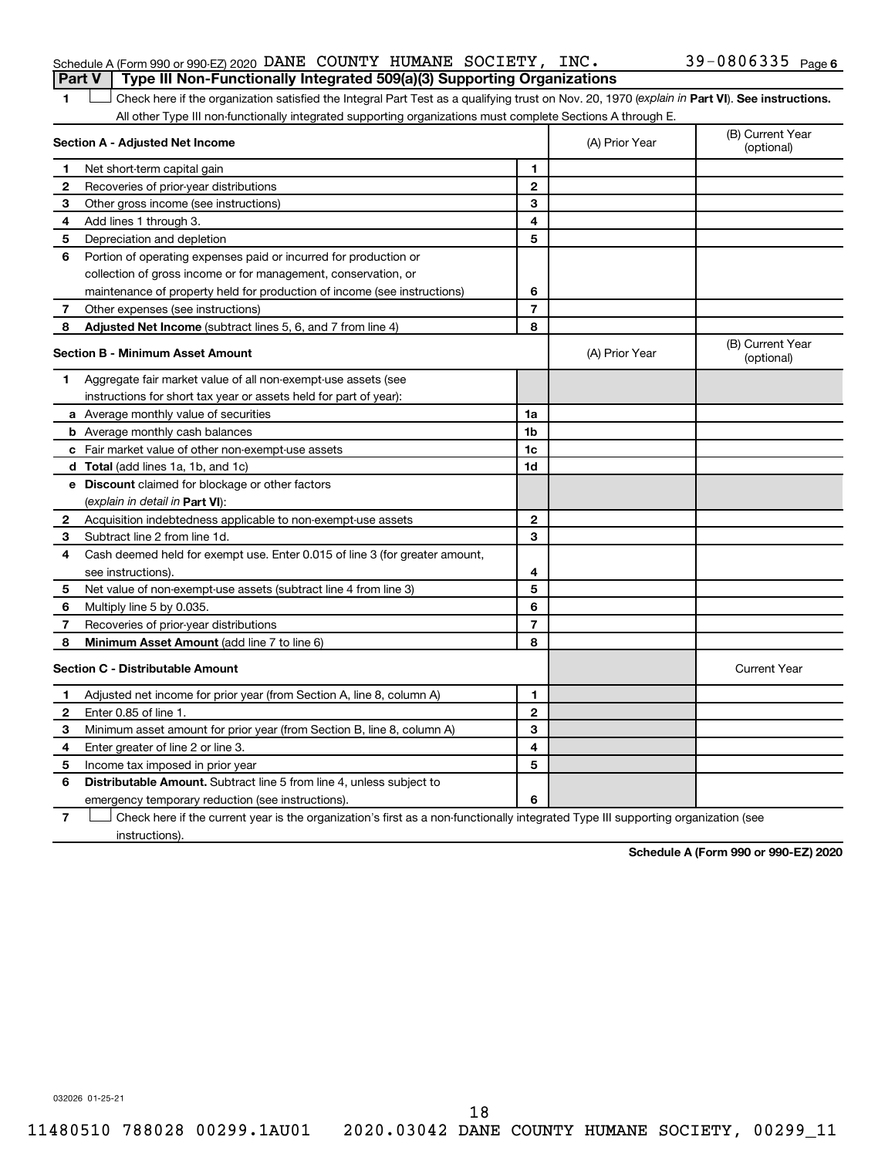#### Schedule A (Form 990 or 990-EZ) 2020 DANE COUNTY HUMANE SOCIETY, INC.  $39-0806335$   $_{\rm Page}$ **Part V Type III Non-Functionally Integrated 509(a)(3) Supporting Organizations**

#### 39-0806335 Page 6

1 **Letter See instructions.** Check here if the organization satisfied the Integral Part Test as a qualifying trust on Nov. 20, 1970 (*explain in* Part **VI**). See instructions. All other Type III non-functionally integrated supporting organizations must complete Sections A through E.

|              | Section A - Adjusted Net Income                                                                                                   |                          | (A) Prior Year | (B) Current Year<br>(optional) |
|--------------|-----------------------------------------------------------------------------------------------------------------------------------|--------------------------|----------------|--------------------------------|
| 1            | Net short-term capital gain                                                                                                       | 1                        |                |                                |
| 2            | Recoveries of prior-year distributions                                                                                            | $\mathbf{2}$             |                |                                |
| 3            | Other gross income (see instructions)                                                                                             | 3                        |                |                                |
| 4            | Add lines 1 through 3.                                                                                                            | 4                        |                |                                |
| 5            | Depreciation and depletion                                                                                                        | 5                        |                |                                |
| 6            | Portion of operating expenses paid or incurred for production or                                                                  |                          |                |                                |
|              | collection of gross income or for management, conservation, or                                                                    |                          |                |                                |
|              | maintenance of property held for production of income (see instructions)                                                          | 6                        |                |                                |
| 7            | Other expenses (see instructions)                                                                                                 | $\overline{\phantom{a}}$ |                |                                |
| 8            | Adjusted Net Income (subtract lines 5, 6, and 7 from line 4)                                                                      | 8                        |                |                                |
|              | <b>Section B - Minimum Asset Amount</b>                                                                                           |                          | (A) Prior Year | (B) Current Year<br>(optional) |
| 1.           | Aggregate fair market value of all non-exempt-use assets (see                                                                     |                          |                |                                |
|              | instructions for short tax year or assets held for part of year):                                                                 |                          |                |                                |
|              | <b>a</b> Average monthly value of securities                                                                                      | 1a                       |                |                                |
|              | <b>b</b> Average monthly cash balances                                                                                            | 1 <sub>b</sub>           |                |                                |
|              | c Fair market value of other non-exempt-use assets                                                                                | 1c                       |                |                                |
|              | d Total (add lines 1a, 1b, and 1c)                                                                                                | 1d                       |                |                                |
|              | e Discount claimed for blockage or other factors                                                                                  |                          |                |                                |
|              | (explain in detail in Part VI):                                                                                                   |                          |                |                                |
| 2            | Acquisition indebtedness applicable to non-exempt-use assets                                                                      | $\mathbf{2}$             |                |                                |
| 3            | Subtract line 2 from line 1d.                                                                                                     | 3                        |                |                                |
| 4            | Cash deemed held for exempt use. Enter 0.015 of line 3 (for greater amount,                                                       |                          |                |                                |
|              | see instructions).                                                                                                                | 4                        |                |                                |
| 5            | Net value of non-exempt-use assets (subtract line 4 from line 3)                                                                  | 5                        |                |                                |
| 6            | Multiply line 5 by 0.035.                                                                                                         | 6                        |                |                                |
| 7            | Recoveries of prior-year distributions                                                                                            | 7                        |                |                                |
| 8            | Minimum Asset Amount (add line 7 to line 6)                                                                                       | 8                        |                |                                |
|              | <b>Section C - Distributable Amount</b>                                                                                           |                          |                | <b>Current Year</b>            |
| 1.           | Adjusted net income for prior year (from Section A, line 8, column A)                                                             | $\mathbf{1}$             |                |                                |
| $\mathbf{2}$ | Enter 0.85 of line 1.                                                                                                             | $\mathbf{2}$             |                |                                |
| 3            | Minimum asset amount for prior year (from Section B, line 8, column A)                                                            | 3                        |                |                                |
| 4            | Enter greater of line 2 or line 3.                                                                                                | 4                        |                |                                |
| 5            | Income tax imposed in prior year                                                                                                  | 5                        |                |                                |
| 6            | <b>Distributable Amount.</b> Subtract line 5 from line 4, unless subject to                                                       |                          |                |                                |
|              | emergency temporary reduction (see instructions).                                                                                 | 6                        |                |                                |
| 7            | Check here if the current year is the organization's first as a non-functionally integrated Type III supporting organization (see |                          |                |                                |

instructions).

**Schedule A (Form 990 or 990-EZ) 2020**

032026 01-25-21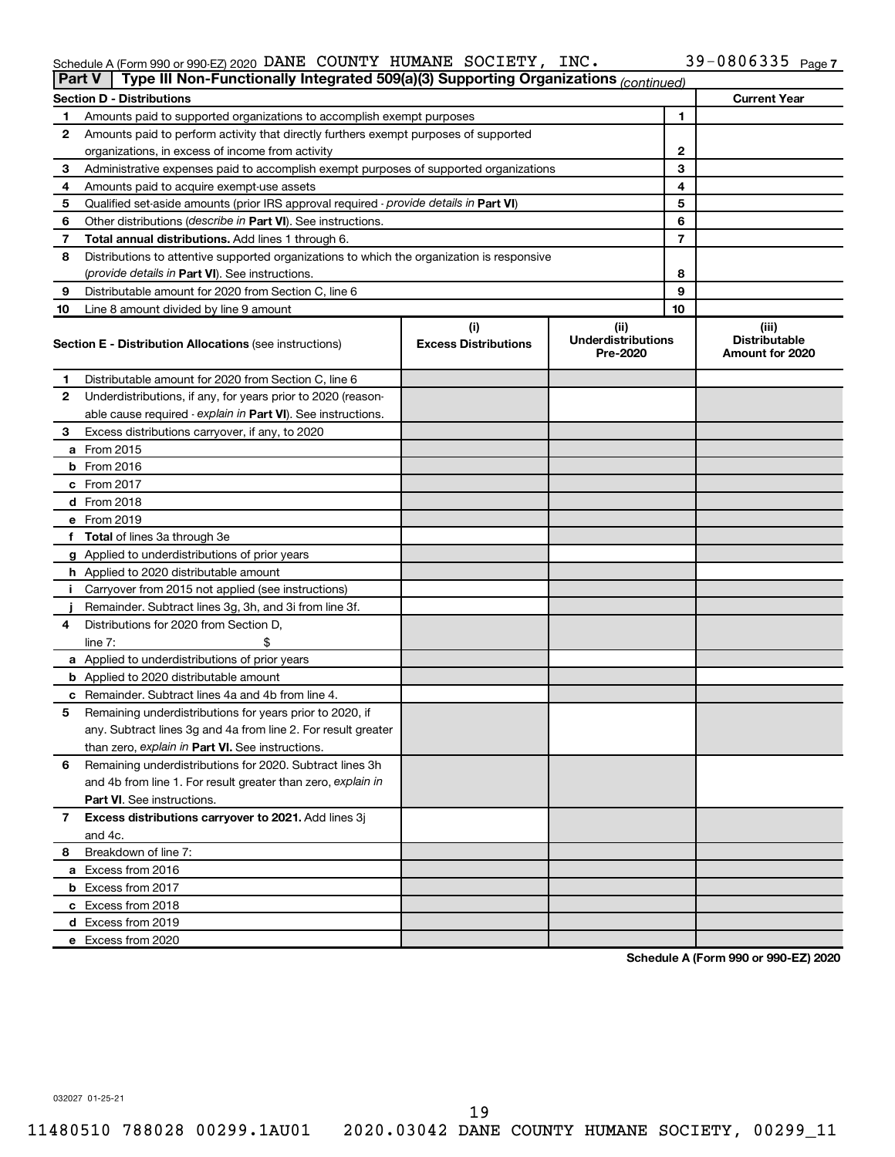#### Schedule A (Form 990 or 990-EZ) 2020 DANE COUNTY HUMANE SOCIETY, INC.  $39-0800335$  Page DANE COUNTY HUMANE SOCIETY, INC. 39-0806335

|    | Type III Non-Functionally Integrated 509(a)(3) Supporting Organizations (continued)<br><b>Part V</b> |                             |                                       |    |                                         |  |
|----|------------------------------------------------------------------------------------------------------|-----------------------------|---------------------------------------|----|-----------------------------------------|--|
|    | <b>Section D - Distributions</b>                                                                     |                             |                                       |    | <b>Current Year</b>                     |  |
| 1  | Amounts paid to supported organizations to accomplish exempt purposes                                |                             |                                       | 1  |                                         |  |
| 2  | Amounts paid to perform activity that directly furthers exempt purposes of supported                 |                             |                                       |    |                                         |  |
|    | organizations, in excess of income from activity                                                     |                             |                                       | 2  |                                         |  |
| 3  | Administrative expenses paid to accomplish exempt purposes of supported organizations                |                             |                                       | 3  |                                         |  |
| 4  | Amounts paid to acquire exempt-use assets                                                            |                             |                                       | 4  |                                         |  |
| 5  | Qualified set-aside amounts (prior IRS approval required - provide details in Part VI)               |                             |                                       | 5  |                                         |  |
| 6  | Other distributions ( <i>describe in Part VI</i> ). See instructions.                                |                             |                                       | 6  |                                         |  |
| 7  | Total annual distributions. Add lines 1 through 6.                                                   |                             |                                       | 7  |                                         |  |
| 8  | Distributions to attentive supported organizations to which the organization is responsive           |                             |                                       |    |                                         |  |
|    | (provide details in Part VI). See instructions.                                                      |                             |                                       | 8  |                                         |  |
| 9  | Distributable amount for 2020 from Section C, line 6                                                 |                             |                                       | 9  |                                         |  |
| 10 | Line 8 amount divided by line 9 amount                                                               |                             |                                       | 10 |                                         |  |
|    |                                                                                                      | (i)                         | (ii)                                  |    | (iii)                                   |  |
|    | <b>Section E - Distribution Allocations (see instructions)</b>                                       | <b>Excess Distributions</b> | <b>Underdistributions</b><br>Pre-2020 |    | <b>Distributable</b><br>Amount for 2020 |  |
| 1  | Distributable amount for 2020 from Section C, line 6                                                 |                             |                                       |    |                                         |  |
| 2  | Underdistributions, if any, for years prior to 2020 (reason-                                         |                             |                                       |    |                                         |  |
|    | able cause required - explain in Part VI). See instructions.                                         |                             |                                       |    |                                         |  |
| 3  | Excess distributions carryover, if any, to 2020                                                      |                             |                                       |    |                                         |  |
|    | a From 2015                                                                                          |                             |                                       |    |                                         |  |
|    | $b$ From 2016                                                                                        |                             |                                       |    |                                         |  |
|    | c From 2017                                                                                          |                             |                                       |    |                                         |  |
|    | <b>d</b> From 2018                                                                                   |                             |                                       |    |                                         |  |
|    | e From 2019                                                                                          |                             |                                       |    |                                         |  |
|    | f Total of lines 3a through 3e                                                                       |                             |                                       |    |                                         |  |
|    | g Applied to underdistributions of prior years                                                       |                             |                                       |    |                                         |  |
|    | <b>h</b> Applied to 2020 distributable amount                                                        |                             |                                       |    |                                         |  |
| Ť. | Carryover from 2015 not applied (see instructions)                                                   |                             |                                       |    |                                         |  |
|    | Remainder. Subtract lines 3g, 3h, and 3i from line 3f.                                               |                             |                                       |    |                                         |  |
| 4  | Distributions for 2020 from Section D,                                                               |                             |                                       |    |                                         |  |
|    | line 7:                                                                                              |                             |                                       |    |                                         |  |
|    | a Applied to underdistributions of prior years                                                       |                             |                                       |    |                                         |  |
|    | <b>b</b> Applied to 2020 distributable amount                                                        |                             |                                       |    |                                         |  |
|    | c Remainder. Subtract lines 4a and 4b from line 4.                                                   |                             |                                       |    |                                         |  |
| 5  | Remaining underdistributions for years prior to 2020, if                                             |                             |                                       |    |                                         |  |
|    | any. Subtract lines 3g and 4a from line 2. For result greater                                        |                             |                                       |    |                                         |  |
|    | than zero, explain in Part VI. See instructions.                                                     |                             |                                       |    |                                         |  |
| 6  | Remaining underdistributions for 2020. Subtract lines 3h                                             |                             |                                       |    |                                         |  |
|    | and 4b from line 1. For result greater than zero, explain in                                         |                             |                                       |    |                                         |  |
|    | <b>Part VI.</b> See instructions.                                                                    |                             |                                       |    |                                         |  |
| 7  | Excess distributions carryover to 2021. Add lines 3j                                                 |                             |                                       |    |                                         |  |
|    | and 4c.                                                                                              |                             |                                       |    |                                         |  |
| 8  | Breakdown of line 7:                                                                                 |                             |                                       |    |                                         |  |
|    | a Excess from 2016                                                                                   |                             |                                       |    |                                         |  |
|    | <b>b</b> Excess from 2017                                                                            |                             |                                       |    |                                         |  |
|    | c Excess from 2018                                                                                   |                             |                                       |    |                                         |  |
|    | d Excess from 2019                                                                                   |                             |                                       |    |                                         |  |
|    | e Excess from 2020                                                                                   |                             |                                       |    |                                         |  |
|    |                                                                                                      |                             |                                       |    |                                         |  |

**Schedule A (Form 990 or 990-EZ) 2020**

032027 01-25-21

19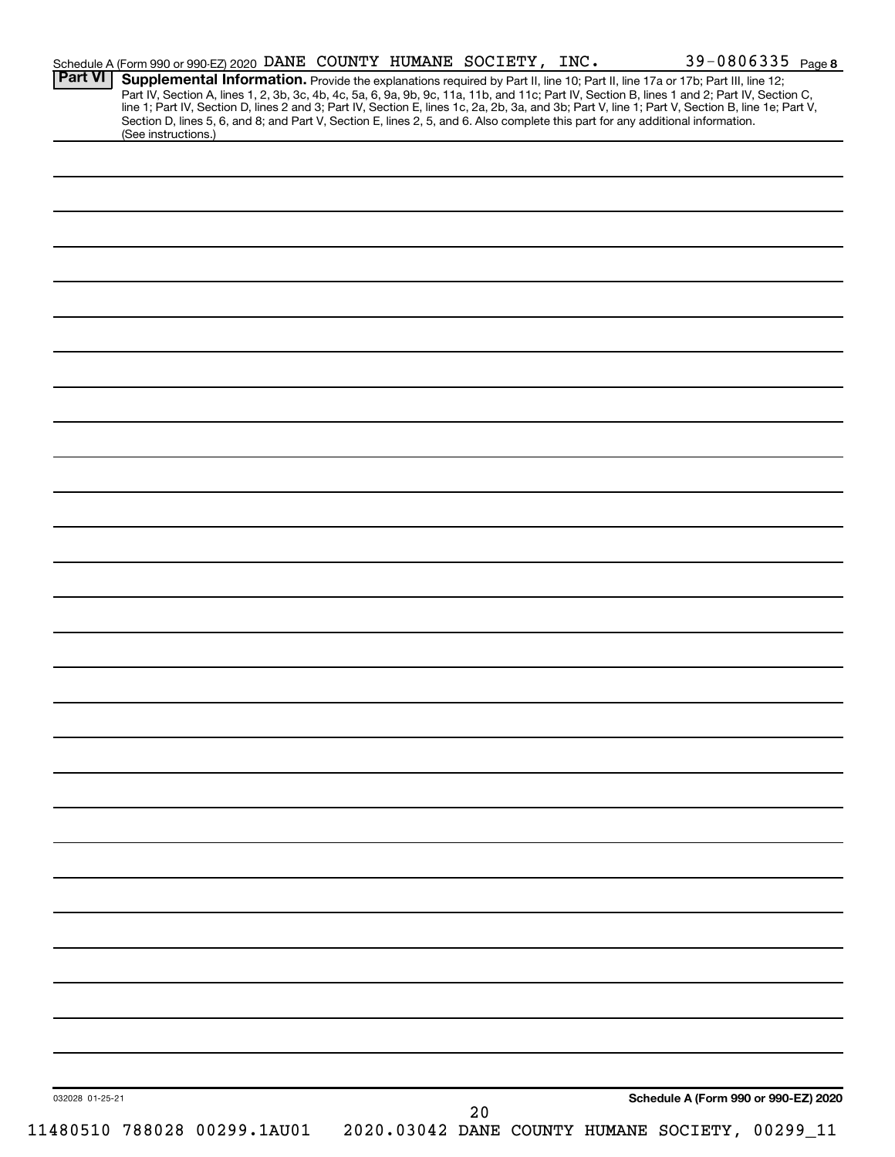| <b>Part VI</b>  | Schedule A (Form 990 or 990-EZ) 2020 DANE COUNTY HUMANE SOCIETY, INC. |  |  |    |  |                                                                                                                                                                                                                                                                                     | 39-0806335 Page 8 |
|-----------------|-----------------------------------------------------------------------|--|--|----|--|-------------------------------------------------------------------------------------------------------------------------------------------------------------------------------------------------------------------------------------------------------------------------------------|-------------------|
|                 |                                                                       |  |  |    |  | Supplemental Information. Provide the explanations required by Part II, line 10; Part II, line 17a or 17b; Part III, line 12;<br>Part IV, Section A, lines 1, 2, 3b, 3c, 4b, 4c, 5a, 6, 9a, 9b, 9c, 11a, 11b, and 11c; Part IV, Section B, lines 1 and 2; Part IV, Section C,       |                   |
|                 |                                                                       |  |  |    |  | line 1; Part IV, Section D, lines 2 and 3; Part IV, Section E, lines 1c, 2a, 2b, 3a, and 3b; Part V, line 1; Part V, Section B, line 1e; Part V,<br>Section D, lines 5, 6, and 8; and Part V, Section E, lines 2, 5, and 6. Also complete this part for any additional information. |                   |
|                 | (See instructions.)                                                   |  |  |    |  |                                                                                                                                                                                                                                                                                     |                   |
|                 |                                                                       |  |  |    |  |                                                                                                                                                                                                                                                                                     |                   |
|                 |                                                                       |  |  |    |  |                                                                                                                                                                                                                                                                                     |                   |
|                 |                                                                       |  |  |    |  |                                                                                                                                                                                                                                                                                     |                   |
|                 |                                                                       |  |  |    |  |                                                                                                                                                                                                                                                                                     |                   |
|                 |                                                                       |  |  |    |  |                                                                                                                                                                                                                                                                                     |                   |
|                 |                                                                       |  |  |    |  |                                                                                                                                                                                                                                                                                     |                   |
|                 |                                                                       |  |  |    |  |                                                                                                                                                                                                                                                                                     |                   |
|                 |                                                                       |  |  |    |  |                                                                                                                                                                                                                                                                                     |                   |
|                 |                                                                       |  |  |    |  |                                                                                                                                                                                                                                                                                     |                   |
|                 |                                                                       |  |  |    |  |                                                                                                                                                                                                                                                                                     |                   |
|                 |                                                                       |  |  |    |  |                                                                                                                                                                                                                                                                                     |                   |
|                 |                                                                       |  |  |    |  |                                                                                                                                                                                                                                                                                     |                   |
|                 |                                                                       |  |  |    |  |                                                                                                                                                                                                                                                                                     |                   |
|                 |                                                                       |  |  |    |  |                                                                                                                                                                                                                                                                                     |                   |
|                 |                                                                       |  |  |    |  |                                                                                                                                                                                                                                                                                     |                   |
|                 |                                                                       |  |  |    |  |                                                                                                                                                                                                                                                                                     |                   |
|                 |                                                                       |  |  |    |  |                                                                                                                                                                                                                                                                                     |                   |
|                 |                                                                       |  |  |    |  |                                                                                                                                                                                                                                                                                     |                   |
|                 |                                                                       |  |  |    |  |                                                                                                                                                                                                                                                                                     |                   |
|                 |                                                                       |  |  |    |  |                                                                                                                                                                                                                                                                                     |                   |
|                 |                                                                       |  |  |    |  |                                                                                                                                                                                                                                                                                     |                   |
|                 |                                                                       |  |  |    |  |                                                                                                                                                                                                                                                                                     |                   |
|                 |                                                                       |  |  |    |  |                                                                                                                                                                                                                                                                                     |                   |
|                 |                                                                       |  |  |    |  |                                                                                                                                                                                                                                                                                     |                   |
|                 |                                                                       |  |  |    |  |                                                                                                                                                                                                                                                                                     |                   |
|                 |                                                                       |  |  |    |  |                                                                                                                                                                                                                                                                                     |                   |
|                 |                                                                       |  |  |    |  |                                                                                                                                                                                                                                                                                     |                   |
|                 |                                                                       |  |  |    |  |                                                                                                                                                                                                                                                                                     |                   |
|                 |                                                                       |  |  |    |  |                                                                                                                                                                                                                                                                                     |                   |
|                 |                                                                       |  |  |    |  |                                                                                                                                                                                                                                                                                     |                   |
|                 |                                                                       |  |  |    |  |                                                                                                                                                                                                                                                                                     |                   |
|                 |                                                                       |  |  |    |  |                                                                                                                                                                                                                                                                                     |                   |
|                 |                                                                       |  |  |    |  |                                                                                                                                                                                                                                                                                     |                   |
|                 |                                                                       |  |  |    |  |                                                                                                                                                                                                                                                                                     |                   |
|                 |                                                                       |  |  |    |  |                                                                                                                                                                                                                                                                                     |                   |
|                 |                                                                       |  |  |    |  |                                                                                                                                                                                                                                                                                     |                   |
|                 |                                                                       |  |  |    |  |                                                                                                                                                                                                                                                                                     |                   |
|                 |                                                                       |  |  |    |  |                                                                                                                                                                                                                                                                                     |                   |
|                 |                                                                       |  |  |    |  |                                                                                                                                                                                                                                                                                     |                   |
|                 |                                                                       |  |  |    |  |                                                                                                                                                                                                                                                                                     |                   |
|                 |                                                                       |  |  |    |  |                                                                                                                                                                                                                                                                                     |                   |
|                 |                                                                       |  |  |    |  |                                                                                                                                                                                                                                                                                     |                   |
|                 |                                                                       |  |  |    |  |                                                                                                                                                                                                                                                                                     |                   |
|                 |                                                                       |  |  |    |  |                                                                                                                                                                                                                                                                                     |                   |
|                 |                                                                       |  |  |    |  |                                                                                                                                                                                                                                                                                     |                   |
| 032028 01-25-21 |                                                                       |  |  | 20 |  | Schedule A (Form 990 or 990-EZ) 2020                                                                                                                                                                                                                                                |                   |
|                 | 11480510 788028 00299.1AU01                                           |  |  |    |  | 2020.03042 DANE COUNTY HUMANE SOCIETY, 00299_11                                                                                                                                                                                                                                     |                   |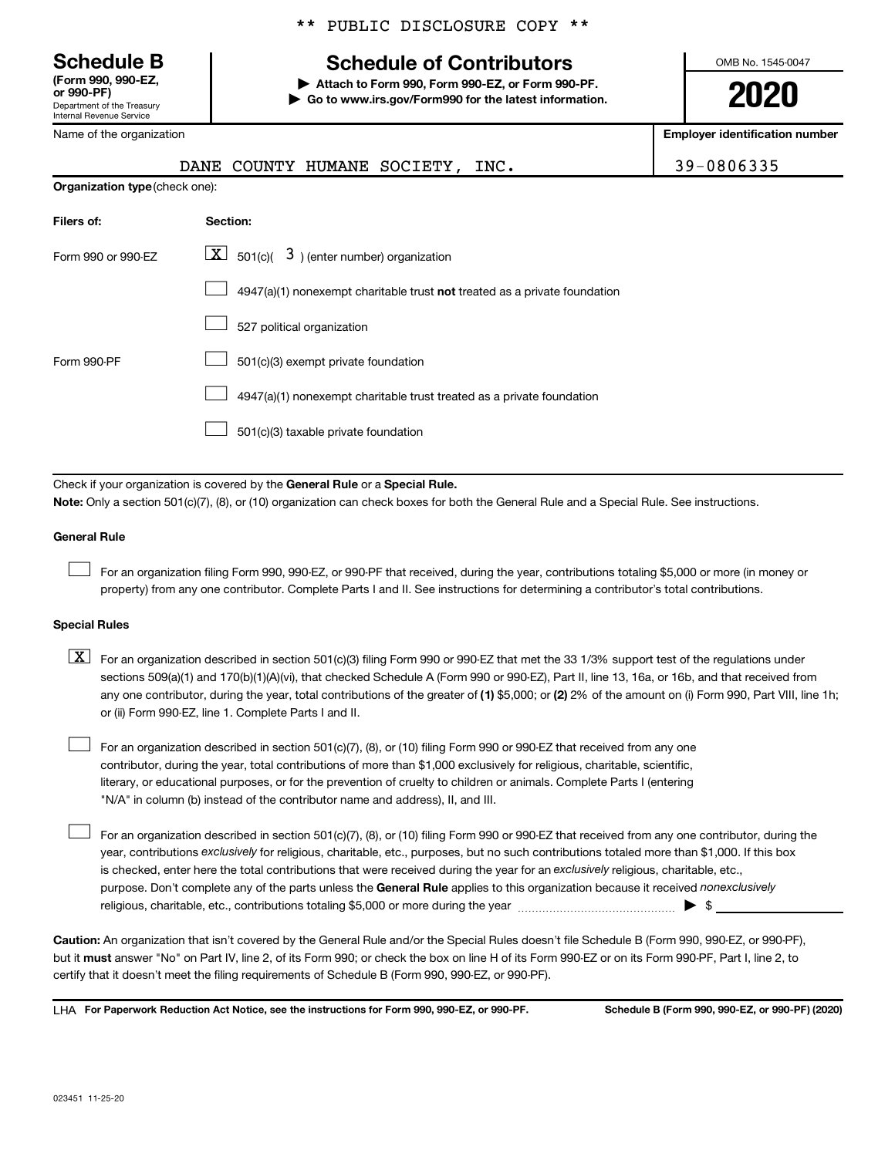**(Form 990, 990-EZ,**

Department of the Treasury Internal Revenue Service

Name of the organization

## **Schedule B Schedule of Contributors**

**or 990-PF) | Attach to Form 990, Form 990-EZ, or Form 990-PF. | Go to www.irs.gov/Form990 for the latest information.** OMB No. 1545-0047

**2020**

**Employer identification number**

|                                | COUNTY HUMANE SOCIETY,<br>DANE<br>INC.                                                                                                                                                                                                                                                                                                                                                                                                                                                                    | 39-0806335 |
|--------------------------------|-----------------------------------------------------------------------------------------------------------------------------------------------------------------------------------------------------------------------------------------------------------------------------------------------------------------------------------------------------------------------------------------------------------------------------------------------------------------------------------------------------------|------------|
| Organization type (check one): |                                                                                                                                                                                                                                                                                                                                                                                                                                                                                                           |            |
| Filers of:                     | Section:                                                                                                                                                                                                                                                                                                                                                                                                                                                                                                  |            |
| Form 990 or 990-EZ             | $\lfloor x \rfloor$ 501(c)( 3) (enter number) organization                                                                                                                                                                                                                                                                                                                                                                                                                                                |            |
|                                | 4947(a)(1) nonexempt charitable trust not treated as a private foundation                                                                                                                                                                                                                                                                                                                                                                                                                                 |            |
|                                | 527 political organization                                                                                                                                                                                                                                                                                                                                                                                                                                                                                |            |
| Form 990-PF                    | 501(c)(3) exempt private foundation                                                                                                                                                                                                                                                                                                                                                                                                                                                                       |            |
|                                | 4947(a)(1) nonexempt charitable trust treated as a private foundation                                                                                                                                                                                                                                                                                                                                                                                                                                     |            |
|                                | 501(c)(3) taxable private foundation                                                                                                                                                                                                                                                                                                                                                                                                                                                                      |            |
|                                |                                                                                                                                                                                                                                                                                                                                                                                                                                                                                                           |            |
|                                | Check if your organization is covered by the General Rule or a Special Rule.<br>Note: Only a section 501(c)(7), (8), or (10) organization can check boxes for both the General Rule and a Special Rule. See instructions.                                                                                                                                                                                                                                                                                 |            |
| <b>General Rule</b>            |                                                                                                                                                                                                                                                                                                                                                                                                                                                                                                           |            |
|                                | For an organization filing Form 990, 990-EZ, or 990-PF that received, during the year, contributions totaling \$5,000 or more (in money or<br>property) from any one contributor. Complete Parts I and II. See instructions for determining a contributor's total contributions.                                                                                                                                                                                                                          |            |
| <b>Special Rules</b>           |                                                                                                                                                                                                                                                                                                                                                                                                                                                                                                           |            |
| $\boxed{\text{X}}$             | For an organization described in section 501(c)(3) filing Form 990 or 990-EZ that met the 33 1/3% support test of the regulations under<br>sections 509(a)(1) and 170(b)(1)(A)(vi), that checked Schedule A (Form 990 or 990-EZ), Part II, line 13, 16a, or 16b, and that received from<br>any one contributor, during the year, total contributions of the greater of (1) \$5,000; or (2) 2% of the amount on (i) Form 990, Part VIII, line 1h;<br>or (ii) Form 990-EZ, line 1. Complete Parts I and II. |            |
|                                | For an organization described in section 501(c)(7), (8), or (10) filing Form 990 or 990-EZ that received from any one<br>contributor, during the year, total contributions of more than \$1,000 exclusively for religious, charitable, scientific,<br>literary, or educational purposes, or for the prevention of cruelty to children or animals. Complete Parts I (entering<br>"N/A" in column (b) instead of the contributor name and address), II, and III.                                            |            |
|                                |                                                                                                                                                                                                                                                                                                                                                                                                                                                                                                           |            |

purpose. Don't complete any of the parts unless the General Rule applies to this organization because it received nonexclusively year, contributions exclusively for religious, charitable, etc., purposes, but no such contributions totaled more than \$1,000. If this box is checked, enter here the total contributions that were received during the year for an exclusively religious, charitable, etc., For an organization described in section 501(c)(7), (8), or (10) filing Form 990 or 990-EZ that received from any one contributor, during the religious, charitable, etc., contributions totaling \$5,000 or more during the year  $\ldots$  $\ldots$  $\ldots$  $\ldots$  $\ldots$  $\ldots$ 

**Caution:**  An organization that isn't covered by the General Rule and/or the Special Rules doesn't file Schedule B (Form 990, 990-EZ, or 990-PF),  **must** but it answer "No" on Part IV, line 2, of its Form 990; or check the box on line H of its Form 990-EZ or on its Form 990-PF, Part I, line 2, to certify that it doesn't meet the filing requirements of Schedule B (Form 990, 990-EZ, or 990-PF).

**For Paperwork Reduction Act Notice, see the instructions for Form 990, 990-EZ, or 990-PF. Schedule B (Form 990, 990-EZ, or 990-PF) (2020)** LHA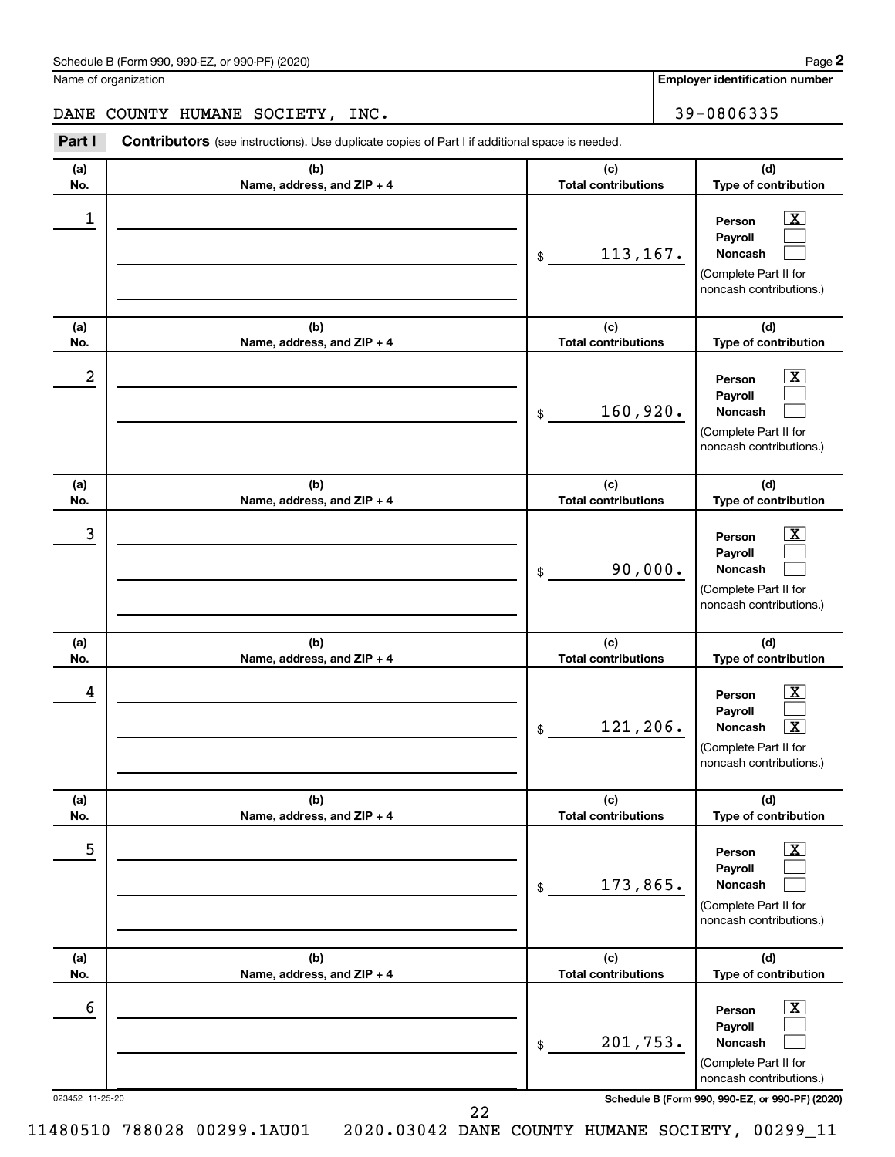| Schedule B (Form 990, 990-EZ, or 990-PF) (2020)<br>. The state of the state $\mathcal{L}$ is the state of the state of the state of the state of the state of the state of the state of the state of the state of the state of the state of the state of the state of the state of th | Page |
|---------------------------------------------------------------------------------------------------------------------------------------------------------------------------------------------------------------------------------------------------------------------------------------|------|
|---------------------------------------------------------------------------------------------------------------------------------------------------------------------------------------------------------------------------------------------------------------------------------------|------|

Name of organization

**Employer identification number**

DANE COUNTY HUMANE SOCIETY, INC. 39-0806335

**Part I** Contributors (see instructions). Use duplicate copies of Part I if additional space is needed.

| (b)<br>(c)<br>(d)<br>(a)<br><b>Total contributions</b><br>Type of contribution<br>No.<br>Name, address, and ZIP + 4<br>1<br>$\mathbf{X}$<br>Person<br>Payroll<br>113, 167.<br><b>Noncash</b><br>\$<br>(Complete Part II for<br>noncash contributions.)<br>(b)<br>(c)<br>(d)<br>(a)<br><b>Total contributions</b><br>Type of contribution<br>No.<br>Name, address, and ZIP + 4<br>2<br>$\mathbf{X}$<br>Person<br>Payroll<br>160,920.<br><b>Noncash</b><br>\$<br>(Complete Part II for<br>noncash contributions.)<br>(b)<br>(c)<br>(d)<br>(a)<br><b>Total contributions</b><br>Type of contribution<br>Name, address, and ZIP + 4<br>No.<br>3<br>$\mathbf{X}$<br>Person<br>Payroll<br>90,000.<br><b>Noncash</b><br>\$<br>(Complete Part II for<br>noncash contributions.)<br>(b)<br>(c)<br>(d)<br>(a)<br><b>Total contributions</b><br>Type of contribution<br>Name, address, and ZIP + 4<br>No.<br>4<br>$\mathbf{X}$<br>Person<br>Payroll<br>121,206.<br>$\boxed{\text{X}}$<br><b>Noncash</b><br>\$<br>(Complete Part II for<br>noncash contributions.)<br>(b)<br>(c)<br>(d)<br>(a)<br>No.<br>Name, address, and ZIP + 4<br><b>Total contributions</b><br>Type of contribution<br>5<br>$\boxed{\text{X}}$<br>Person<br>Payroll<br>173,865.<br>Noncash<br>\$<br>(Complete Part II for<br>noncash contributions.)<br>(b)<br>(c)<br>(d)<br>(a)<br><b>Total contributions</b><br>Type of contribution<br>No.<br>Name, address, and ZIP + 4<br>6<br>$\boxed{\text{X}}$<br>Person<br>Payroll<br>201,753.<br>Noncash<br>\$<br>(Complete Part II for<br>noncash contributions.)<br>023452 11-25-20<br>Schedule B (Form 990, 990-EZ, or 990-PF) (2020) |  |  |
|----------------------------------------------------------------------------------------------------------------------------------------------------------------------------------------------------------------------------------------------------------------------------------------------------------------------------------------------------------------------------------------------------------------------------------------------------------------------------------------------------------------------------------------------------------------------------------------------------------------------------------------------------------------------------------------------------------------------------------------------------------------------------------------------------------------------------------------------------------------------------------------------------------------------------------------------------------------------------------------------------------------------------------------------------------------------------------------------------------------------------------------------------------------------------------------------------------------------------------------------------------------------------------------------------------------------------------------------------------------------------------------------------------------------------------------------------------------------------------------------------------------------------------------------------------------------------------------------------------------------------------------------|--|--|
|                                                                                                                                                                                                                                                                                                                                                                                                                                                                                                                                                                                                                                                                                                                                                                                                                                                                                                                                                                                                                                                                                                                                                                                                                                                                                                                                                                                                                                                                                                                                                                                                                                              |  |  |
|                                                                                                                                                                                                                                                                                                                                                                                                                                                                                                                                                                                                                                                                                                                                                                                                                                                                                                                                                                                                                                                                                                                                                                                                                                                                                                                                                                                                                                                                                                                                                                                                                                              |  |  |
|                                                                                                                                                                                                                                                                                                                                                                                                                                                                                                                                                                                                                                                                                                                                                                                                                                                                                                                                                                                                                                                                                                                                                                                                                                                                                                                                                                                                                                                                                                                                                                                                                                              |  |  |
|                                                                                                                                                                                                                                                                                                                                                                                                                                                                                                                                                                                                                                                                                                                                                                                                                                                                                                                                                                                                                                                                                                                                                                                                                                                                                                                                                                                                                                                                                                                                                                                                                                              |  |  |
|                                                                                                                                                                                                                                                                                                                                                                                                                                                                                                                                                                                                                                                                                                                                                                                                                                                                                                                                                                                                                                                                                                                                                                                                                                                                                                                                                                                                                                                                                                                                                                                                                                              |  |  |
|                                                                                                                                                                                                                                                                                                                                                                                                                                                                                                                                                                                                                                                                                                                                                                                                                                                                                                                                                                                                                                                                                                                                                                                                                                                                                                                                                                                                                                                                                                                                                                                                                                              |  |  |
|                                                                                                                                                                                                                                                                                                                                                                                                                                                                                                                                                                                                                                                                                                                                                                                                                                                                                                                                                                                                                                                                                                                                                                                                                                                                                                                                                                                                                                                                                                                                                                                                                                              |  |  |
|                                                                                                                                                                                                                                                                                                                                                                                                                                                                                                                                                                                                                                                                                                                                                                                                                                                                                                                                                                                                                                                                                                                                                                                                                                                                                                                                                                                                                                                                                                                                                                                                                                              |  |  |
|                                                                                                                                                                                                                                                                                                                                                                                                                                                                                                                                                                                                                                                                                                                                                                                                                                                                                                                                                                                                                                                                                                                                                                                                                                                                                                                                                                                                                                                                                                                                                                                                                                              |  |  |
|                                                                                                                                                                                                                                                                                                                                                                                                                                                                                                                                                                                                                                                                                                                                                                                                                                                                                                                                                                                                                                                                                                                                                                                                                                                                                                                                                                                                                                                                                                                                                                                                                                              |  |  |
|                                                                                                                                                                                                                                                                                                                                                                                                                                                                                                                                                                                                                                                                                                                                                                                                                                                                                                                                                                                                                                                                                                                                                                                                                                                                                                                                                                                                                                                                                                                                                                                                                                              |  |  |
|                                                                                                                                                                                                                                                                                                                                                                                                                                                                                                                                                                                                                                                                                                                                                                                                                                                                                                                                                                                                                                                                                                                                                                                                                                                                                                                                                                                                                                                                                                                                                                                                                                              |  |  |

11480510 788028 00299.1AU01 2020.03042 DANE COUNTY HUMANE SOCIETY, 00299\_11

22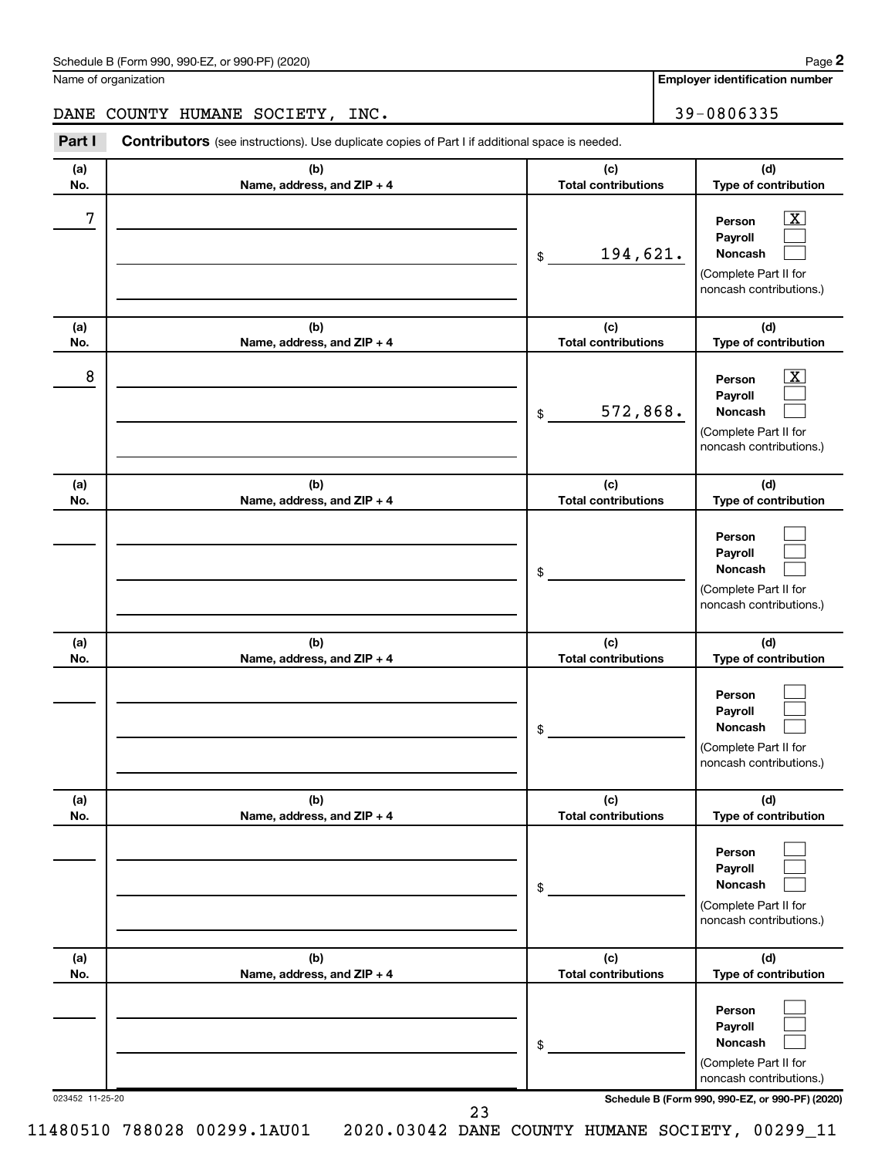| Schedule B (Form 990, 990-EZ, or 990-PF) (2020)<br>. The state of the state $\mathcal{L}$ is the state of the state of the state of the state of the state of the state of the state of the state of the state of the state of the state of the state of the state of the state of th | Page |
|---------------------------------------------------------------------------------------------------------------------------------------------------------------------------------------------------------------------------------------------------------------------------------------|------|
|---------------------------------------------------------------------------------------------------------------------------------------------------------------------------------------------------------------------------------------------------------------------------------------|------|

Name of organization

**Employer identification number**

**(d) Type of contribution**

> $\boxed{\text{X}}$  $\Box$  $\Box$

**Person Payroll Noncash**

DANE COUNTY HUMANE SOCIETY, INC. 49 | 39-0806335

**(a) No. (b) Name, address, and ZIP + 4 (c) Total contributions (a) No. (b) Name, address, and ZIP + 4 (c) Total contributions Part I** Contributors (see instructions). Use duplicate copies of Part I if additional space is needed. \$ (Complete Part II for noncash contributions.)  $7$   $|$  Person  $\overline{\text{X}}$ 194,621.

| (a)             | (b)                               | (c)                                 | (d)                                                                                              |
|-----------------|-----------------------------------|-------------------------------------|--------------------------------------------------------------------------------------------------|
| No.             | Name, address, and ZIP + 4        | <b>Total contributions</b>          | Type of contribution                                                                             |
| 8               |                                   | 572,868.<br>$$\tilde{\phantom{a}}$$ | $\mathbf{X}$<br>Person<br>Payroll<br>Noncash<br>(Complete Part II for<br>noncash contributions.) |
| (a)<br>No.      | (b)<br>Name, address, and ZIP + 4 | (c)<br><b>Total contributions</b>   | (d)<br>Type of contribution                                                                      |
|                 |                                   | \$                                  | Person<br>Payroll<br>Noncash<br>(Complete Part II for<br>noncash contributions.)                 |
| (a)<br>No.      | (b)<br>Name, address, and ZIP + 4 | (c)<br><b>Total contributions</b>   | (d)<br>Type of contribution                                                                      |
|                 |                                   | \$                                  | Person<br>Payroll<br>Noncash<br>(Complete Part II for<br>noncash contributions.)                 |
| (a)<br>No.      | (b)<br>Name, address, and ZIP + 4 | (c)<br><b>Total contributions</b>   | (d)<br>Type of contribution                                                                      |
|                 |                                   | \$                                  | Person<br>Payroll<br>Noncash<br>(Complete Part II for<br>noncash contributions.)                 |
| (a)<br>No.      | (b)<br>Name, address, and ZIP + 4 | (c)<br><b>Total contributions</b>   | (d)<br>Type of contribution                                                                      |
|                 |                                   | \$                                  | Person<br>Payroll<br>Noncash<br>(Complete Part II for<br>noncash contributions.)                 |
| 023452 11-25-20 | 23                                |                                     | Schedule B (Form 990, 990-EZ, or 990-PF) (2020)                                                  |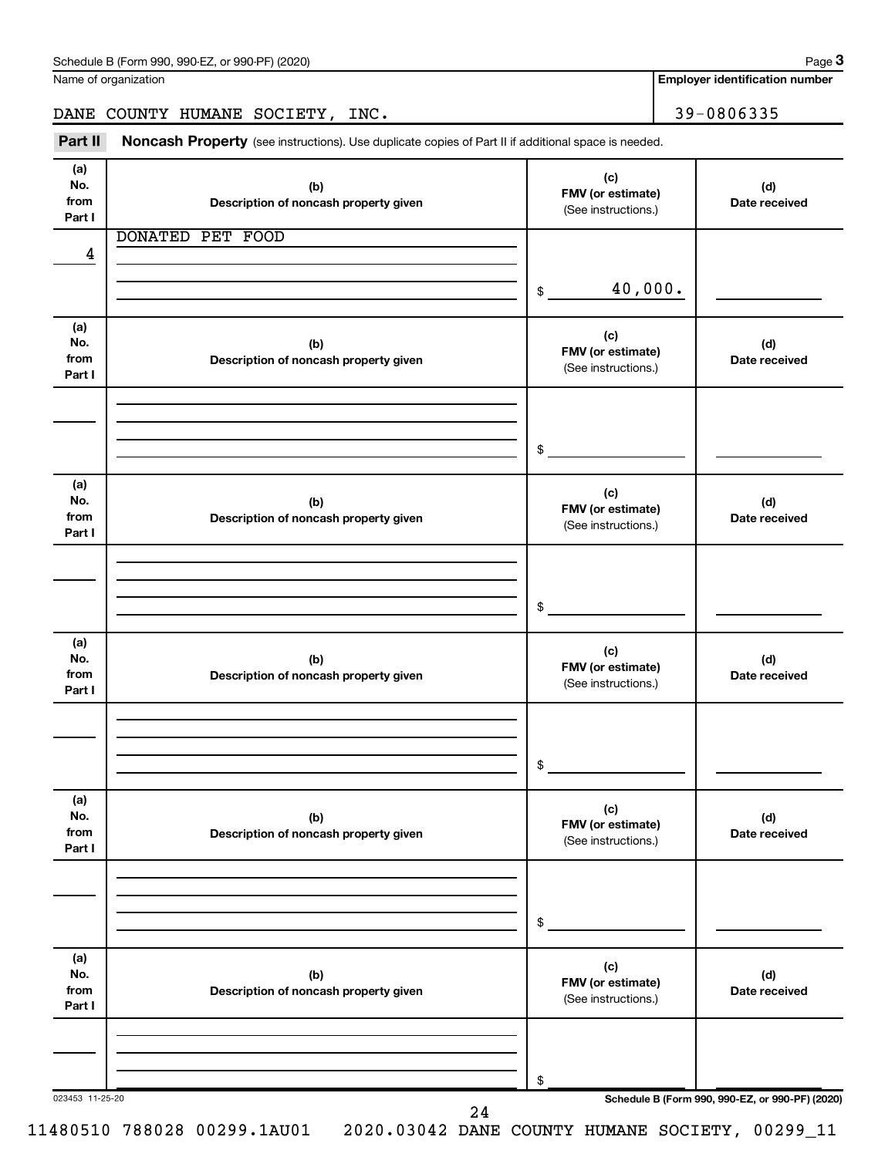Name of organization

**Employer identification number**

DANE COUNTY HUMANE SOCIETY, INC. 39-0806335

Part II Noncash Property (see instructions). Use duplicate copies of Part II if additional space is needed.

| (a)<br>No.<br>from<br>Part I | (b)<br>Description of noncash property given | (c)<br>FMV (or estimate)<br>(See instructions.) | (d)<br>Date received                            |
|------------------------------|----------------------------------------------|-------------------------------------------------|-------------------------------------------------|
| 4                            | <b>DONATED PET FOOD</b>                      | 40,000.<br>\$                                   |                                                 |
|                              |                                              |                                                 |                                                 |
| (a)<br>No.<br>from<br>Part I | (b)<br>Description of noncash property given | (c)<br>FMV (or estimate)<br>(See instructions.) | (d)<br>Date received                            |
|                              |                                              |                                                 |                                                 |
|                              |                                              | $\mathsf{\$}$                                   |                                                 |
| (a)<br>No.<br>from<br>Part I | (b)<br>Description of noncash property given | (c)<br>FMV (or estimate)<br>(See instructions.) | (d)<br>Date received                            |
|                              |                                              |                                                 |                                                 |
|                              |                                              | $\mathsf{\$}$                                   |                                                 |
| (a)<br>No.<br>from<br>Part I | (b)<br>Description of noncash property given | (c)<br>FMV (or estimate)<br>(See instructions.) | (d)<br>Date received                            |
|                              |                                              |                                                 |                                                 |
|                              |                                              | $\$\$                                           |                                                 |
| (a)<br>No.<br>from<br>Part I | (b)<br>Description of noncash property given | (c)<br>FMV (or estimate)<br>(See instructions.) | (d)<br>Date received                            |
|                              |                                              |                                                 |                                                 |
|                              |                                              | \$                                              |                                                 |
| (a)<br>No.<br>from<br>Part I | (b)<br>Description of noncash property given | (c)<br>FMV (or estimate)<br>(See instructions.) | (d)<br>Date received                            |
|                              |                                              |                                                 |                                                 |
| 023453 11-25-20              |                                              | \$                                              | Schedule B (Form 990, 990-EZ, or 990-PF) (2020) |
|                              | 24                                           |                                                 |                                                 |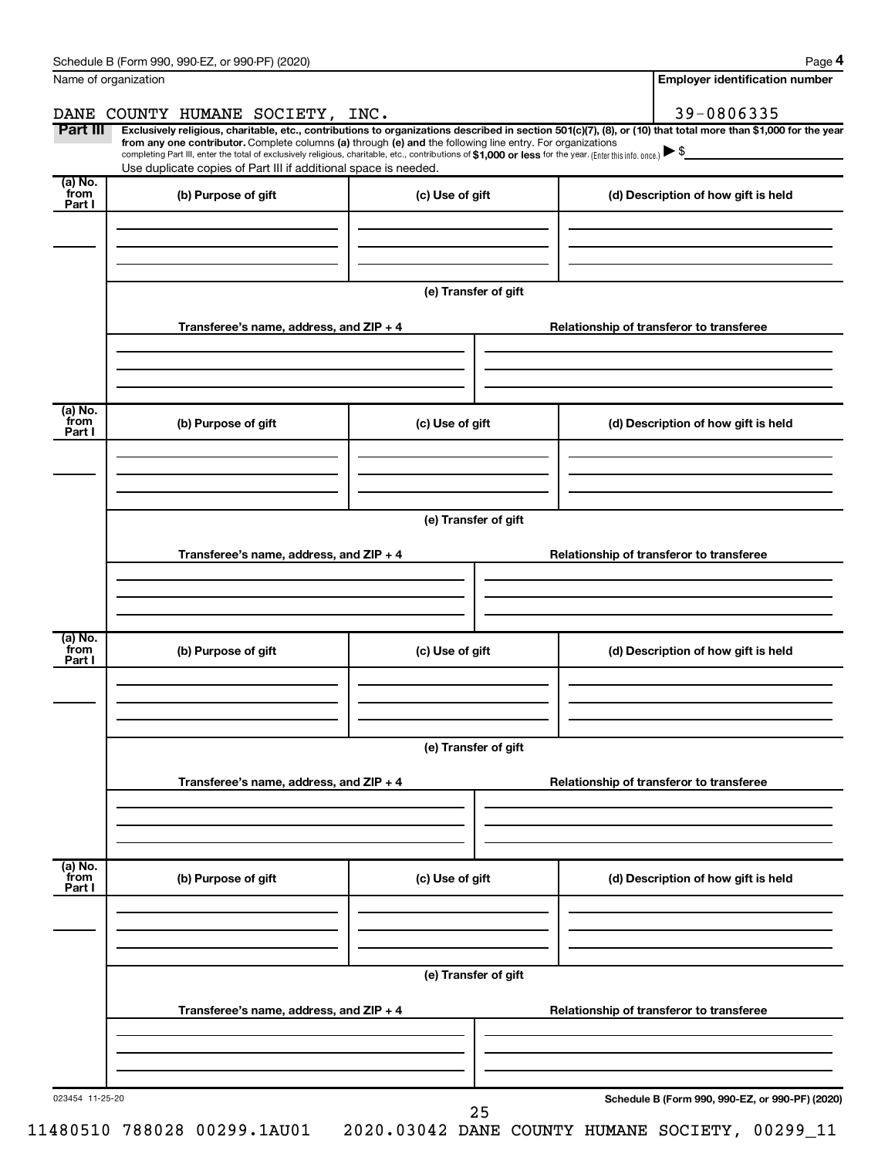| Name of organization       | Schedule B (Form 990, 990-EZ, or 990-PF) (2020)                                                                                                                                                                                                                                                                                          |                                          | <b>Employer identification number</b>                                                                                                                          |  |  |  |  |  |
|----------------------------|------------------------------------------------------------------------------------------------------------------------------------------------------------------------------------------------------------------------------------------------------------------------------------------------------------------------------------------|------------------------------------------|----------------------------------------------------------------------------------------------------------------------------------------------------------------|--|--|--|--|--|
|                            | DANE COUNTY HUMANE SOCIETY, INC.                                                                                                                                                                                                                                                                                                         |                                          | 39-0806335                                                                                                                                                     |  |  |  |  |  |
| Part III                   | from any one contributor. Complete columns (a) through (e) and the following line entry. For organizations<br>completing Part III, enter the total of exclusively religious, charitable, etc., contributions of \$1,000 or less for the year. (Enterthis info. once.)<br>Use duplicate copies of Part III if additional space is needed. |                                          | Exclusively religious, charitable, etc., contributions to organizations described in section 501(c)(7), (8), or (10) that total more than \$1,000 for the year |  |  |  |  |  |
| (a) No.<br>`from           | (b) Purpose of gift                                                                                                                                                                                                                                                                                                                      | (c) Use of gift                          | (d) Description of how gift is held                                                                                                                            |  |  |  |  |  |
| Part I                     |                                                                                                                                                                                                                                                                                                                                          |                                          |                                                                                                                                                                |  |  |  |  |  |
|                            |                                                                                                                                                                                                                                                                                                                                          | (e) Transfer of gift                     |                                                                                                                                                                |  |  |  |  |  |
|                            | Transferee's name, address, and ZIP + 4                                                                                                                                                                                                                                                                                                  |                                          | Relationship of transferor to transferee                                                                                                                       |  |  |  |  |  |
| (a) No.<br>from<br>Part I  | (b) Purpose of gift                                                                                                                                                                                                                                                                                                                      | (c) Use of gift                          | (d) Description of how gift is held                                                                                                                            |  |  |  |  |  |
|                            |                                                                                                                                                                                                                                                                                                                                          |                                          |                                                                                                                                                                |  |  |  |  |  |
|                            |                                                                                                                                                                                                                                                                                                                                          | (e) Transfer of gift                     |                                                                                                                                                                |  |  |  |  |  |
|                            | Transferee's name, address, and ZIP + 4                                                                                                                                                                                                                                                                                                  |                                          | Relationship of transferor to transferee                                                                                                                       |  |  |  |  |  |
|                            |                                                                                                                                                                                                                                                                                                                                          |                                          |                                                                                                                                                                |  |  |  |  |  |
| (a) No.<br>`from<br>Part I | (b) Purpose of gift                                                                                                                                                                                                                                                                                                                      | (c) Use of gift                          | (d) Description of how gift is held                                                                                                                            |  |  |  |  |  |
|                            |                                                                                                                                                                                                                                                                                                                                          |                                          |                                                                                                                                                                |  |  |  |  |  |
|                            | (e) Transfer of gift                                                                                                                                                                                                                                                                                                                     |                                          |                                                                                                                                                                |  |  |  |  |  |
|                            | Transferee's name, address, and ZIP + 4                                                                                                                                                                                                                                                                                                  |                                          | Relationship of transferor to transferee                                                                                                                       |  |  |  |  |  |
|                            |                                                                                                                                                                                                                                                                                                                                          |                                          |                                                                                                                                                                |  |  |  |  |  |
| (a) No.<br>from<br>Part I  | (b) Purpose of gift                                                                                                                                                                                                                                                                                                                      | (c) Use of gift                          | (d) Description of how gift is held                                                                                                                            |  |  |  |  |  |
|                            |                                                                                                                                                                                                                                                                                                                                          | (e) Transfer of gift                     |                                                                                                                                                                |  |  |  |  |  |
|                            | Transferee's name, address, and ZIP + 4                                                                                                                                                                                                                                                                                                  | Relationship of transferor to transferee |                                                                                                                                                                |  |  |  |  |  |
|                            |                                                                                                                                                                                                                                                                                                                                          |                                          |                                                                                                                                                                |  |  |  |  |  |
| 023454 11-25-20            |                                                                                                                                                                                                                                                                                                                                          |                                          | Schedule B (Form 990, 990-EZ, or 990-PF) (2020)                                                                                                                |  |  |  |  |  |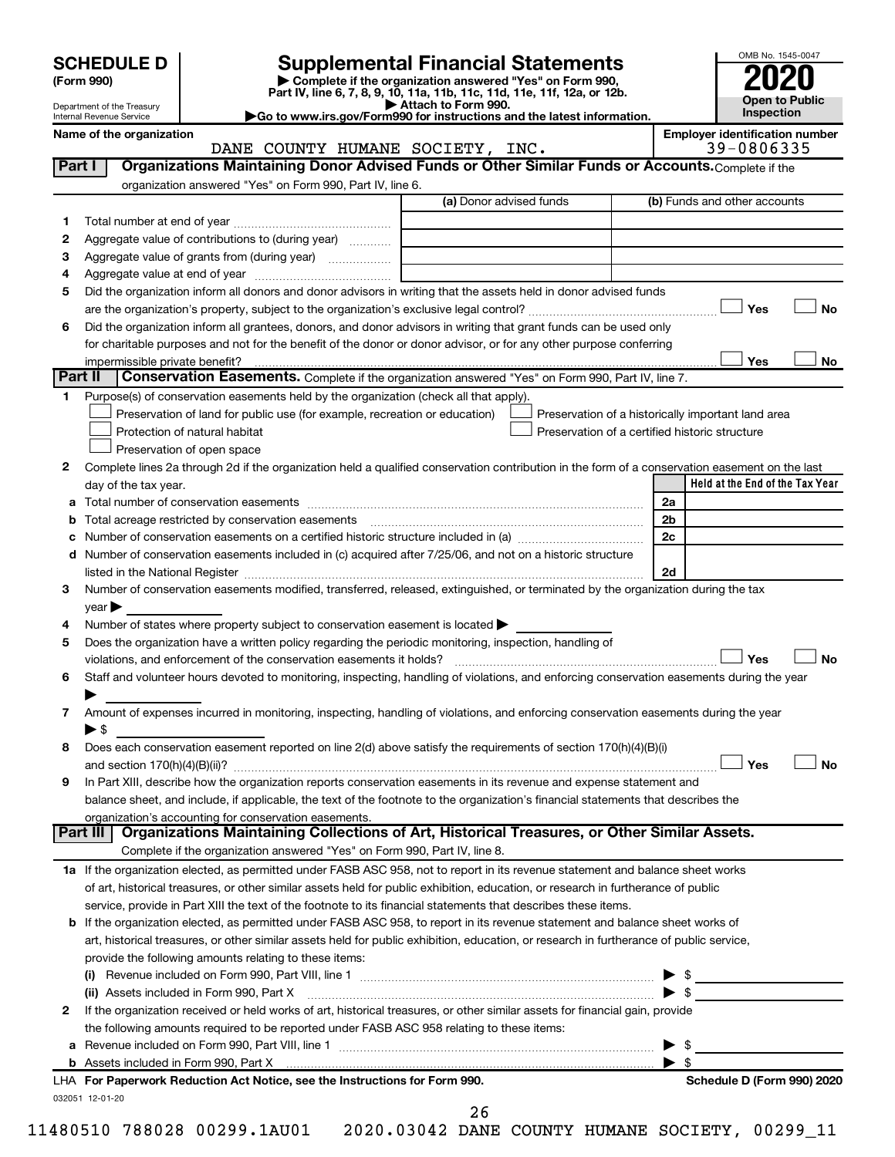| <b>SCHEDULE D</b> |  |
|-------------------|--|
|-------------------|--|

| (Form 990) |
|------------|
|            |

# **SCHEDULE D Supplemental Financial Statements**<br> **Form 990 2020**<br> **Part IV** line 6.7.8.9.10, 11a, 11b, 11d, 11d, 11d, 11d, 11d, 12a, 0r, 12b

**(Form 990) | Complete if the organization answered "Yes" on Form 990, Part IV, line 6, 7, 8, 9, 10, 11a, 11b, 11c, 11d, 11e, 11f, 12a, or 12b.**

**| Attach to Form 990. |Go to www.irs.gov/Form990 for instructions and the latest information.**



Department of the Treasury Internal Revenue Service

Name of the organization<br> **Employer identification number**<br> **Employer identification number**<br> **Employer identification number**<br> **Employer identification number**<br> **Employer identification number** DANE COUNTY HUMANE SOCIETY, INC.

| Part I  | Organizations Maintaining Donor Advised Funds or Other Similar Funds or Accounts. Complete if the                                                                                                 |                         |                         |                                                    |  |
|---------|---------------------------------------------------------------------------------------------------------------------------------------------------------------------------------------------------|-------------------------|-------------------------|----------------------------------------------------|--|
|         | organization answered "Yes" on Form 990, Part IV, line 6.                                                                                                                                         |                         |                         |                                                    |  |
|         |                                                                                                                                                                                                   | (a) Donor advised funds |                         | (b) Funds and other accounts                       |  |
| 1       |                                                                                                                                                                                                   |                         |                         |                                                    |  |
| 2       | Aggregate value of contributions to (during year)                                                                                                                                                 |                         |                         |                                                    |  |
| 3       |                                                                                                                                                                                                   |                         |                         |                                                    |  |
| 4       |                                                                                                                                                                                                   |                         |                         |                                                    |  |
| 5       | Did the organization inform all donors and donor advisors in writing that the assets held in donor advised funds                                                                                  |                         |                         |                                                    |  |
|         |                                                                                                                                                                                                   |                         |                         | <b>No</b><br>Yes                                   |  |
| 6       | Did the organization inform all grantees, donors, and donor advisors in writing that grant funds can be used only                                                                                 |                         |                         |                                                    |  |
|         | for charitable purposes and not for the benefit of the donor or donor advisor, or for any other purpose conferring                                                                                |                         |                         |                                                    |  |
| Part II | Conservation Easements. Complete if the organization answered "Yes" on Form 990, Part IV, line 7.                                                                                                 |                         |                         | Yes<br>No                                          |  |
| 1       | Purpose(s) of conservation easements held by the organization (check all that apply).                                                                                                             |                         |                         |                                                    |  |
|         | Preservation of land for public use (for example, recreation or education)                                                                                                                        |                         |                         | Preservation of a historically important land area |  |
|         | Protection of natural habitat                                                                                                                                                                     |                         |                         | Preservation of a certified historic structure     |  |
|         | Preservation of open space                                                                                                                                                                        |                         |                         |                                                    |  |
| 2       | Complete lines 2a through 2d if the organization held a qualified conservation contribution in the form of a conservation easement on the last                                                    |                         |                         |                                                    |  |
|         | day of the tax year.                                                                                                                                                                              |                         |                         | Held at the End of the Tax Year                    |  |
| а       |                                                                                                                                                                                                   |                         | 2a                      |                                                    |  |
| b       |                                                                                                                                                                                                   |                         | 2b                      |                                                    |  |
| с       |                                                                                                                                                                                                   |                         | 2c                      |                                                    |  |
|         | d Number of conservation easements included in (c) acquired after 7/25/06, and not on a historic structure                                                                                        |                         |                         |                                                    |  |
|         |                                                                                                                                                                                                   |                         | 2d                      |                                                    |  |
| 3       | Number of conservation easements modified, transferred, released, extinguished, or terminated by the organization during the tax                                                                  |                         |                         |                                                    |  |
|         | $year \triangleright$                                                                                                                                                                             |                         |                         |                                                    |  |
| 4       | Number of states where property subject to conservation easement is located >                                                                                                                     |                         |                         |                                                    |  |
| 5       | Does the organization have a written policy regarding the periodic monitoring, inspection, handling of                                                                                            |                         |                         |                                                    |  |
|         | violations, and enforcement of the conservation easements it holds?                                                                                                                               |                         |                         | Yes<br>No                                          |  |
| 6       | Staff and volunteer hours devoted to monitoring, inspecting, handling of violations, and enforcing conservation easements during the year                                                         |                         |                         |                                                    |  |
|         |                                                                                                                                                                                                   |                         |                         |                                                    |  |
| 7       | Amount of expenses incurred in monitoring, inspecting, handling of violations, and enforcing conservation easements during the year                                                               |                         |                         |                                                    |  |
|         | $\blacktriangleright$ \$                                                                                                                                                                          |                         |                         |                                                    |  |
| 8       | Does each conservation easement reported on line 2(d) above satisfy the requirements of section 170(h)(4)(B)(i)                                                                                   |                         |                         |                                                    |  |
|         |                                                                                                                                                                                                   |                         |                         | Yes<br>No                                          |  |
| 9       | In Part XIII, describe how the organization reports conservation easements in its revenue and expense statement and                                                                               |                         |                         |                                                    |  |
|         | balance sheet, and include, if applicable, the text of the footnote to the organization's financial statements that describes the                                                                 |                         |                         |                                                    |  |
|         | organization's accounting for conservation easements.                                                                                                                                             |                         |                         |                                                    |  |
|         | Organizations Maintaining Collections of Art, Historical Treasures, or Other Similar Assets.<br>Part III                                                                                          |                         |                         |                                                    |  |
|         | Complete if the organization answered "Yes" on Form 990, Part IV, line 8.                                                                                                                         |                         |                         |                                                    |  |
|         | 1a If the organization elected, as permitted under FASB ASC 958, not to report in its revenue statement and balance sheet works                                                                   |                         |                         |                                                    |  |
|         | of art, historical treasures, or other similar assets held for public exhibition, education, or research in furtherance of public                                                                 |                         |                         |                                                    |  |
|         | service, provide in Part XIII the text of the footnote to its financial statements that describes these items.                                                                                    |                         |                         |                                                    |  |
|         | <b>b</b> If the organization elected, as permitted under FASB ASC 958, to report in its revenue statement and balance sheet works of                                                              |                         |                         |                                                    |  |
|         | art, historical treasures, or other similar assets held for public exhibition, education, or research in furtherance of public service,<br>provide the following amounts relating to these items: |                         |                         |                                                    |  |
|         |                                                                                                                                                                                                   |                         |                         |                                                    |  |
|         |                                                                                                                                                                                                   |                         |                         | $\frac{1}{2}$<br>$\blacktriangleright$ \$          |  |
| 2       | (ii) Assets included in Form 990, Part X<br>If the organization received or held works of art, historical treasures, or other similar assets for financial gain, provide                          |                         |                         |                                                    |  |
|         | the following amounts required to be reported under FASB ASC 958 relating to these items:                                                                                                         |                         |                         |                                                    |  |
| а       |                                                                                                                                                                                                   |                         |                         | -\$                                                |  |
|         | b Assets included in Form 990, Part X [11, 120] Marten and March 2014 March 2015 (120) March 2015 (120) March 2015                                                                                |                         | $\blacktriangleright$ s |                                                    |  |
|         | LHA For Paperwork Reduction Act Notice, see the Instructions for Form 990.                                                                                                                        |                         |                         | Schedule D (Form 990) 2020                         |  |
|         | 032051 12-01-20                                                                                                                                                                                   |                         |                         |                                                    |  |
|         |                                                                                                                                                                                                   |                         |                         |                                                    |  |

26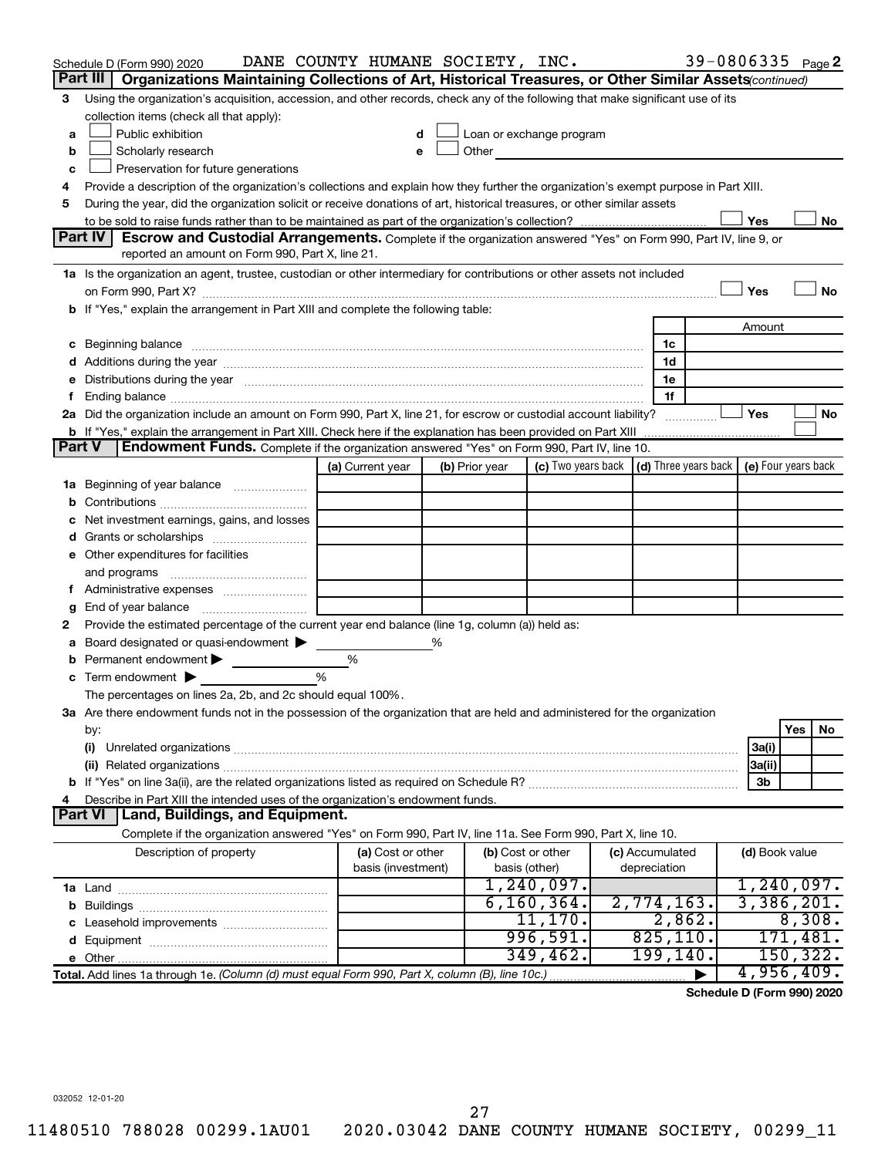|               | Schedule D (Form 990) 2020                                                                                                                                                                                                     | DANE COUNTY HUMANE SOCIETY, INC. |   |                   |                            |                     | 39-0806335 Page 2                                |                                |                    |    |
|---------------|--------------------------------------------------------------------------------------------------------------------------------------------------------------------------------------------------------------------------------|----------------------------------|---|-------------------|----------------------------|---------------------|--------------------------------------------------|--------------------------------|--------------------|----|
|               | Part III<br>Organizations Maintaining Collections of Art, Historical Treasures, or Other Similar Assets (continued)                                                                                                            |                                  |   |                   |                            |                     |                                                  |                                |                    |    |
| 3             | Using the organization's acquisition, accession, and other records, check any of the following that make significant use of its                                                                                                |                                  |   |                   |                            |                     |                                                  |                                |                    |    |
|               | collection items (check all that apply):                                                                                                                                                                                       |                                  |   |                   |                            |                     |                                                  |                                |                    |    |
| a             | Public exhibition                                                                                                                                                                                                              | d                                |   |                   | Loan or exchange program   |                     |                                                  |                                |                    |    |
| b             | Scholarly research                                                                                                                                                                                                             | е                                |   |                   | Other <u>Communication</u> |                     |                                                  |                                |                    |    |
| с             | Preservation for future generations                                                                                                                                                                                            |                                  |   |                   |                            |                     |                                                  |                                |                    |    |
| 4             | Provide a description of the organization's collections and explain how they further the organization's exempt purpose in Part XIII.                                                                                           |                                  |   |                   |                            |                     |                                                  |                                |                    |    |
| 5             | During the year, did the organization solicit or receive donations of art, historical treasures, or other similar assets                                                                                                       |                                  |   |                   |                            |                     |                                                  |                                |                    |    |
|               | Part IV<br>Escrow and Custodial Arrangements. Complete if the organization answered "Yes" on Form 990, Part IV, line 9, or                                                                                                     |                                  |   |                   |                            |                     |                                                  | Yes                            |                    | No |
|               | reported an amount on Form 990, Part X, line 21.                                                                                                                                                                               |                                  |   |                   |                            |                     |                                                  |                                |                    |    |
|               | 1a Is the organization an agent, trustee, custodian or other intermediary for contributions or other assets not included                                                                                                       |                                  |   |                   |                            |                     |                                                  |                                |                    |    |
|               |                                                                                                                                                                                                                                |                                  |   |                   |                            |                     |                                                  | Yes                            |                    | No |
|               | b If "Yes," explain the arrangement in Part XIII and complete the following table:                                                                                                                                             |                                  |   |                   |                            |                     |                                                  |                                |                    |    |
|               |                                                                                                                                                                                                                                |                                  |   |                   |                            |                     |                                                  | Amount                         |                    |    |
|               | Beginning balance measurements and contain a series of the series of the series of the series of the series of                                                                                                                 |                                  |   |                   |                            | 1c                  |                                                  |                                |                    |    |
|               |                                                                                                                                                                                                                                |                                  |   |                   |                            | 1d                  |                                                  |                                |                    |    |
| е             | Distributions during the year measurement contains and all the year measurement of the state of the state of the state of the state of the state of the state of the state of the state of the state of the state of the state |                                  |   |                   |                            | 1e                  |                                                  |                                |                    |    |
| f.            |                                                                                                                                                                                                                                |                                  |   |                   |                            | 1f                  |                                                  |                                |                    |    |
|               | 2a Did the organization include an amount on Form 990, Part X, line 21, for escrow or custodial account liability?                                                                                                             |                                  |   |                   |                            |                     |                                                  | Yes                            |                    | No |
|               | <b>b</b> If "Yes," explain the arrangement in Part XIII. Check here if the explanation has been provided on Part XIII                                                                                                          |                                  |   |                   |                            |                     |                                                  |                                |                    |    |
| <b>Part V</b> | Endowment Funds. Complete if the organization answered "Yes" on Form 990, Part IV, line 10.                                                                                                                                    |                                  |   |                   |                            |                     |                                                  |                                |                    |    |
|               |                                                                                                                                                                                                                                | (a) Current year                 |   | (b) Prior year    | (c) Two years back         |                     | (d) Three years back $\vert$ (e) Four years back |                                |                    |    |
|               | 1a Beginning of year balance                                                                                                                                                                                                   |                                  |   |                   |                            |                     |                                                  |                                |                    |    |
| b             |                                                                                                                                                                                                                                |                                  |   |                   |                            |                     |                                                  |                                |                    |    |
|               | Net investment earnings, gains, and losses                                                                                                                                                                                     |                                  |   |                   |                            |                     |                                                  |                                |                    |    |
| d             |                                                                                                                                                                                                                                |                                  |   |                   |                            |                     |                                                  |                                |                    |    |
|               | e Other expenditures for facilities                                                                                                                                                                                            |                                  |   |                   |                            |                     |                                                  |                                |                    |    |
|               | and programs                                                                                                                                                                                                                   |                                  |   |                   |                            |                     |                                                  |                                |                    |    |
|               |                                                                                                                                                                                                                                |                                  |   |                   |                            |                     |                                                  |                                |                    |    |
| g             | Provide the estimated percentage of the current year end balance (line 1g, column (a)) held as:                                                                                                                                |                                  |   |                   |                            |                     |                                                  |                                |                    |    |
| 2<br>а        | Board designated or quasi-endowment                                                                                                                                                                                            |                                  | % |                   |                            |                     |                                                  |                                |                    |    |
| b             | Permanent endowment                                                                                                                                                                                                            | %                                |   |                   |                            |                     |                                                  |                                |                    |    |
| c             | Term endowment $\blacktriangleright$                                                                                                                                                                                           | %                                |   |                   |                            |                     |                                                  |                                |                    |    |
|               | The percentages on lines 2a, 2b, and 2c should equal 100%.                                                                                                                                                                     |                                  |   |                   |                            |                     |                                                  |                                |                    |    |
|               | 3a Are there endowment funds not in the possession of the organization that are held and administered for the organization                                                                                                     |                                  |   |                   |                            |                     |                                                  |                                |                    |    |
|               | by:                                                                                                                                                                                                                            |                                  |   |                   |                            |                     |                                                  |                                | Yes                | No |
|               | (i)                                                                                                                                                                                                                            |                                  |   |                   |                            |                     |                                                  | 3a(i)                          |                    |    |
|               |                                                                                                                                                                                                                                |                                  |   |                   |                            |                     |                                                  | 3a(ii)                         |                    |    |
|               |                                                                                                                                                                                                                                |                                  |   |                   |                            |                     |                                                  | 3b                             |                    |    |
| 4             | Describe in Part XIII the intended uses of the organization's endowment funds.                                                                                                                                                 |                                  |   |                   |                            |                     |                                                  |                                |                    |    |
|               | Part VI   Land, Buildings, and Equipment.                                                                                                                                                                                      |                                  |   |                   |                            |                     |                                                  |                                |                    |    |
|               | Complete if the organization answered "Yes" on Form 990, Part IV, line 11a. See Form 990, Part X, line 10.                                                                                                                     |                                  |   |                   |                            |                     |                                                  |                                |                    |    |
|               | Description of property                                                                                                                                                                                                        | (a) Cost or other                |   | (b) Cost or other |                            | (c) Accumulated     |                                                  | (d) Book value                 |                    |    |
|               |                                                                                                                                                                                                                                | basis (investment)               |   | basis (other)     |                            | depreciation        |                                                  |                                |                    |    |
|               |                                                                                                                                                                                                                                |                                  |   |                   | 1,240,097.                 |                     |                                                  | 1,240,097.                     |                    |    |
|               |                                                                                                                                                                                                                                |                                  |   |                   | 6, 160, 364.<br>11,170.    | 2,774,163.          |                                                  | 3,386,201.                     |                    |    |
| c             |                                                                                                                                                                                                                                |                                  |   |                   | 996,591.                   | 2,862.<br>825, 110. |                                                  |                                | 8,308.<br>171,481. |    |
|               |                                                                                                                                                                                                                                |                                  |   |                   | 349,462.                   | 199, 140.           |                                                  |                                | 150, 322.          |    |
|               |                                                                                                                                                                                                                                |                                  |   |                   |                            |                     |                                                  | 4,956,409.                     |                    |    |
|               |                                                                                                                                                                                                                                |                                  |   |                   |                            |                     |                                                  | $R / F_{\text{max}}$ 000) 0000 |                    |    |

**Schedule D (Form 990) 2020**

032052 12-01-20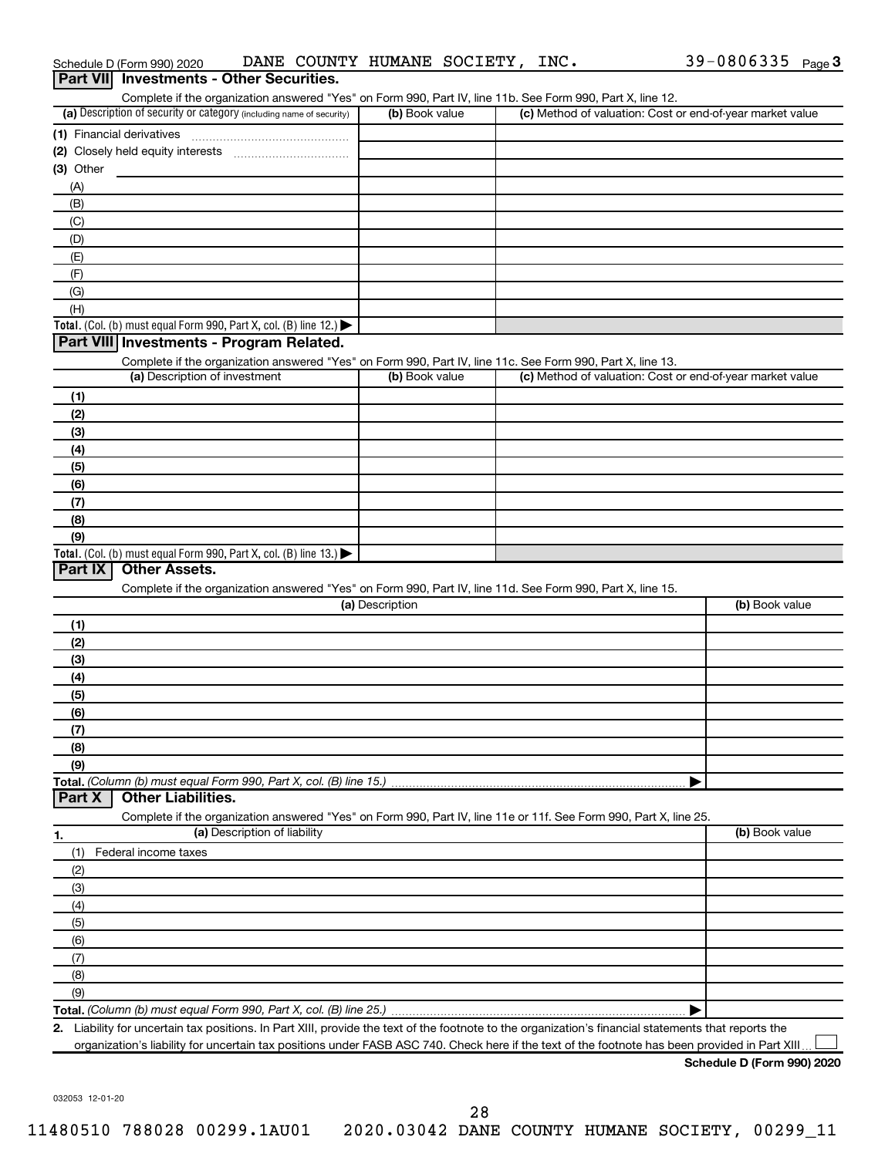| Part VII Investments - Other Securities.                                                                                                             |                 |                                                           |                |
|------------------------------------------------------------------------------------------------------------------------------------------------------|-----------------|-----------------------------------------------------------|----------------|
| Complete if the organization answered "Yes" on Form 990, Part IV, line 11b. See Form 990, Part X, line 12.                                           |                 |                                                           |                |
| (a) Description of security or category (including name of security)                                                                                 | (b) Book value  | (c) Method of valuation: Cost or end-of-year market value |                |
| (1) Financial derivatives                                                                                                                            |                 |                                                           |                |
|                                                                                                                                                      |                 |                                                           |                |
| $(3)$ Other                                                                                                                                          |                 |                                                           |                |
| (A)                                                                                                                                                  |                 |                                                           |                |
| (B)                                                                                                                                                  |                 |                                                           |                |
| (C)                                                                                                                                                  |                 |                                                           |                |
| (D)                                                                                                                                                  |                 |                                                           |                |
| (E)                                                                                                                                                  |                 |                                                           |                |
| (F)<br>(G)                                                                                                                                           |                 |                                                           |                |
| (H)                                                                                                                                                  |                 |                                                           |                |
| <b>Total.</b> (Col. (b) must equal Form 990, Part X, col. (B) line 12.)                                                                              |                 |                                                           |                |
| Part VIII Investments - Program Related.                                                                                                             |                 |                                                           |                |
| Complete if the organization answered "Yes" on Form 990, Part IV, line 11c. See Form 990, Part X, line 13.                                           |                 |                                                           |                |
| (a) Description of investment                                                                                                                        | (b) Book value  | (c) Method of valuation: Cost or end-of-year market value |                |
| (1)                                                                                                                                                  |                 |                                                           |                |
| (2)                                                                                                                                                  |                 |                                                           |                |
| (3)                                                                                                                                                  |                 |                                                           |                |
| (4)                                                                                                                                                  |                 |                                                           |                |
| (5)                                                                                                                                                  |                 |                                                           |                |
| (6)                                                                                                                                                  |                 |                                                           |                |
| (7)                                                                                                                                                  |                 |                                                           |                |
| (8)                                                                                                                                                  |                 |                                                           |                |
| (9)                                                                                                                                                  |                 |                                                           |                |
| <b>Total.</b> (Col. (b) must equal Form 990, Part X, col. (B) line 13.)<br><b>Other Assets.</b><br>Part IX                                           |                 |                                                           |                |
|                                                                                                                                                      |                 |                                                           |                |
| Complete if the organization answered "Yes" on Form 990, Part IV, line 11d. See Form 990, Part X, line 15.                                           | (a) Description |                                                           | (b) Book value |
| (1)                                                                                                                                                  |                 |                                                           |                |
| (2)                                                                                                                                                  |                 |                                                           |                |
| (3)                                                                                                                                                  |                 |                                                           |                |
| (4)                                                                                                                                                  |                 |                                                           |                |
| (5)                                                                                                                                                  |                 |                                                           |                |
| (6)                                                                                                                                                  |                 |                                                           |                |
| (7)                                                                                                                                                  |                 |                                                           |                |
| (8)                                                                                                                                                  |                 |                                                           |                |
| (9)                                                                                                                                                  |                 |                                                           |                |
| Total. (Column (b) must equal Form 990, Part X, col. (B) line 15.)                                                                                   |                 |                                                           |                |
| <b>Other Liabilities.</b><br>Part X                                                                                                                  |                 |                                                           |                |
| Complete if the organization answered "Yes" on Form 990, Part IV, line 11e or 11f. See Form 990, Part X, line 25.                                    |                 |                                                           |                |
| (a) Description of liability<br>1.                                                                                                                   |                 |                                                           | (b) Book value |
| Federal income taxes<br>(1)                                                                                                                          |                 |                                                           |                |
| (2)                                                                                                                                                  |                 |                                                           |                |
| (3)<br>(4)                                                                                                                                           |                 |                                                           |                |
|                                                                                                                                                      |                 |                                                           |                |
| (5)<br>(6)                                                                                                                                           |                 |                                                           |                |
| (7)                                                                                                                                                  |                 |                                                           |                |
| (8)                                                                                                                                                  |                 |                                                           |                |
| (9)                                                                                                                                                  |                 |                                                           |                |
|                                                                                                                                                      |                 |                                                           |                |
| 2. Liability for uncertain tax positions. In Part XIII, provide the text of the footnote to the organization's financial statements that reports the |                 |                                                           |                |

organization's liability for uncertain tax positions under FASB ASC 740. Check here if the text of the footnote has been provided in Part XIII...

032053 12-01-20

#### Schedule D (Form 990) 2020 **DANE** COUNTY HUMANE SOCIETY, INC<sub>•</sub> 39-0806335 <sub>Page</sub> 3 ANE COUNTY HUMANE SOCTETY, INC.

| Schedule D (Form 990) 2020                      |  | DANE COUNII HUMANE SUCIEII, INC. |  |
|-------------------------------------------------|--|----------------------------------|--|
| <b>Part VII</b> Investments - Other Securities. |  |                                  |  |

| 68                                                                                                                                                                                                                                   |  |
|--------------------------------------------------------------------------------------------------------------------------------------------------------------------------------------------------------------------------------------|--|
| (9)                                                                                                                                                                                                                                  |  |
|                                                                                                                                                                                                                                      |  |
| 2. Liability for uncertain tax positions. In Part XIII, provide the text of the footnote to the organization's financial statements that reports the                                                                                 |  |
| <b>CONSISTENTIAL RELATIONS AND ALL CONTRACTORY AND THE ORDER OF A STARTING AND ASSESSED AND A STARTING AND A STARTING AND A STARTING AND A STARTING AND A STARTING AND A STARTING AND A STARTING AND A STARTING AND A STARTING A</b> |  |

**Schedule D (Form 990) 2020**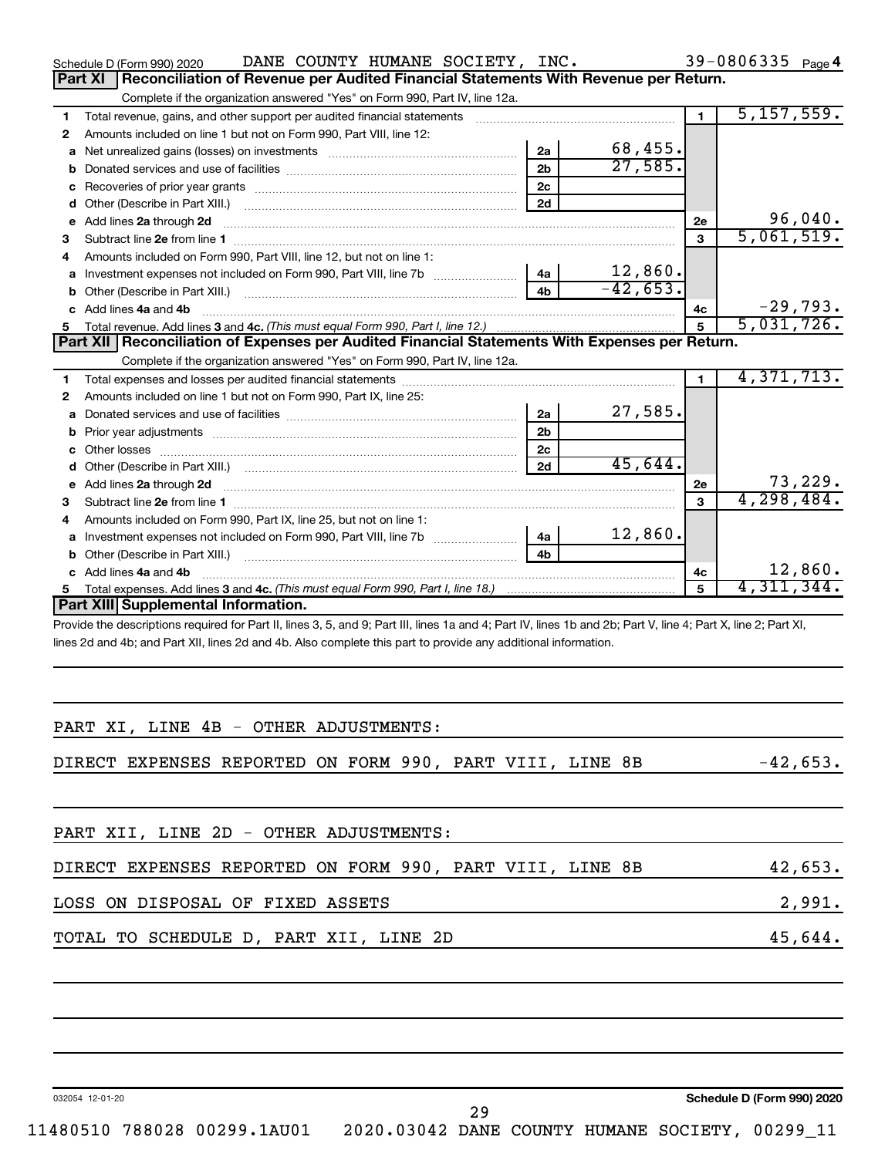|    | DANE COUNTY HUMANE SOCIETY, INC.<br>Schedule D (Form 990) 2020                                                                                                                                                                 |                |                         |                | 39-0806335 $_{Page 4}$   |            |
|----|--------------------------------------------------------------------------------------------------------------------------------------------------------------------------------------------------------------------------------|----------------|-------------------------|----------------|--------------------------|------------|
|    | Reconciliation of Revenue per Audited Financial Statements With Revenue per Return.<br><b>Part XI</b>                                                                                                                          |                |                         |                |                          |            |
|    | Complete if the organization answered "Yes" on Form 990, Part IV, line 12a.                                                                                                                                                    |                |                         |                |                          |            |
| 1  | Total revenue, gains, and other support per audited financial statements                                                                                                                                                       |                |                         | $\blacksquare$ | 5,157,559.               |            |
| 2  | Amounts included on line 1 but not on Form 990, Part VIII, line 12:                                                                                                                                                            |                |                         |                |                          |            |
| a  | Net unrealized gains (losses) on investments [1999] www.community.com/                                                                                                                                                         | 2a             | $\frac{68,455}{27,585}$ |                |                          |            |
|    |                                                                                                                                                                                                                                | 2 <sub>b</sub> |                         |                |                          |            |
|    |                                                                                                                                                                                                                                | 2 <sub>c</sub> |                         |                |                          |            |
| d  |                                                                                                                                                                                                                                | 2d             |                         |                |                          |            |
| е  | Add lines 2a through 2d                                                                                                                                                                                                        |                |                         | <b>2e</b>      |                          | 96,040.    |
| з  |                                                                                                                                                                                                                                |                |                         | $\mathbf{3}$   | 5,061,519.               |            |
| 4  | Amounts included on Form 990, Part VIII, line 12, but not on line 1:                                                                                                                                                           |                |                         |                |                          |            |
| a  |                                                                                                                                                                                                                                | 4a             | 12,860.                 |                |                          |            |
| b  | Other (Describe in Part XIII.) [1001] [2010] [2010] [2010] [3010] [3010] [3010] [3010] [3010] [3010] [3010] [3010] [3010] [3010] [3010] [3010] [3010] [3010] [3010] [3010] [3010] [3010] [3010] [3010] [3010] [3010] [3010] [3 | 4 <sub>b</sub> | $-42,653.$              |                |                          |            |
|    | c Add lines 4a and 4b                                                                                                                                                                                                          |                |                         | 4с             |                          | $-29,793.$ |
|    |                                                                                                                                                                                                                                |                |                         | $\overline{5}$ | $\overline{5,031,726}$ . |            |
|    | Part XII Reconciliation of Expenses per Audited Financial Statements With Expenses per Return.                                                                                                                                 |                |                         |                |                          |            |
|    | Complete if the organization answered "Yes" on Form 990, Part IV, line 12a.                                                                                                                                                    |                |                         |                |                          |            |
| 1  |                                                                                                                                                                                                                                |                |                         | $\blacksquare$ | 4,371,713.               |            |
| 2  | Amounts included on line 1 but not on Form 990, Part IX, line 25:                                                                                                                                                              |                |                         |                |                          |            |
| a  |                                                                                                                                                                                                                                | 2a             | 27,585.                 |                |                          |            |
|    |                                                                                                                                                                                                                                | 2 <sub>b</sub> |                         |                |                          |            |
| c  |                                                                                                                                                                                                                                | 2 <sub>c</sub> |                         |                |                          |            |
| d  |                                                                                                                                                                                                                                | 2d             | 45,644.                 |                |                          |            |
| е  | Add lines 2a through 2d <b>contract and a contract and a contract a</b> contract a contract and a contract a contract a                                                                                                        |                |                         | 2е             |                          | 73,229.    |
| 3  | Subtract line 2e from line 1                                                                                                                                                                                                   |                |                         | 3              | 4, 298, 484.             |            |
| 4  | Amounts included on Form 990, Part IX, line 25, but not on line 1:                                                                                                                                                             |                |                         |                |                          |            |
| a  |                                                                                                                                                                                                                                | 4a             | 12,860.                 |                |                          |            |
| b  |                                                                                                                                                                                                                                | 4b             |                         |                |                          |            |
|    | c Add lines 4a and 4b                                                                                                                                                                                                          |                |                         | 4c             |                          | 12,860.    |
| 5. |                                                                                                                                                                                                                                |                |                         | 5              | 4,311,344.               |            |
|    | Part XIII Supplemental Information.                                                                                                                                                                                            |                |                         |                |                          |            |
|    | Provide the descriptions required for Part II, lines 3, 5, and 9; Part III, lines 1a and 4; Part IV, lines 1b and 2b; Part V, line 4; Part X, line 2; Part XI,                                                                 |                |                         |                |                          |            |
|    | lines 2d and 4b; and Part XII, lines 2d and 4b. Also complete this part to provide any additional information.                                                                                                                 |                |                         |                |                          |            |

| DIRECT EXPENSES REPORTED ON FORM 990, PART VIII, LINE 8B                                           | $-42,653.$ |
|----------------------------------------------------------------------------------------------------|------------|
| PART XII, LINE 2D - OTHER ADJUSTMENTS:<br>DIRECT EXPENSES REPORTED ON FORM 990, PART VIII, LINE 8B |            |
|                                                                                                    |            |
|                                                                                                    | 42,653.    |
| LOSS ON DISPOSAL OF FIXED ASSETS                                                                   | 2,991.     |
| TOTAL TO SCHEDULE D, PART XII, LINE 2D                                                             | 45,644.    |

032054 12-01-20

11480510 788028 00299.1AU01 2020.03042 DANE COUNTY HUMANE SOCIETY, 00299\_11

29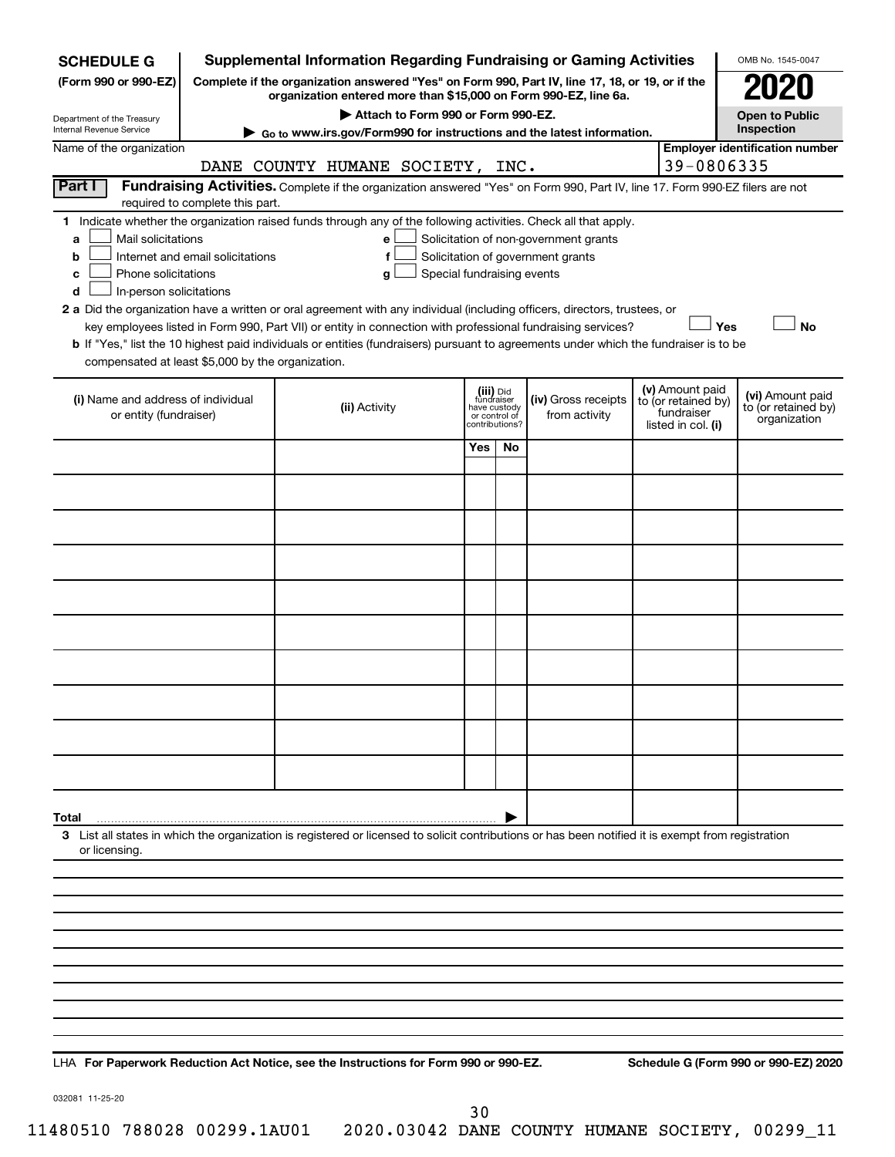| <b>SCHEDULE G</b>                                      |                                                                                                                                                                                                                                                                                                                                                                                                                                                                                                                                                                                                                                                                                                                                                                    | <b>Supplemental Information Regarding Fundraising or Gaming Activities</b>                                                                         |                         |                                 |                     |                                   | OMB No. 1545-0047                     |
|--------------------------------------------------------|--------------------------------------------------------------------------------------------------------------------------------------------------------------------------------------------------------------------------------------------------------------------------------------------------------------------------------------------------------------------------------------------------------------------------------------------------------------------------------------------------------------------------------------------------------------------------------------------------------------------------------------------------------------------------------------------------------------------------------------------------------------------|----------------------------------------------------------------------------------------------------------------------------------------------------|-------------------------|---------------------------------|---------------------|-----------------------------------|---------------------------------------|
| (Form 990 or 990-EZ)                                   |                                                                                                                                                                                                                                                                                                                                                                                                                                                                                                                                                                                                                                                                                                                                                                    | Complete if the organization answered "Yes" on Form 990, Part IV, line 17, 18, or 19, or if the                                                    |                         |                                 |                     |                                   |                                       |
|                                                        |                                                                                                                                                                                                                                                                                                                                                                                                                                                                                                                                                                                                                                                                                                                                                                    | organization entered more than \$15,000 on Form 990-EZ, line 6a.<br>Attach to Form 990 or Form 990-EZ.                                             |                         |                                 |                     |                                   | <b>Open to Public</b>                 |
| Department of the Treasury<br>Internal Revenue Service |                                                                                                                                                                                                                                                                                                                                                                                                                                                                                                                                                                                                                                                                                                                                                                    | Go to www.irs.gov/Form990 for instructions and the latest information.                                                                             |                         |                                 |                     |                                   | Inspection                            |
| Name of the organization                               |                                                                                                                                                                                                                                                                                                                                                                                                                                                                                                                                                                                                                                                                                                                                                                    |                                                                                                                                                    |                         |                                 |                     | 39-0806335                        | <b>Employer identification number</b> |
| Part I                                                 |                                                                                                                                                                                                                                                                                                                                                                                                                                                                                                                                                                                                                                                                                                                                                                    | DANE COUNTY HUMANE SOCIETY, INC.                                                                                                                   |                         |                                 |                     |                                   |                                       |
|                                                        |                                                                                                                                                                                                                                                                                                                                                                                                                                                                                                                                                                                                                                                                                                                                                                    |                                                                                                                                                    |                         |                                 |                     |                                   |                                       |
|                                                        |                                                                                                                                                                                                                                                                                                                                                                                                                                                                                                                                                                                                                                                                                                                                                                    |                                                                                                                                                    |                         |                                 |                     |                                   |                                       |
| a<br>b                                                 |                                                                                                                                                                                                                                                                                                                                                                                                                                                                                                                                                                                                                                                                                                                                                                    | f                                                                                                                                                  |                         |                                 |                     |                                   |                                       |
| c                                                      | Fundraising Activities. Complete if the organization answered "Yes" on Form 990, Part IV, line 17. Form 990-EZ filers are not<br>required to complete this part.<br>1 Indicate whether the organization raised funds through any of the following activities. Check all that apply.<br>Mail solicitations<br>Solicitation of non-government grants<br>е<br>Internet and email solicitations<br>Solicitation of government grants<br>Phone solicitations<br>Special fundraising events<br>g<br>In-person solicitations<br>2 a Did the organization have a written or oral agreement with any individual (including officers, directors, trustees, or<br>key employees listed in Form 990, Part VII) or entity in connection with professional fundraising services? |                                                                                                                                                    |                         |                                 |                     |                                   |                                       |
| d                                                      |                                                                                                                                                                                                                                                                                                                                                                                                                                                                                                                                                                                                                                                                                                                                                                    |                                                                                                                                                    |                         |                                 |                     |                                   |                                       |
|                                                        |                                                                                                                                                                                                                                                                                                                                                                                                                                                                                                                                                                                                                                                                                                                                                                    |                                                                                                                                                    |                         |                                 |                     | Yes                               | <b>No</b>                             |
|                                                        |                                                                                                                                                                                                                                                                                                                                                                                                                                                                                                                                                                                                                                                                                                                                                                    | b If "Yes," list the 10 highest paid individuals or entities (fundraisers) pursuant to agreements under which the fundraiser is to be              |                         |                                 |                     |                                   |                                       |
| compensated at least \$5,000 by the organization.      |                                                                                                                                                                                                                                                                                                                                                                                                                                                                                                                                                                                                                                                                                                                                                                    |                                                                                                                                                    |                         |                                 |                     |                                   |                                       |
| (i) Name and address of individual                     |                                                                                                                                                                                                                                                                                                                                                                                                                                                                                                                                                                                                                                                                                                                                                                    |                                                                                                                                                    | (iii) Did<br>fundraiser |                                 | (iv) Gross receipts | (v) Amount paid                   | (vi) Amount paid                      |
| or entity (fundraiser)                                 |                                                                                                                                                                                                                                                                                                                                                                                                                                                                                                                                                                                                                                                                                                                                                                    | (ii) Activity                                                                                                                                      | have custody            | or control of<br>contributions? | from activity       | to (or retained by)<br>fundraiser | to (or retained by)<br>organization   |
|                                                        |                                                                                                                                                                                                                                                                                                                                                                                                                                                                                                                                                                                                                                                                                                                                                                    |                                                                                                                                                    | Yes                     | No                              |                     | listed in col. (i)                |                                       |
|                                                        |                                                                                                                                                                                                                                                                                                                                                                                                                                                                                                                                                                                                                                                                                                                                                                    |                                                                                                                                                    |                         |                                 |                     |                                   |                                       |
|                                                        |                                                                                                                                                                                                                                                                                                                                                                                                                                                                                                                                                                                                                                                                                                                                                                    |                                                                                                                                                    |                         |                                 |                     |                                   |                                       |
|                                                        |                                                                                                                                                                                                                                                                                                                                                                                                                                                                                                                                                                                                                                                                                                                                                                    |                                                                                                                                                    |                         |                                 |                     |                                   |                                       |
|                                                        |                                                                                                                                                                                                                                                                                                                                                                                                                                                                                                                                                                                                                                                                                                                                                                    |                                                                                                                                                    |                         |                                 |                     |                                   |                                       |
|                                                        |                                                                                                                                                                                                                                                                                                                                                                                                                                                                                                                                                                                                                                                                                                                                                                    |                                                                                                                                                    |                         |                                 |                     |                                   |                                       |
|                                                        |                                                                                                                                                                                                                                                                                                                                                                                                                                                                                                                                                                                                                                                                                                                                                                    |                                                                                                                                                    |                         |                                 |                     |                                   |                                       |
|                                                        |                                                                                                                                                                                                                                                                                                                                                                                                                                                                                                                                                                                                                                                                                                                                                                    |                                                                                                                                                    |                         |                                 |                     |                                   |                                       |
|                                                        |                                                                                                                                                                                                                                                                                                                                                                                                                                                                                                                                                                                                                                                                                                                                                                    |                                                                                                                                                    |                         |                                 |                     |                                   |                                       |
|                                                        |                                                                                                                                                                                                                                                                                                                                                                                                                                                                                                                                                                                                                                                                                                                                                                    |                                                                                                                                                    |                         |                                 |                     |                                   |                                       |
|                                                        |                                                                                                                                                                                                                                                                                                                                                                                                                                                                                                                                                                                                                                                                                                                                                                    |                                                                                                                                                    |                         |                                 |                     |                                   |                                       |
|                                                        |                                                                                                                                                                                                                                                                                                                                                                                                                                                                                                                                                                                                                                                                                                                                                                    |                                                                                                                                                    |                         |                                 |                     |                                   |                                       |
|                                                        |                                                                                                                                                                                                                                                                                                                                                                                                                                                                                                                                                                                                                                                                                                                                                                    |                                                                                                                                                    |                         |                                 |                     |                                   |                                       |
|                                                        |                                                                                                                                                                                                                                                                                                                                                                                                                                                                                                                                                                                                                                                                                                                                                                    |                                                                                                                                                    |                         |                                 |                     |                                   |                                       |
|                                                        |                                                                                                                                                                                                                                                                                                                                                                                                                                                                                                                                                                                                                                                                                                                                                                    |                                                                                                                                                    |                         |                                 |                     |                                   |                                       |
|                                                        |                                                                                                                                                                                                                                                                                                                                                                                                                                                                                                                                                                                                                                                                                                                                                                    |                                                                                                                                                    |                         |                                 |                     |                                   |                                       |
| Total                                                  |                                                                                                                                                                                                                                                                                                                                                                                                                                                                                                                                                                                                                                                                                                                                                                    |                                                                                                                                                    |                         |                                 |                     |                                   |                                       |
| or licensing.                                          |                                                                                                                                                                                                                                                                                                                                                                                                                                                                                                                                                                                                                                                                                                                                                                    | 3 List all states in which the organization is registered or licensed to solicit contributions or has been notified it is exempt from registration |                         |                                 |                     |                                   |                                       |
|                                                        |                                                                                                                                                                                                                                                                                                                                                                                                                                                                                                                                                                                                                                                                                                                                                                    |                                                                                                                                                    |                         |                                 |                     |                                   |                                       |
|                                                        |                                                                                                                                                                                                                                                                                                                                                                                                                                                                                                                                                                                                                                                                                                                                                                    |                                                                                                                                                    |                         |                                 |                     |                                   |                                       |
|                                                        |                                                                                                                                                                                                                                                                                                                                                                                                                                                                                                                                                                                                                                                                                                                                                                    |                                                                                                                                                    |                         |                                 |                     |                                   |                                       |
|                                                        |                                                                                                                                                                                                                                                                                                                                                                                                                                                                                                                                                                                                                                                                                                                                                                    |                                                                                                                                                    |                         |                                 |                     |                                   |                                       |
|                                                        |                                                                                                                                                                                                                                                                                                                                                                                                                                                                                                                                                                                                                                                                                                                                                                    |                                                                                                                                                    |                         |                                 |                     |                                   |                                       |
|                                                        |                                                                                                                                                                                                                                                                                                                                                                                                                                                                                                                                                                                                                                                                                                                                                                    |                                                                                                                                                    |                         |                                 |                     |                                   |                                       |
|                                                        |                                                                                                                                                                                                                                                                                                                                                                                                                                                                                                                                                                                                                                                                                                                                                                    |                                                                                                                                                    |                         |                                 |                     |                                   |                                       |
|                                                        |                                                                                                                                                                                                                                                                                                                                                                                                                                                                                                                                                                                                                                                                                                                                                                    |                                                                                                                                                    |                         |                                 |                     |                                   |                                       |
|                                                        |                                                                                                                                                                                                                                                                                                                                                                                                                                                                                                                                                                                                                                                                                                                                                                    |                                                                                                                                                    |                         |                                 |                     |                                   |                                       |

**For Paperwork Reduction Act Notice, see the Instructions for Form 990 or 990-EZ. Schedule G (Form 990 or 990-EZ) 2020** LHA

032081 11-25-20

30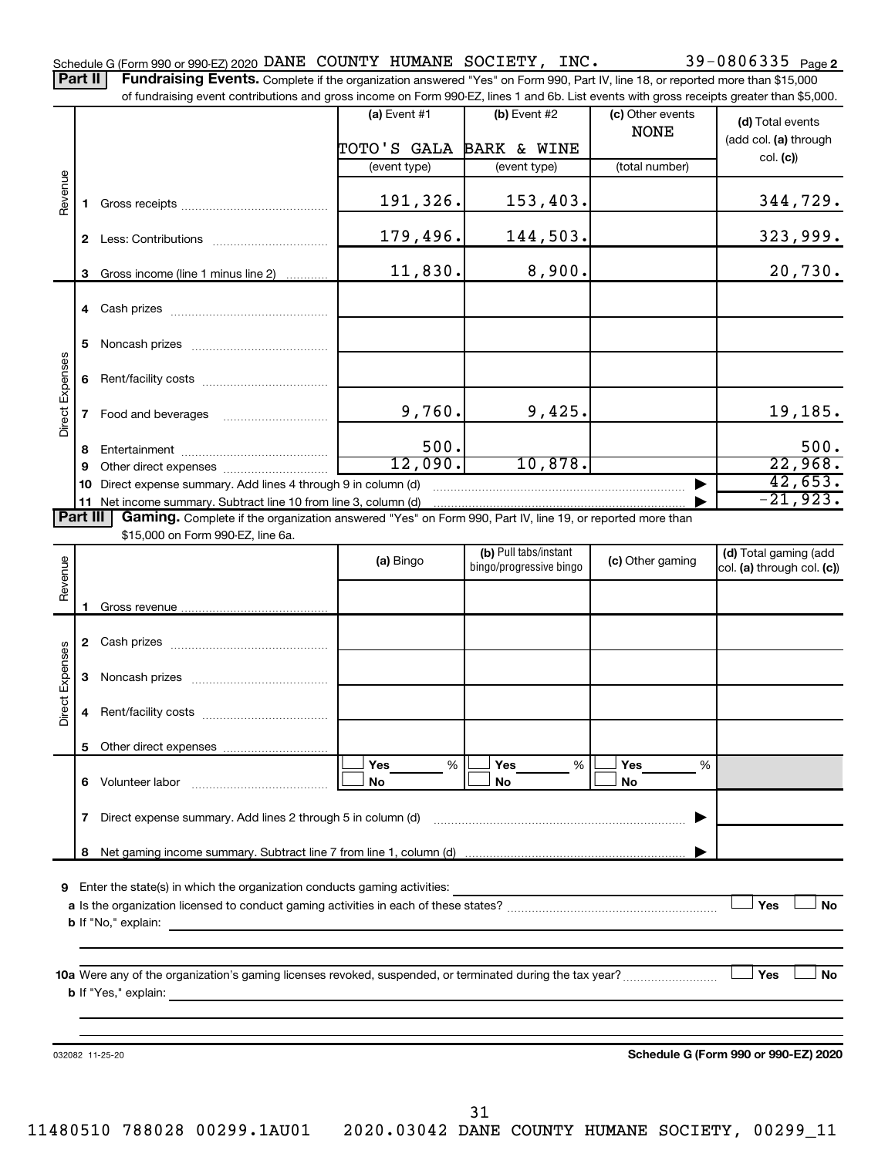of fundraising event contributions and gross income on Form 990-EZ, lines 1 and 6b. List events with gross receipts greater than \$5,000.

|                                                                                                                                                                                                                                                                                                                                                                                                                                                                                                                                                                                                                                                                                                                                                                                                                      |              |                                   | $(a)$ Event #1          | $(b)$ Event #2 | (c) Other events | (d) Total events                     |
|----------------------------------------------------------------------------------------------------------------------------------------------------------------------------------------------------------------------------------------------------------------------------------------------------------------------------------------------------------------------------------------------------------------------------------------------------------------------------------------------------------------------------------------------------------------------------------------------------------------------------------------------------------------------------------------------------------------------------------------------------------------------------------------------------------------------|--------------|-----------------------------------|-------------------------|----------------|------------------|--------------------------------------|
|                                                                                                                                                                                                                                                                                                                                                                                                                                                                                                                                                                                                                                                                                                                                                                                                                      |              |                                   |                         |                | <b>NONE</b>      | (add col. (a) through                |
|                                                                                                                                                                                                                                                                                                                                                                                                                                                                                                                                                                                                                                                                                                                                                                                                                      |              |                                   | TOTO'S GALA BARK & WINE |                |                  | col. (c)                             |
|                                                                                                                                                                                                                                                                                                                                                                                                                                                                                                                                                                                                                                                                                                                                                                                                                      |              |                                   | (event type)            | (event type)   | (total number)   |                                      |
|                                                                                                                                                                                                                                                                                                                                                                                                                                                                                                                                                                                                                                                                                                                                                                                                                      |              |                                   | 191,326.                | 153,403.       |                  | 344,729.                             |
|                                                                                                                                                                                                                                                                                                                                                                                                                                                                                                                                                                                                                                                                                                                                                                                                                      |              |                                   | 179,496.                | 144,503.       |                  | 323,999.                             |
|                                                                                                                                                                                                                                                                                                                                                                                                                                                                                                                                                                                                                                                                                                                                                                                                                      |              |                                   | 11,830.                 | 8,900.         |                  | 20,730.                              |
|                                                                                                                                                                                                                                                                                                                                                                                                                                                                                                                                                                                                                                                                                                                                                                                                                      |              |                                   |                         |                |                  |                                      |
|                                                                                                                                                                                                                                                                                                                                                                                                                                                                                                                                                                                                                                                                                                                                                                                                                      | 5            |                                   |                         |                |                  |                                      |
|                                                                                                                                                                                                                                                                                                                                                                                                                                                                                                                                                                                                                                                                                                                                                                                                                      | 6            |                                   |                         |                |                  |                                      |
|                                                                                                                                                                                                                                                                                                                                                                                                                                                                                                                                                                                                                                                                                                                                                                                                                      | $\mathbf{7}$ | Food and beverages                |                         | 9,425.         |                  | 19,185.                              |
|                                                                                                                                                                                                                                                                                                                                                                                                                                                                                                                                                                                                                                                                                                                                                                                                                      |              |                                   |                         |                |                  | 500.                                 |
|                                                                                                                                                                                                                                                                                                                                                                                                                                                                                                                                                                                                                                                                                                                                                                                                                      |              |                                   |                         |                |                  | 22,968.                              |
|                                                                                                                                                                                                                                                                                                                                                                                                                                                                                                                                                                                                                                                                                                                                                                                                                      | 10           |                                   |                         |                |                  | 42,653.                              |
|                                                                                                                                                                                                                                                                                                                                                                                                                                                                                                                                                                                                                                                                                                                                                                                                                      |              |                                   |                         |                |                  | $-21,923.$                           |
|                                                                                                                                                                                                                                                                                                                                                                                                                                                                                                                                                                                                                                                                                                                                                                                                                      |              |                                   |                         |                |                  |                                      |
|                                                                                                                                                                                                                                                                                                                                                                                                                                                                                                                                                                                                                                                                                                                                                                                                                      |              | \$15,000 on Form 990-EZ, line 6a. |                         |                |                  |                                      |
|                                                                                                                                                                                                                                                                                                                                                                                                                                                                                                                                                                                                                                                                                                                                                                                                                      |              |                                   | (a) Bingo               |                | (c) Other gaming | (d) Total gaming (add                |
|                                                                                                                                                                                                                                                                                                                                                                                                                                                                                                                                                                                                                                                                                                                                                                                                                      |              |                                   |                         |                |                  | col. (a) through col. (c))           |
|                                                                                                                                                                                                                                                                                                                                                                                                                                                                                                                                                                                                                                                                                                                                                                                                                      |              |                                   |                         |                |                  |                                      |
|                                                                                                                                                                                                                                                                                                                                                                                                                                                                                                                                                                                                                                                                                                                                                                                                                      |              |                                   |                         |                |                  |                                      |
|                                                                                                                                                                                                                                                                                                                                                                                                                                                                                                                                                                                                                                                                                                                                                                                                                      |              |                                   |                         |                |                  |                                      |
|                                                                                                                                                                                                                                                                                                                                                                                                                                                                                                                                                                                                                                                                                                                                                                                                                      |              |                                   |                         |                |                  |                                      |
|                                                                                                                                                                                                                                                                                                                                                                                                                                                                                                                                                                                                                                                                                                                                                                                                                      | 3            |                                   |                         |                |                  |                                      |
|                                                                                                                                                                                                                                                                                                                                                                                                                                                                                                                                                                                                                                                                                                                                                                                                                      | 4            |                                   |                         |                |                  |                                      |
|                                                                                                                                                                                                                                                                                                                                                                                                                                                                                                                                                                                                                                                                                                                                                                                                                      |              |                                   |                         |                |                  |                                      |
|                                                                                                                                                                                                                                                                                                                                                                                                                                                                                                                                                                                                                                                                                                                                                                                                                      |              |                                   | Yes<br>%                | Yes<br>%       | Yes<br>%         |                                      |
|                                                                                                                                                                                                                                                                                                                                                                                                                                                                                                                                                                                                                                                                                                                                                                                                                      | 6            | Volunteer labor                   | No                      | No             | No               |                                      |
|                                                                                                                                                                                                                                                                                                                                                                                                                                                                                                                                                                                                                                                                                                                                                                                                                      | 7            |                                   |                         |                |                  |                                      |
|                                                                                                                                                                                                                                                                                                                                                                                                                                                                                                                                                                                                                                                                                                                                                                                                                      | 8            |                                   |                         |                |                  |                                      |
|                                                                                                                                                                                                                                                                                                                                                                                                                                                                                                                                                                                                                                                                                                                                                                                                                      |              |                                   |                         |                |                  |                                      |
|                                                                                                                                                                                                                                                                                                                                                                                                                                                                                                                                                                                                                                                                                                                                                                                                                      |              |                                   |                         |                |                  | Yes<br>No                            |
|                                                                                                                                                                                                                                                                                                                                                                                                                                                                                                                                                                                                                                                                                                                                                                                                                      |              |                                   |                         |                |                  |                                      |
|                                                                                                                                                                                                                                                                                                                                                                                                                                                                                                                                                                                                                                                                                                                                                                                                                      |              |                                   |                         |                |                  |                                      |
|                                                                                                                                                                                                                                                                                                                                                                                                                                                                                                                                                                                                                                                                                                                                                                                                                      |              |                                   |                         |                |                  |                                      |
| Revenue<br>3 Gross income (line 1 minus line 2)<br>Direct Expenses<br>9,760.<br>500.<br>8<br>12,090.<br>10,878.<br>9<br>Direct expense summary. Add lines 4 through 9 in column (d)<br>11 Net income summary. Subtract line 10 from line 3, column (d)<br>Part III<br>Gaming. Complete if the organization answered "Yes" on Form 990, Part IV, line 19, or reported more than<br>(b) Pull tabs/instant<br>Revenue<br>bingo/progressive bingo<br>Direct Expenses<br>Direct expense summary. Add lines 2 through 5 in column (d)<br>Enter the state(s) in which the organization conducts gaming activities:<br>9<br><b>b</b> If "No," explain:<br><b>b</b> If "Yes," explain:<br>and the control of the control of the control of the control of the control of the control of the control of the<br>032082 11-25-20 |              |                                   |                         | Yes<br>No      |                  |                                      |
|                                                                                                                                                                                                                                                                                                                                                                                                                                                                                                                                                                                                                                                                                                                                                                                                                      |              |                                   |                         |                |                  |                                      |
|                                                                                                                                                                                                                                                                                                                                                                                                                                                                                                                                                                                                                                                                                                                                                                                                                      |              |                                   |                         |                |                  |                                      |
|                                                                                                                                                                                                                                                                                                                                                                                                                                                                                                                                                                                                                                                                                                                                                                                                                      |              |                                   |                         |                |                  |                                      |
|                                                                                                                                                                                                                                                                                                                                                                                                                                                                                                                                                                                                                                                                                                                                                                                                                      |              |                                   |                         |                |                  | Schedule G (Form 990 or 990-EZ) 2020 |
|                                                                                                                                                                                                                                                                                                                                                                                                                                                                                                                                                                                                                                                                                                                                                                                                                      |              |                                   |                         |                |                  |                                      |
|                                                                                                                                                                                                                                                                                                                                                                                                                                                                                                                                                                                                                                                                                                                                                                                                                      |              |                                   |                         |                |                  |                                      |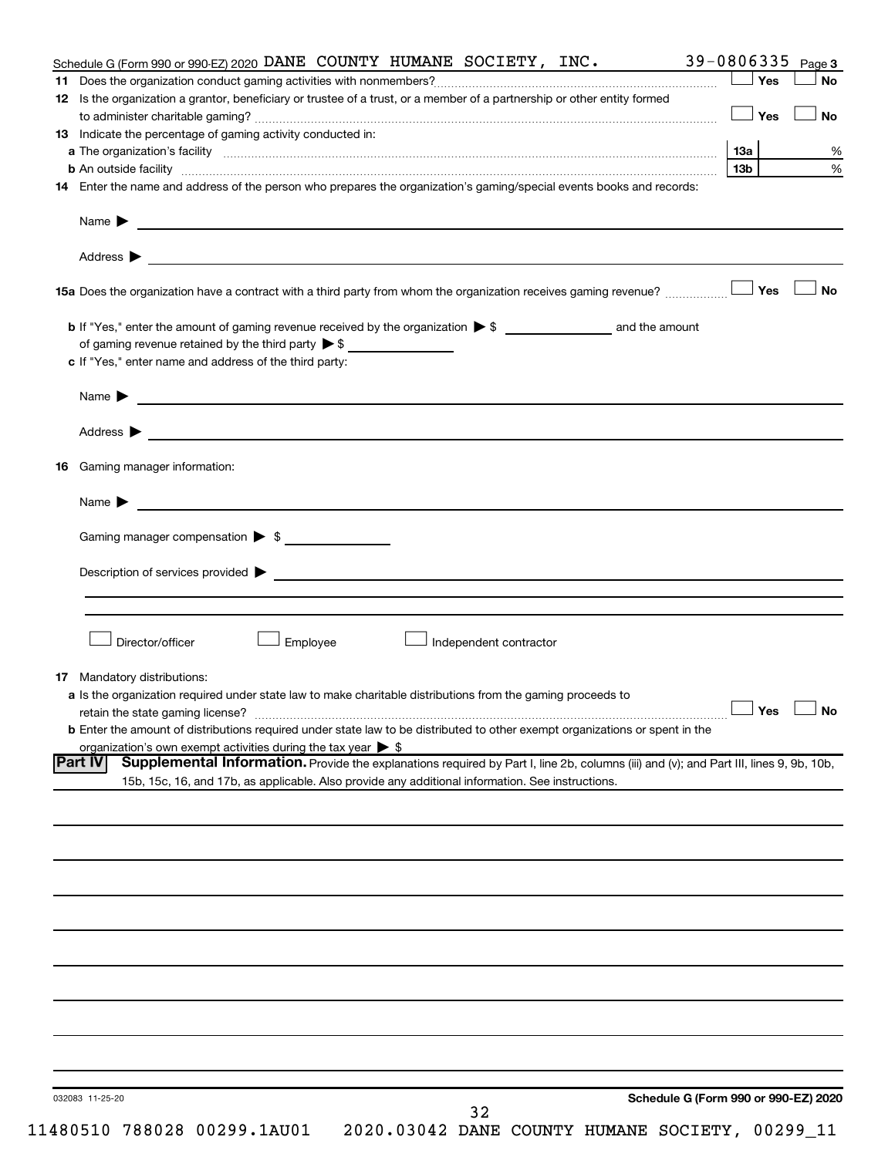|    | Schedule G (Form 990 or 990-EZ) 2020 DANE COUNTY HUMANE SOCIETY, INC.                                                                                                                                                                                                                                                                                 |                          |           |
|----|-------------------------------------------------------------------------------------------------------------------------------------------------------------------------------------------------------------------------------------------------------------------------------------------------------------------------------------------------------|--------------------------|-----------|
|    |                                                                                                                                                                                                                                                                                                                                                       | Yes                      | <b>No</b> |
|    | 12 Is the organization a grantor, beneficiary or trustee of a trust, or a member of a partnership or other entity formed                                                                                                                                                                                                                              |                          |           |
|    |                                                                                                                                                                                                                                                                                                                                                       | Yes                      |           |
|    | <b>13</b> Indicate the percentage of gaming activity conducted in:                                                                                                                                                                                                                                                                                    |                          |           |
|    | a The organization's facility www.communication.communications.com/international/                                                                                                                                                                                                                                                                     | 13a                      |           |
|    | <b>b</b> An outside facility <i>www.communically.communically.communically.communically.communically.communically.communically.communically.communically.communically.communically.communically.communically.communically.communicall</i>                                                                                                             | 13 <sub>b</sub>          |           |
|    | 14 Enter the name and address of the person who prepares the organization's gaming/special events books and records:                                                                                                                                                                                                                                  | 39-0806335 Page 3<br>Yes |           |
|    |                                                                                                                                                                                                                                                                                                                                                       |                          |           |
|    |                                                                                                                                                                                                                                                                                                                                                       |                          |           |
|    |                                                                                                                                                                                                                                                                                                                                                       |                          |           |
|    |                                                                                                                                                                                                                                                                                                                                                       |                          |           |
|    |                                                                                                                                                                                                                                                                                                                                                       |                          |           |
|    |                                                                                                                                                                                                                                                                                                                                                       |                          |           |
|    |                                                                                                                                                                                                                                                                                                                                                       |                          |           |
|    | c If "Yes," enter name and address of the third party:                                                                                                                                                                                                                                                                                                |                          |           |
|    | Name $\blacktriangleright$ $\ldots$ $\ldots$ $\ldots$ $\ldots$ $\ldots$ $\ldots$ $\ldots$ $\ldots$ $\ldots$ $\ldots$ $\ldots$ $\ldots$ $\ldots$ $\ldots$ $\ldots$ $\ldots$ $\ldots$ $\ldots$ $\ldots$ $\ldots$ $\ldots$ $\ldots$ $\ldots$ $\ldots$ $\ldots$ $\ldots$ $\ldots$ $\ldots$ $\ldots$ $\ldots$ $\ldots$ $\ldots$ $\ldots$ $\ldots$ $\ldots$ |                          |           |
|    |                                                                                                                                                                                                                                                                                                                                                       |                          |           |
|    | Address > Natural Management of the Contract of the Contract of the Contract of the Contract of the Contract of the Contract of the Contract of the Contract of the Contract of the Contract of the Contract of the Contract o                                                                                                                        |                          |           |
| 16 | Gaming manager information:                                                                                                                                                                                                                                                                                                                           |                          |           |
|    | Name $\blacktriangleright$ $\blacksquare$                                                                                                                                                                                                                                                                                                             |                          |           |
|    |                                                                                                                                                                                                                                                                                                                                                       |                          |           |
|    | Gaming manager compensation > \$                                                                                                                                                                                                                                                                                                                      |                          |           |
|    | Director/officer<br>Employee<br>Independent contractor                                                                                                                                                                                                                                                                                                |                          |           |
|    |                                                                                                                                                                                                                                                                                                                                                       |                          |           |
| 17 | Mandatory distributions:<br>a Is the organization required under state law to make charitable distributions from the gaming proceeds to                                                                                                                                                                                                               |                          |           |
|    |                                                                                                                                                                                                                                                                                                                                                       |                          |           |
|    |                                                                                                                                                                                                                                                                                                                                                       |                          |           |
|    | retain the state gaming license? $\Box$ No                                                                                                                                                                                                                                                                                                            |                          |           |
|    | <b>b</b> Enter the amount of distributions required under state law to be distributed to other exempt organizations or spent in the                                                                                                                                                                                                                   |                          |           |
|    | organization's own exempt activities during the tax year $\triangleright$ \$                                                                                                                                                                                                                                                                          |                          |           |
|    | Supplemental Information. Provide the explanations required by Part I, line 2b, columns (iii) and (v); and Part III, lines 9, 9b, 10b,<br><b>Part IV</b>                                                                                                                                                                                              |                          |           |
|    | 15b, 15c, 16, and 17b, as applicable. Also provide any additional information. See instructions.                                                                                                                                                                                                                                                      |                          |           |
|    |                                                                                                                                                                                                                                                                                                                                                       |                          |           |
|    |                                                                                                                                                                                                                                                                                                                                                       |                          |           |
|    |                                                                                                                                                                                                                                                                                                                                                       |                          |           |
|    |                                                                                                                                                                                                                                                                                                                                                       |                          |           |
|    |                                                                                                                                                                                                                                                                                                                                                       |                          |           |
|    |                                                                                                                                                                                                                                                                                                                                                       |                          |           |
|    |                                                                                                                                                                                                                                                                                                                                                       |                          |           |
|    |                                                                                                                                                                                                                                                                                                                                                       |                          |           |
|    |                                                                                                                                                                                                                                                                                                                                                       |                          |           |
|    |                                                                                                                                                                                                                                                                                                                                                       |                          |           |
|    |                                                                                                                                                                                                                                                                                                                                                       |                          |           |
|    |                                                                                                                                                                                                                                                                                                                                                       |                          |           |
|    |                                                                                                                                                                                                                                                                                                                                                       |                          |           |
|    |                                                                                                                                                                                                                                                                                                                                                       |                          |           |
|    |                                                                                                                                                                                                                                                                                                                                                       |                          |           |
|    | Schedule G (Form 990 or 990-EZ) 2020<br>032083 11-25-20<br>32                                                                                                                                                                                                                                                                                         |                          |           |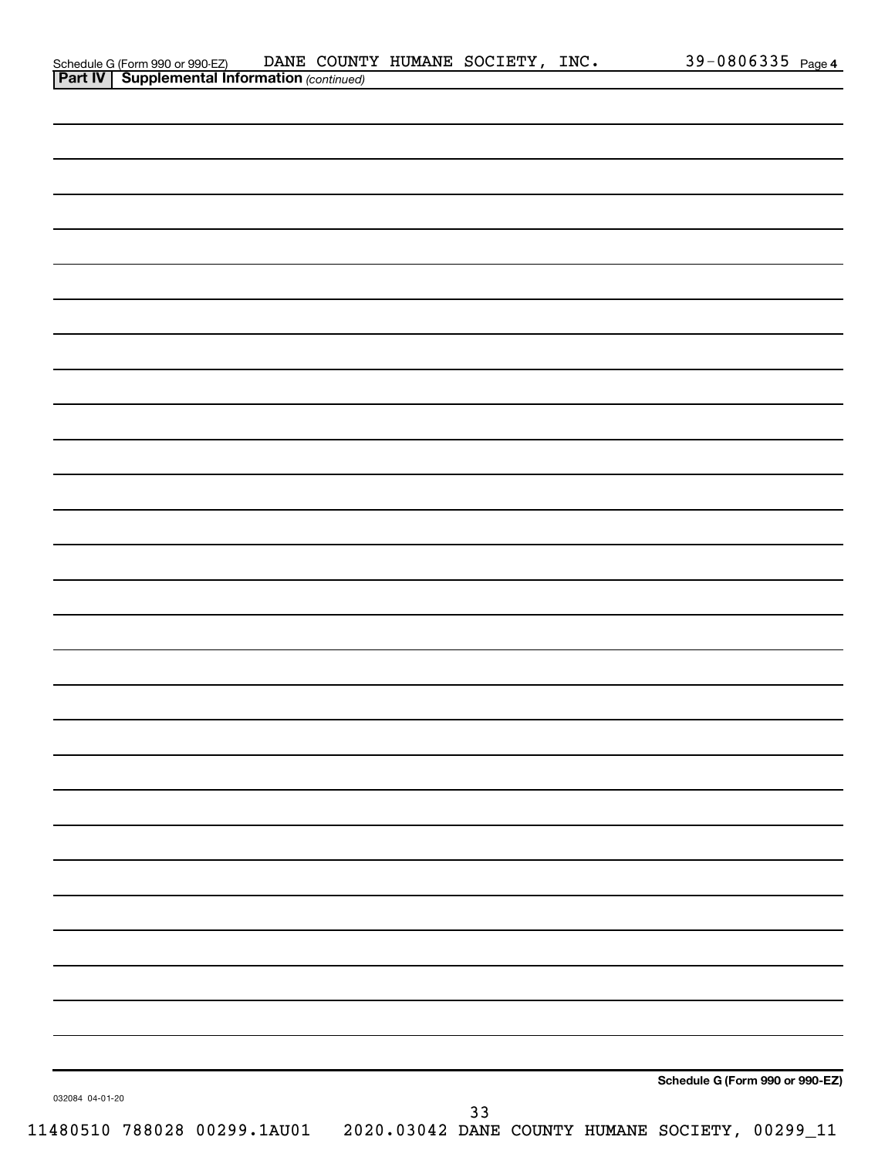|                 | Schedule G (Form 990 or 990-EZ) DANE COUNT<br><b>Part IV   Supplemental Information</b> (continued) | DANE COUNTY HUMANE SOCIETY, INC. |    |  |                                 | 39-0806335 Page 4 |
|-----------------|-----------------------------------------------------------------------------------------------------|----------------------------------|----|--|---------------------------------|-------------------|
|                 |                                                                                                     |                                  |    |  |                                 |                   |
|                 |                                                                                                     |                                  |    |  |                                 |                   |
|                 |                                                                                                     |                                  |    |  |                                 |                   |
|                 |                                                                                                     |                                  |    |  |                                 |                   |
|                 |                                                                                                     |                                  |    |  |                                 |                   |
|                 |                                                                                                     |                                  |    |  |                                 |                   |
|                 |                                                                                                     |                                  |    |  |                                 |                   |
|                 |                                                                                                     |                                  |    |  |                                 |                   |
|                 |                                                                                                     |                                  |    |  |                                 |                   |
|                 |                                                                                                     |                                  |    |  |                                 |                   |
|                 |                                                                                                     |                                  |    |  |                                 |                   |
|                 |                                                                                                     |                                  |    |  |                                 |                   |
|                 |                                                                                                     |                                  |    |  |                                 |                   |
|                 |                                                                                                     |                                  |    |  |                                 |                   |
|                 |                                                                                                     |                                  |    |  |                                 |                   |
|                 |                                                                                                     |                                  |    |  |                                 |                   |
|                 |                                                                                                     |                                  |    |  |                                 |                   |
|                 |                                                                                                     |                                  |    |  |                                 |                   |
|                 |                                                                                                     |                                  |    |  |                                 |                   |
|                 |                                                                                                     |                                  |    |  |                                 |                   |
|                 |                                                                                                     |                                  |    |  |                                 |                   |
|                 |                                                                                                     |                                  |    |  |                                 |                   |
|                 |                                                                                                     |                                  |    |  |                                 |                   |
|                 |                                                                                                     |                                  |    |  |                                 |                   |
|                 |                                                                                                     |                                  |    |  |                                 |                   |
|                 |                                                                                                     |                                  |    |  |                                 |                   |
|                 |                                                                                                     |                                  |    |  |                                 |                   |
|                 |                                                                                                     |                                  |    |  |                                 |                   |
|                 |                                                                                                     |                                  |    |  |                                 |                   |
|                 |                                                                                                     |                                  |    |  |                                 |                   |
|                 |                                                                                                     |                                  |    |  |                                 |                   |
|                 |                                                                                                     |                                  |    |  |                                 |                   |
|                 |                                                                                                     |                                  |    |  |                                 |                   |
|                 |                                                                                                     |                                  |    |  |                                 |                   |
|                 |                                                                                                     |                                  |    |  |                                 |                   |
|                 |                                                                                                     |                                  |    |  |                                 |                   |
|                 |                                                                                                     |                                  |    |  |                                 |                   |
|                 |                                                                                                     |                                  |    |  |                                 |                   |
|                 |                                                                                                     |                                  |    |  |                                 |                   |
|                 |                                                                                                     |                                  |    |  |                                 |                   |
|                 |                                                                                                     |                                  |    |  |                                 |                   |
|                 |                                                                                                     |                                  |    |  |                                 |                   |
|                 |                                                                                                     |                                  |    |  |                                 |                   |
|                 |                                                                                                     |                                  |    |  | Schedule G (Form 990 or 990-EZ) |                   |
| 032084 04-01-20 |                                                                                                     |                                  |    |  |                                 |                   |
|                 | 11480510 788028 00299.1AU01  2020.03042 DANE COUNTY HUMANE SOCIETY, 00299_11                        |                                  | 33 |  |                                 |                   |
|                 |                                                                                                     |                                  |    |  |                                 |                   |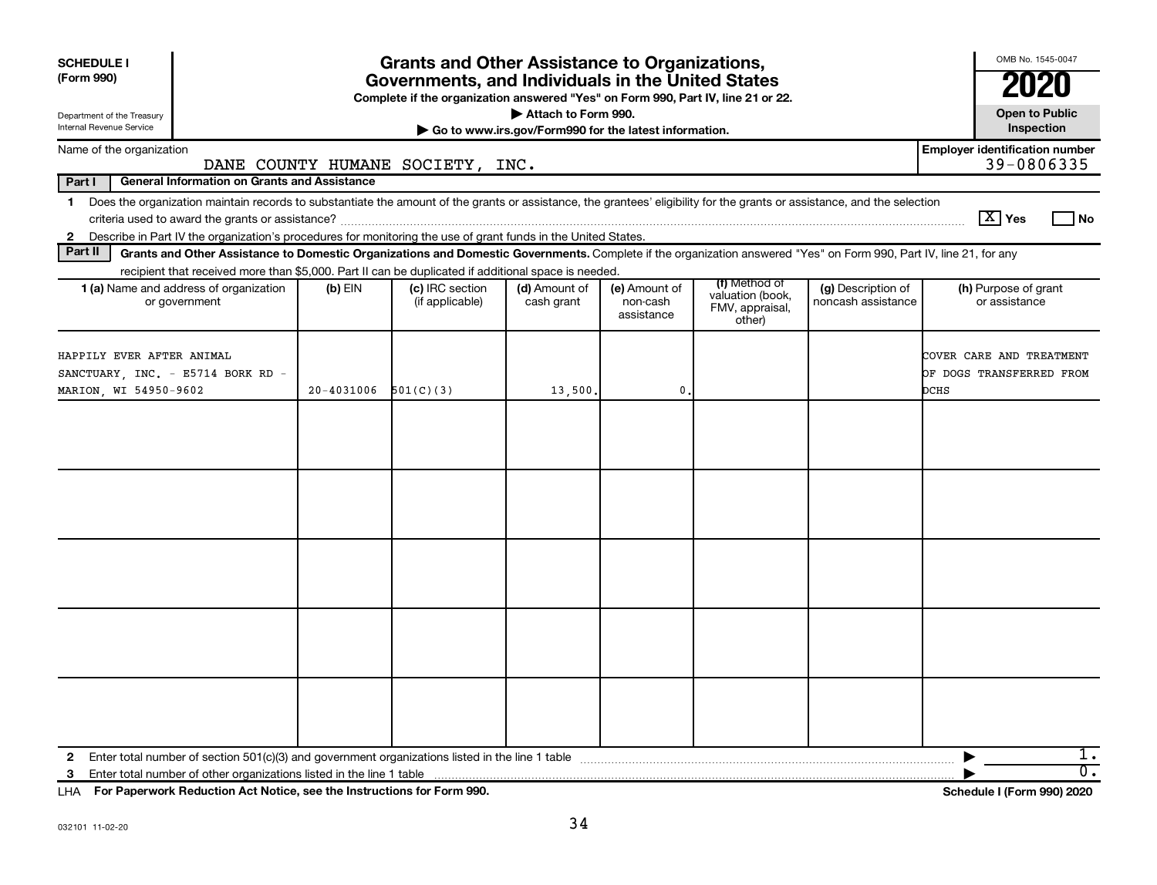| <b>SCHEDULE I</b><br>(Form 990)                                                                                                                                                                                                                                                                                |                | <b>Grants and Other Assistance to Organizations,</b><br>Governments, and Individuals in the United States<br>Complete if the organization answered "Yes" on Form 990, Part IV, line 21 or 22. |                                                       |                                         |                                                                |                                          | OMB No. 1545-0047<br>21                                      |
|----------------------------------------------------------------------------------------------------------------------------------------------------------------------------------------------------------------------------------------------------------------------------------------------------------------|----------------|-----------------------------------------------------------------------------------------------------------------------------------------------------------------------------------------------|-------------------------------------------------------|-----------------------------------------|----------------------------------------------------------------|------------------------------------------|--------------------------------------------------------------|
| Department of the Treasury                                                                                                                                                                                                                                                                                     |                |                                                                                                                                                                                               | Attach to Form 990.                                   |                                         |                                                                |                                          | <b>Open to Public</b>                                        |
| Internal Revenue Service                                                                                                                                                                                                                                                                                       |                |                                                                                                                                                                                               | Go to www.irs.gov/Form990 for the latest information. |                                         |                                                                |                                          | Inspection                                                   |
| Name of the organization                                                                                                                                                                                                                                                                                       |                | DANE COUNTY HUMANE SOCIETY, INC.                                                                                                                                                              |                                                       |                                         |                                                                |                                          | <b>Employer identification number</b><br>39-0806335          |
| Part I<br><b>General Information on Grants and Assistance</b>                                                                                                                                                                                                                                                  |                |                                                                                                                                                                                               |                                                       |                                         |                                                                |                                          |                                                              |
| Does the organization maintain records to substantiate the amount of the grants or assistance, the grantees' eligibility for the grants or assistance, and the selection<br>$\mathbf 1$                                                                                                                        |                |                                                                                                                                                                                               |                                                       |                                         |                                                                |                                          | $\boxed{\text{X}}$ Yes<br>l No                               |
| Describe in Part IV the organization's procedures for monitoring the use of grant funds in the United States.<br>$\mathbf{2}$<br>Part II<br>Grants and Other Assistance to Domestic Organizations and Domestic Governments. Complete if the organization answered "Yes" on Form 990, Part IV, line 21, for any |                |                                                                                                                                                                                               |                                                       |                                         |                                                                |                                          |                                                              |
| recipient that received more than \$5,000. Part II can be duplicated if additional space is needed.                                                                                                                                                                                                            |                |                                                                                                                                                                                               |                                                       |                                         |                                                                |                                          |                                                              |
| 1 (a) Name and address of organization<br>or government                                                                                                                                                                                                                                                        | $(b)$ EIN      | (c) IRC section<br>(if applicable)                                                                                                                                                            | (d) Amount of<br>cash grant                           | (e) Amount of<br>non-cash<br>assistance | (f) Method of<br>valuation (book,<br>FMV, appraisal,<br>other) | (g) Description of<br>noncash assistance | (h) Purpose of grant<br>or assistance                        |
| HAPPILY EVER AFTER ANIMAL<br>SANCTUARY, INC. - E5714 BORK RD -<br>MARION, WI 54950-9602                                                                                                                                                                                                                        | $20 - 4031006$ | 501(C)(3)                                                                                                                                                                                     | 13,500.                                               | 0                                       |                                                                |                                          | COVER CARE AND TREATMENT<br>OF DOGS TRANSFERRED FROM<br>DCHS |
|                                                                                                                                                                                                                                                                                                                |                |                                                                                                                                                                                               |                                                       |                                         |                                                                |                                          |                                                              |
|                                                                                                                                                                                                                                                                                                                |                |                                                                                                                                                                                               |                                                       |                                         |                                                                |                                          |                                                              |
|                                                                                                                                                                                                                                                                                                                |                |                                                                                                                                                                                               |                                                       |                                         |                                                                |                                          |                                                              |
|                                                                                                                                                                                                                                                                                                                |                |                                                                                                                                                                                               |                                                       |                                         |                                                                |                                          |                                                              |
|                                                                                                                                                                                                                                                                                                                |                |                                                                                                                                                                                               |                                                       |                                         |                                                                |                                          |                                                              |
| $\mathbf{2}$<br>3                                                                                                                                                                                                                                                                                              |                |                                                                                                                                                                                               |                                                       |                                         |                                                                |                                          | 1.<br>$\overline{0}$ .                                       |

**For Paperwork Reduction Act Notice, see the Instructions for Form 990. Schedule I (Form 990) 2020** LHA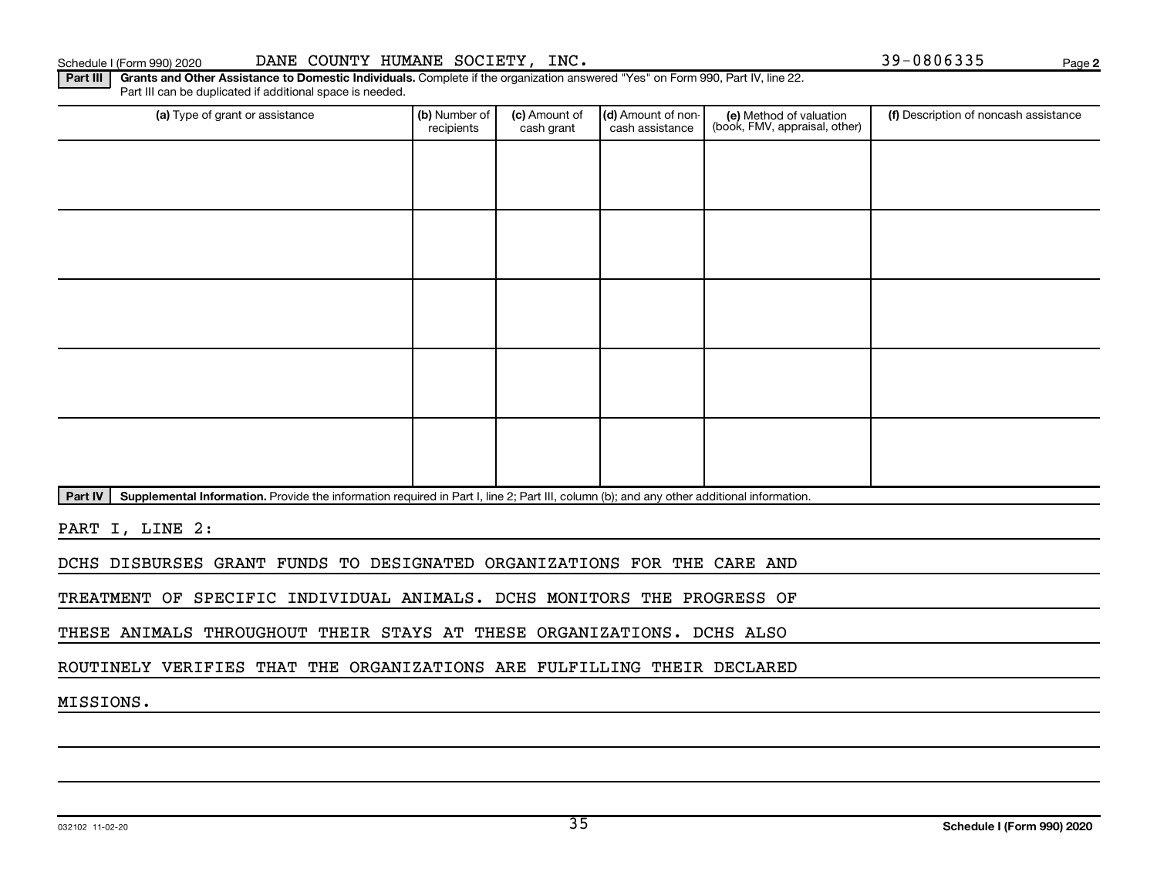**2**

Part III | Grants and Other Assistance to Domestic Individuals. Complete if the organization answered "Yes" on Form 990, Part IV, line 22. Part III can be duplicated if additional space is needed.

| (a) Type of grant or assistance | (b) Number of<br>recipients | (c) Amount of<br>cash grant | (d) Amount of non-<br>cash assistance | (e) Method of valuation<br>(book, FMV, appraisal, other) | (f) Description of noncash assistance |
|---------------------------------|-----------------------------|-----------------------------|---------------------------------------|----------------------------------------------------------|---------------------------------------|
|                                 |                             |                             |                                       |                                                          |                                       |
|                                 |                             |                             |                                       |                                                          |                                       |
|                                 |                             |                             |                                       |                                                          |                                       |
|                                 |                             |                             |                                       |                                                          |                                       |
|                                 |                             |                             |                                       |                                                          |                                       |
|                                 |                             |                             |                                       |                                                          |                                       |
|                                 |                             |                             |                                       |                                                          |                                       |
|                                 |                             |                             |                                       |                                                          |                                       |
|                                 |                             |                             |                                       |                                                          |                                       |
|                                 |                             |                             |                                       |                                                          |                                       |

Part IV | Supplemental Information. Provide the information required in Part I, line 2; Part III, column (b); and any other additional information.

PART I, LINE 2:

DCHS DISBURSES GRANT FUNDS TO DESIGNATED ORGANIZATIONS FOR THE CARE AND

TREATMENT OF SPECIFIC INDIVIDUAL ANIMALS. DCHS MONITORS THE PROGRESS OF

THESE ANIMALS THROUGHOUT THEIR STAYS AT THESE ORGANIZATIONS. DCHS ALSO

ROUTINELY VERIFIES THAT THE ORGANIZATIONS ARE FULFILLING THEIR DECLARED

MISSIONS.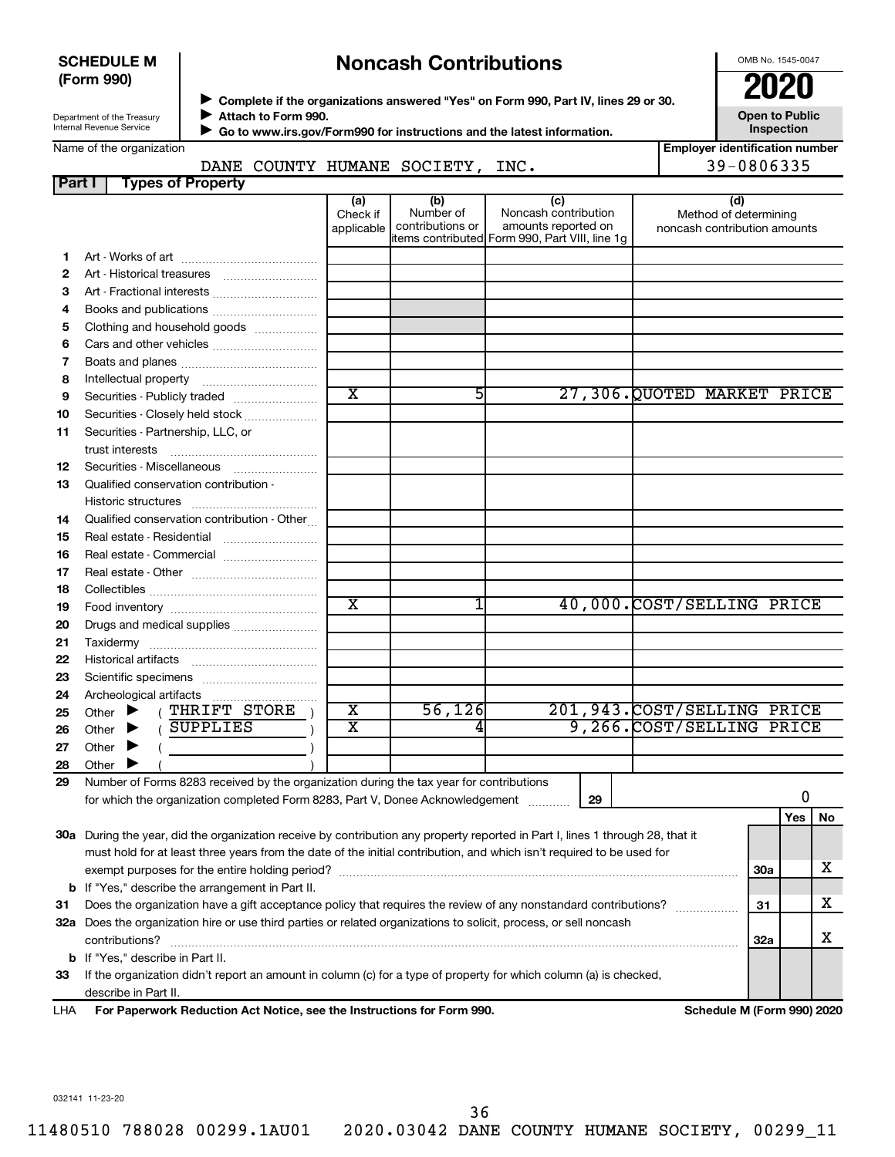#### **SCHEDULE M (Form 990)**

## **Noncash Contributions**

OMB No. 1545-0047

**Employer identification number**

| Department of the Treasury |  |
|----------------------------|--|
| Internal Revenue Service   |  |

◆ Complete if the organizations answered "Yes" on Form 990, Part IV, lines 29 or 30.<br>● Complete if the organizations answered "Yes" on Form 990, Part IV, lines 29 or 30. **Attach to Form 990.**  $\blacktriangleright$ 

**Open to Public Inspection**

 **Go to www.irs.gov/Form990 for instructions and the latest information.** J

### DANE COUNTY HUMANE SOCIETY, INC. | 39-0806335

| Part I | <b>Types of Property</b>                                                                                                                                                 |                               |                                      |                                                                                                      |                                                              |            |     |           |
|--------|--------------------------------------------------------------------------------------------------------------------------------------------------------------------------|-------------------------------|--------------------------------------|------------------------------------------------------------------------------------------------------|--------------------------------------------------------------|------------|-----|-----------|
|        |                                                                                                                                                                          | (a)<br>Check if<br>applicable | (b)<br>Number of<br>contributions or | (c)<br>Noncash contribution<br>amounts reported on<br>items contributed Form 990, Part VIII, line 1g | (d)<br>Method of determining<br>noncash contribution amounts |            |     |           |
| 1      |                                                                                                                                                                          |                               |                                      |                                                                                                      |                                                              |            |     |           |
| 2      |                                                                                                                                                                          |                               |                                      |                                                                                                      |                                                              |            |     |           |
| з      | Art - Fractional interests                                                                                                                                               |                               |                                      |                                                                                                      |                                                              |            |     |           |
| 4      | Books and publications                                                                                                                                                   |                               |                                      |                                                                                                      |                                                              |            |     |           |
| 5      | Clothing and household goods                                                                                                                                             |                               |                                      |                                                                                                      |                                                              |            |     |           |
| 6      | Cars and other vehicles                                                                                                                                                  |                               |                                      |                                                                                                      |                                                              |            |     |           |
| 7      |                                                                                                                                                                          |                               |                                      |                                                                                                      |                                                              |            |     |           |
| 8      |                                                                                                                                                                          |                               |                                      |                                                                                                      |                                                              |            |     |           |
| 9      | Securities - Publicly traded                                                                                                                                             | $\overline{\textbf{x}}$       | 51                                   |                                                                                                      | 27,306.QUOTED MARKET PRICE                                   |            |     |           |
| 10     | Securities - Closely held stock                                                                                                                                          |                               |                                      |                                                                                                      |                                                              |            |     |           |
| 11     | Securities - Partnership, LLC, or                                                                                                                                        |                               |                                      |                                                                                                      |                                                              |            |     |           |
| 12     |                                                                                                                                                                          |                               |                                      |                                                                                                      |                                                              |            |     |           |
| 13     | Qualified conservation contribution -                                                                                                                                    |                               |                                      |                                                                                                      |                                                              |            |     |           |
| 14     | Qualified conservation contribution - Other                                                                                                                              |                               |                                      |                                                                                                      |                                                              |            |     |           |
| 15     | Real estate - Residential                                                                                                                                                |                               |                                      |                                                                                                      |                                                              |            |     |           |
| 16     | Real estate - Commercial                                                                                                                                                 |                               |                                      |                                                                                                      |                                                              |            |     |           |
| 17     |                                                                                                                                                                          |                               |                                      |                                                                                                      |                                                              |            |     |           |
| 18     |                                                                                                                                                                          |                               |                                      |                                                                                                      |                                                              |            |     |           |
| 19     |                                                                                                                                                                          | $\overline{\textbf{x}}$       | 1                                    |                                                                                                      | 40,000.COST/SELLING PRICE                                    |            |     |           |
| 20     | Drugs and medical supplies                                                                                                                                               |                               |                                      |                                                                                                      |                                                              |            |     |           |
| 21     |                                                                                                                                                                          |                               |                                      |                                                                                                      |                                                              |            |     |           |
| 22     |                                                                                                                                                                          |                               |                                      |                                                                                                      |                                                              |            |     |           |
| 23     |                                                                                                                                                                          |                               |                                      |                                                                                                      |                                                              |            |     |           |
| 24     |                                                                                                                                                                          |                               |                                      |                                                                                                      |                                                              |            |     |           |
| 25     | (THRIFT STORE<br>Other $\blacktriangleright$                                                                                                                             | X                             | 56,126                               |                                                                                                      | 201,943. COST/SELLING PRICE                                  |            |     |           |
| 26     | (SUPPLIES<br>Other $\blacktriangleright$                                                                                                                                 | х                             | 4                                    |                                                                                                      | 9,266.COST/SELLING PRICE                                     |            |     |           |
| 27     | Other $\blacktriangleright$                                                                                                                                              |                               |                                      |                                                                                                      |                                                              |            |     |           |
| 28     | Other $\blacktriangleright$                                                                                                                                              |                               |                                      |                                                                                                      |                                                              |            |     |           |
| 29     | Number of Forms 8283 received by the organization during the tax year for contributions<br>for which the organization completed Form 8283, Part V, Donee Acknowledgement |                               |                                      | 29                                                                                                   |                                                              |            | 0   |           |
|        |                                                                                                                                                                          |                               |                                      |                                                                                                      |                                                              |            | Yes | <b>No</b> |
|        | 30a During the year, did the organization receive by contribution any property reported in Part I, lines 1 through 28, that it                                           |                               |                                      |                                                                                                      |                                                              |            |     |           |
|        | must hold for at least three years from the date of the initial contribution, and which isn't required to be used for                                                    |                               |                                      |                                                                                                      |                                                              |            |     |           |
|        | exempt purposes for the entire holding period?                                                                                                                           |                               |                                      |                                                                                                      |                                                              | <b>30a</b> |     | x         |
|        | <b>b</b> If "Yes," describe the arrangement in Part II.                                                                                                                  |                               |                                      |                                                                                                      |                                                              |            |     | x         |
| 31     | Does the organization have a gift acceptance policy that requires the review of any nonstandard contributions?                                                           |                               |                                      |                                                                                                      |                                                              | 31         |     |           |
|        | 32a Does the organization hire or use third parties or related organizations to solicit, process, or sell noncash<br>contributions?                                      |                               |                                      |                                                                                                      |                                                              | 32a        |     | х         |
|        | <b>b</b> If "Yes," describe in Part II.                                                                                                                                  |                               |                                      |                                                                                                      |                                                              |            |     |           |
| 33     | If the organization didn't report an amount in column (c) for a type of property for which column (a) is checked,                                                        |                               |                                      |                                                                                                      |                                                              |            |     |           |
|        | describe in Part II.                                                                                                                                                     |                               |                                      |                                                                                                      |                                                              |            |     |           |

**For Paperwork Reduction Act Notice, see the Instructions for Form 990. Schedule M (Form 990) 2020** LHA

032141 11-23-20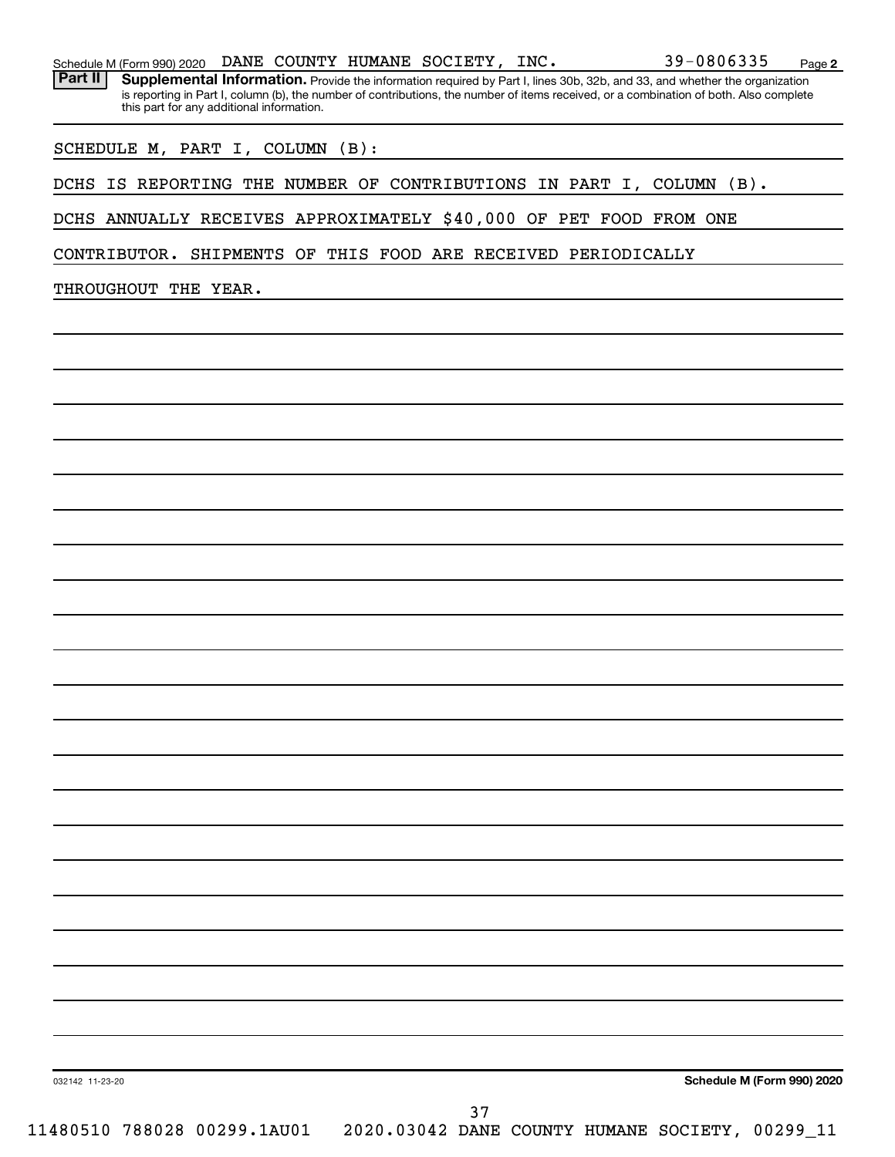|  |  |  |  |  |  | Schedule M (Form 990) 2020 DANE COUNTY HUMANE SOCIETY, INC. |  | 39-0806335 | Page |  |
|--|--|--|--|--|--|-------------------------------------------------------------|--|------------|------|--|
|--|--|--|--|--|--|-------------------------------------------------------------|--|------------|------|--|

Part II | Supplemental Information. Provide the information required by Part I, lines 30b, 32b, and 33, and whether the organization is reporting in Part I, column (b), the number of contributions, the number of items received, or a combination of both. Also complete this part for any additional information.

SCHEDULE M, PART I, COLUMN (B):

DCHS IS REPORTING THE NUMBER OF CONTRIBUTIONS IN PART I, COLUMN (B).

DCHS ANNUALLY RECEIVES APPROXIMATELY \$40,000 OF PET FOOD FROM ONE

CONTRIBUTOR. SHIPMENTS OF THIS FOOD ARE RECEIVED PERIODICALLY

THROUGHOUT THE YEAR.

**Schedule M (Form 990) 2020**

**2**

032142 11-23-20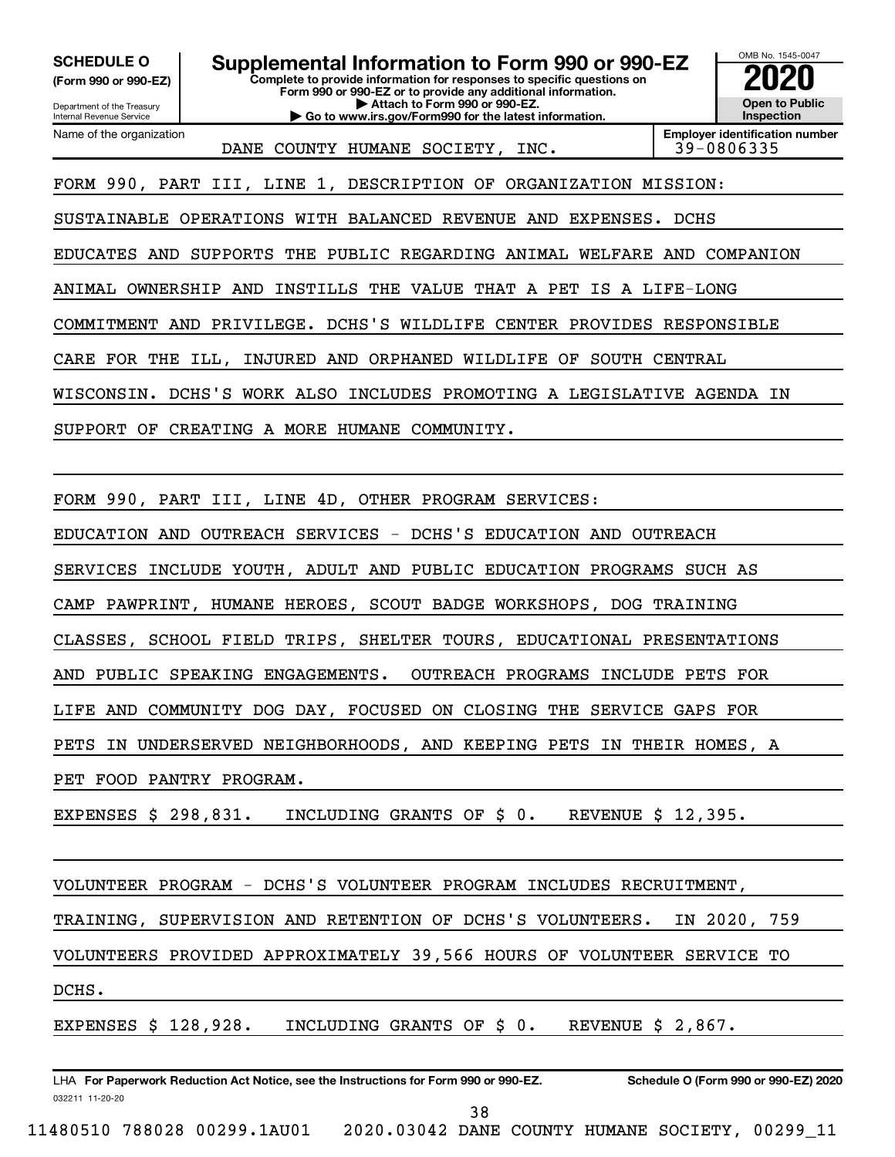**(Form 990 or 990-EZ)**

Department of the Treasury

## **SCHEDULE O Supplemental Information to Form 990 or 990-EZ 2020**<br>(Form 990 or 990-EZ) Complete to provide information for responses to specific questions on

**Complete to provide information for responses to specific questions on Form 990 or 990-EZ or to provide any additional information. | Attach to Form 990 or 990-EZ. | Go to www.irs.gov/Form990 for the latest information.**

OMB No. 1545-0047 **Open to Public Inspection**

Internal Revenue Service Name of the organization

DANE COUNTY HUMANE SOCIETY, INC. | 39-0806335

**Employer identification number**

FORM 990, PART III, LINE 1, DESCRIPTION OF ORGANIZATION MISSION:

SUSTAINABLE OPERATIONS WITH BALANCED REVENUE AND EXPENSES. DCHS

EDUCATES AND SUPPORTS THE PUBLIC REGARDING ANIMAL WELFARE AND COMPANION

ANIMAL OWNERSHIP AND INSTILLS THE VALUE THAT A PET IS A LIFE-LONG

COMMITMENT AND PRIVILEGE. DCHS'S WILDLIFE CENTER PROVIDES RESPONSIBLE

CARE FOR THE ILL, INJURED AND ORPHANED WILDLIFE OF SOUTH CENTRAL

WISCONSIN. DCHS'S WORK ALSO INCLUDES PROMOTING A LEGISLATIVE AGENDA IN

SUPPORT OF CREATING A MORE HUMANE COMMUNITY.

FORM 990, PART III, LINE 4D, OTHER PROGRAM SERVICES:

EDUCATION AND OUTREACH SERVICES - DCHS'S EDUCATION AND OUTREACH

SERVICES INCLUDE YOUTH, ADULT AND PUBLIC EDUCATION PROGRAMS SUCH AS

CAMP PAWPRINT, HUMANE HEROES, SCOUT BADGE WORKSHOPS, DOG TRAINING

CLASSES, SCHOOL FIELD TRIPS, SHELTER TOURS, EDUCATIONAL PRESENTATIONS

AND PUBLIC SPEAKING ENGAGEMENTS. OUTREACH PROGRAMS INCLUDE PETS FOR

LIFE AND COMMUNITY DOG DAY, FOCUSED ON CLOSING THE SERVICE GAPS FOR

PETS IN UNDERSERVED NEIGHBORHOODS, AND KEEPING PETS IN THEIR HOMES, A

PET FOOD PANTRY PROGRAM.

EXPENSES \$ 298,831. INCLUDING GRANTS OF \$ 0. REVENUE \$ 12,395.

VOLUNTEER PROGRAM - DCHS'S VOLUNTEER PROGRAM INCLUDES RECRUITMENT,

TRAINING, SUPERVISION AND RETENTION OF DCHS'S VOLUNTEERS. IN 2020, 759

VOLUNTEERS PROVIDED APPROXIMATELY 39,566 HOURS OF VOLUNTEER SERVICE TO

DCHS.

EXPENSES \$ 128,928. INCLUDING GRANTS OF \$ 0. REVENUE \$ 2,867.

032211 11-20-20 **For Paperwork Reduction Act Notice, see the Instructions for Form 990 or 990-EZ. Schedule O (Form 990 or 990-EZ) 2020** LHA

38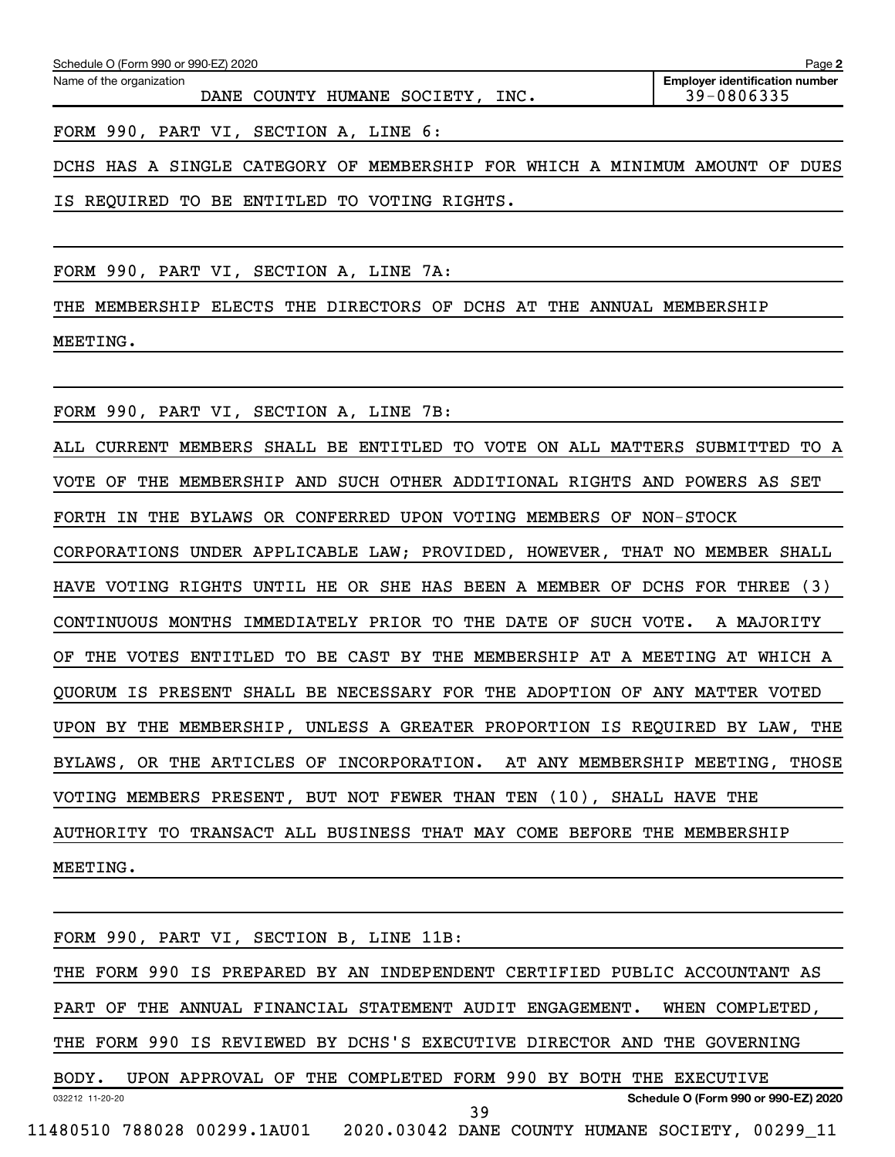| Schedule O (Form 990 or 990-EZ) 2020                                        | Page 2                                              |
|-----------------------------------------------------------------------------|-----------------------------------------------------|
| Name of the organization<br>DANE COUNTY HUMANE SOCIETY, INC.                | <b>Employer identification number</b><br>39-0806335 |
| FORM 990, PART VI, SECTION A, LINE 6:                                       |                                                     |
| DCHS HAS A SINGLE CATEGORY OF MEMBERSHIP FOR WHICH A MINIMUM AMOUNT OF DUES |                                                     |

FORM 990, PART VI, SECTION A, LINE 7A:

IS REQUIRED TO BE ENTITLED TO VOTING RIGHTS.

THE MEMBERSHIP ELECTS THE DIRECTORS OF DCHS AT THE ANNUAL MEMBERSHIP MEETING.

FORM 990, PART VI, SECTION A, LINE 7B:

ALL CURRENT MEMBERS SHALL BE ENTITLED TO VOTE ON ALL MATTERS SUBMITTED TO A VOTE OF THE MEMBERSHIP AND SUCH OTHER ADDITIONAL RIGHTS AND POWERS AS SET FORTH IN THE BYLAWS OR CONFERRED UPON VOTING MEMBERS OF NON-STOCK CORPORATIONS UNDER APPLICABLE LAW; PROVIDED, HOWEVER, THAT NO MEMBER SHALL HAVE VOTING RIGHTS UNTIL HE OR SHE HAS BEEN A MEMBER OF DCHS FOR THREE (3) CONTINUOUS MONTHS IMMEDIATELY PRIOR TO THE DATE OF SUCH VOTE. A MAJORITY OF THE VOTES ENTITLED TO BE CAST BY THE MEMBERSHIP AT A MEETING AT WHICH A QUORUM IS PRESENT SHALL BE NECESSARY FOR THE ADOPTION OF ANY MATTER VOTED UPON BY THE MEMBERSHIP, UNLESS A GREATER PROPORTION IS REQUIRED BY LAW, THE BYLAWS, OR THE ARTICLES OF INCORPORATION. AT ANY MEMBERSHIP MEETING, THOSE VOTING MEMBERS PRESENT, BUT NOT FEWER THAN TEN (10), SHALL HAVE THE AUTHORITY TO TRANSACT ALL BUSINESS THAT MAY COME BEFORE THE MEMBERSHIP MEETING.

032212 11-20-20 **Schedule O (Form 990 or 990-EZ) 2020** FORM 990, PART VI, SECTION B, LINE 11B: THE FORM 990 IS PREPARED BY AN INDEPENDENT CERTIFIED PUBLIC ACCOUNTANT AS PART OF THE ANNUAL FINANCIAL STATEMENT AUDIT ENGAGEMENT. WHEN COMPLETED, THE FORM 990 IS REVIEWED BY DCHS'S EXECUTIVE DIRECTOR AND THE GOVERNING BODY. UPON APPROVAL OF THE COMPLETED FORM 990 BY BOTH THE EXECUTIVE 11480510 788028 00299.1AU01 2020.03042 DANE COUNTY HUMANE SOCIETY, 00299\_11 39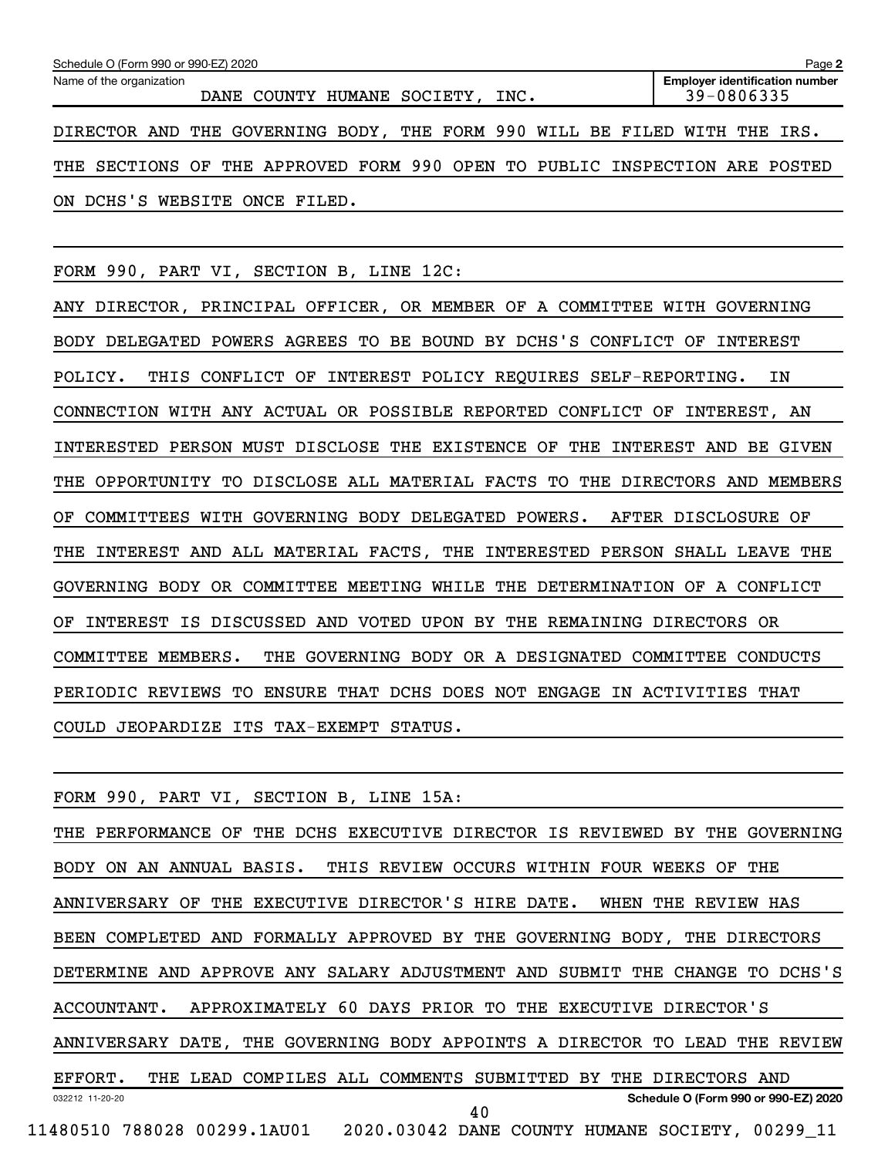| Schedule O (Form 990 or 990-EZ) 2020<br>Page 2                             |                                                     |  |  |  |  |  |  |  |
|----------------------------------------------------------------------------|-----------------------------------------------------|--|--|--|--|--|--|--|
| Name of the organization<br>DANE COUNTY HUMANE SOCIETY, INC.               | <b>Employer identification number</b><br>39-0806335 |  |  |  |  |  |  |  |
| DIRECTOR AND THE GOVERNING BODY, THE FORM 990 WILL BE FILED WITH THE IRS.  |                                                     |  |  |  |  |  |  |  |
| THE SECTIONS OF THE APPROVED FORM 990 OPEN TO PUBLIC INSPECTION ARE POSTED |                                                     |  |  |  |  |  |  |  |
| ON DCHS'S WEBSITE ONCE FILED.                                              |                                                     |  |  |  |  |  |  |  |

FORM 990, PART VI, SECTION B, LINE 12C:

ANY DIRECTOR, PRINCIPAL OFFICER, OR MEMBER OF A COMMITTEE WITH GOVERNING BODY DELEGATED POWERS AGREES TO BE BOUND BY DCHS'S CONFLICT OF INTEREST POLICY. THIS CONFLICT OF INTEREST POLICY REQUIRES SELF-REPORTING. IN CONNECTION WITH ANY ACTUAL OR POSSIBLE REPORTED CONFLICT OF INTEREST, AN INTERESTED PERSON MUST DISCLOSE THE EXISTENCE OF THE INTEREST AND BE GIVEN THE OPPORTUNITY TO DISCLOSE ALL MATERIAL FACTS TO THE DIRECTORS AND MEMBERS OF COMMITTEES WITH GOVERNING BODY DELEGATED POWERS. AFTER DISCLOSURE OF THE INTEREST AND ALL MATERIAL FACTS, THE INTERESTED PERSON SHALL LEAVE THE GOVERNING BODY OR COMMITTEE MEETING WHILE THE DETERMINATION OF A CONFLICT OF INTEREST IS DISCUSSED AND VOTED UPON BY THE REMAINING DIRECTORS OR COMMITTEE MEMBERS. THE GOVERNING BODY OR A DESIGNATED COMMITTEE CONDUCTS PERIODIC REVIEWS TO ENSURE THAT DCHS DOES NOT ENGAGE IN ACTIVITIES THAT COULD JEOPARDIZE ITS TAX-EXEMPT STATUS.

| FORM 990, PART VI, SECTION B, LINE 15A:                                     |
|-----------------------------------------------------------------------------|
| THE PERFORMANCE OF THE DCHS EXECUTIVE DIRECTOR IS REVIEWED BY THE GOVERNING |
| BODY ON AN ANNUAL BASIS. THIS REVIEW OCCURS WITHIN FOUR WEEKS OF THE        |
| ANNIVERSARY OF THE EXECUTIVE DIRECTOR'S HIRE DATE. WHEN THE REVIEW HAS      |
| BEEN COMPLETED AND FORMALLY APPROVED BY THE GOVERNING BODY, THE DIRECTORS   |
| DETERMINE AND APPROVE ANY SALARY ADJUSTMENT AND SUBMIT THE CHANGE TO DCHS'S |
| ACCOUNTANT. APPROXIMATELY 60 DAYS PRIOR TO THE EXECUTIVE DIRECTOR'S         |
| ANNIVERSARY DATE, THE GOVERNING BODY APPOINTS A DIRECTOR TO LEAD THE REVIEW |
| EFFORT. THE LEAD COMPILES ALL COMMENTS SUBMITTED BY THE DIRECTORS AND       |
| Schedule O (Form 990 or 990-EZ) 2020<br>032212 11-20-20<br>40               |